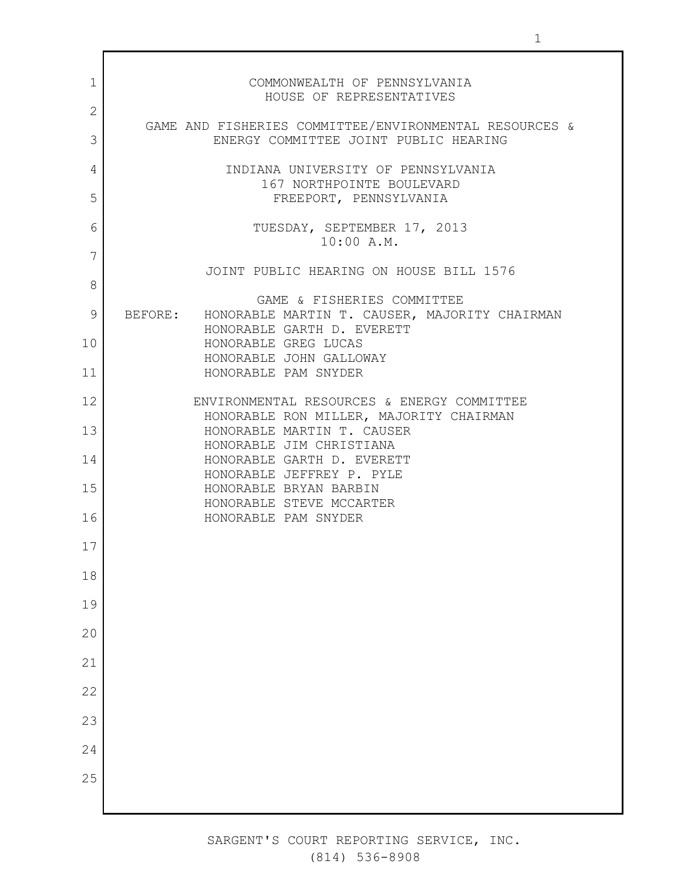| 1  | COMMONWEALTH OF PENNSYLVANIA<br>HOUSE OF REPRESENTATIVES                                        |
|----|-------------------------------------------------------------------------------------------------|
| 2  |                                                                                                 |
| 3  | GAME AND FISHERIES COMMITTEE/ENVIRONMENTAL RESOURCES &<br>ENERGY COMMITTEE JOINT PUBLIC HEARING |
| 4  | INDIANA UNIVERSITY OF PENNSYLVANIA<br>167 NORTHPOINTE BOULEVARD                                 |
| 5  | FREEPORT, PENNSYLVANIA                                                                          |
| 6  | TUESDAY, SEPTEMBER 17, 2013<br>10:00 A.M.                                                       |
| 7  | JOINT PUBLIC HEARING ON HOUSE BILL 1576                                                         |
| 8  |                                                                                                 |
| 9  | GAME & FISHERIES COMMITTEE<br>BEFORE: HONORABLE MARTIN T. CAUSER, MAJORITY CHAIRMAN             |
| 10 | HONORABLE GARTH D. EVERETT<br>HONORABLE GREG LUCAS                                              |
| 11 | HONORABLE JOHN GALLOWAY<br>HONORABLE PAM SNYDER                                                 |
| 12 | ENVIRONMENTAL RESOURCES & ENERGY COMMITTEE                                                      |
| 13 | HONORABLE RON MILLER, MAJORITY CHAIRMAN<br>HONORABLE MARTIN T. CAUSER                           |
| 14 | HONORABLE JIM CHRISTIANA<br>HONORABLE GARTH D. EVERETT                                          |
| 15 | HONORABLE JEFFREY P. PYLE                                                                       |
|    | HONORABLE BRYAN BARBIN<br>HONORABLE STEVE MCCARTER                                              |
| 16 | HONORABLE PAM SNYDER                                                                            |
| 17 |                                                                                                 |
| 18 |                                                                                                 |
| 19 |                                                                                                 |
| 20 |                                                                                                 |
| 21 |                                                                                                 |
| 22 |                                                                                                 |
| 23 |                                                                                                 |
| 24 |                                                                                                 |
| 25 |                                                                                                 |
|    |                                                                                                 |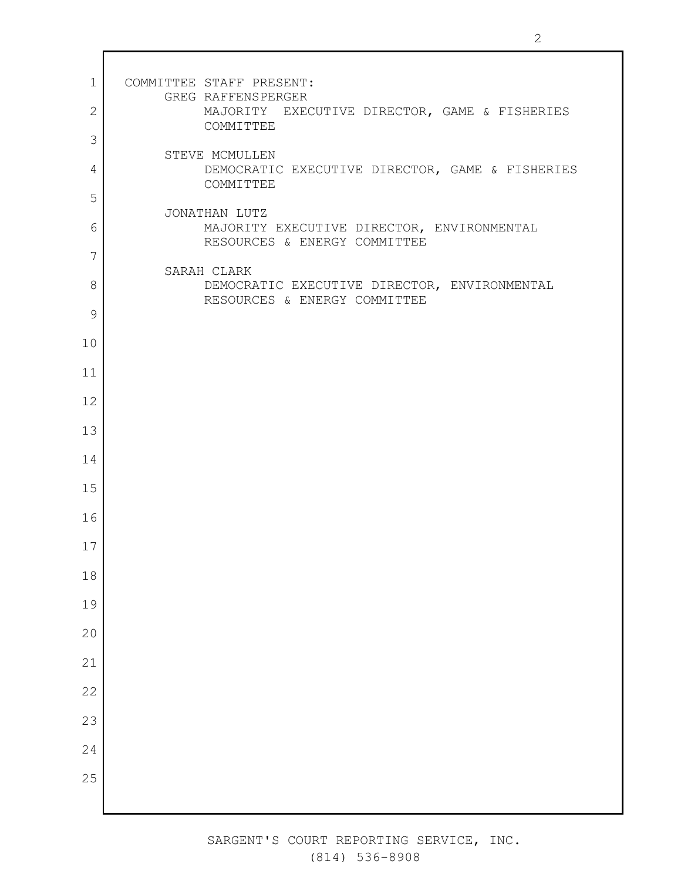| $\mathbf 1$  | COMMITTEE STAFF PRESENT:                                                         |
|--------------|----------------------------------------------------------------------------------|
| $\mathbf{2}$ | GREG RAFFENSPERGER<br>MAJORITY EXECUTIVE DIRECTOR, GAME & FISHERIES<br>COMMITTEE |
| 3            |                                                                                  |
| 4            | STEVE MCMULLEN<br>DEMOCRATIC EXECUTIVE DIRECTOR, GAME & FISHERIES<br>COMMITTEE   |
| 5            | JONATHAN LUTZ                                                                    |
| 6            | MAJORITY EXECUTIVE DIRECTOR, ENVIRONMENTAL<br>RESOURCES & ENERGY COMMITTEE       |
| 7            | SARAH CLARK                                                                      |
| 8            | DEMOCRATIC EXECUTIVE DIRECTOR, ENVIRONMENTAL<br>RESOURCES & ENERGY COMMITTEE     |
| 9            |                                                                                  |
| 10           |                                                                                  |
| 11           |                                                                                  |
| 12           |                                                                                  |
| 13           |                                                                                  |
| 14           |                                                                                  |
| 15           |                                                                                  |
| 16           |                                                                                  |
| 17           |                                                                                  |
| $18\,$       |                                                                                  |
| 19           |                                                                                  |
| 20           |                                                                                  |
| 21           |                                                                                  |
| 22           |                                                                                  |
| 23           |                                                                                  |
| 24           |                                                                                  |
| 25           |                                                                                  |
|              |                                                                                  |

 $\mathsf I$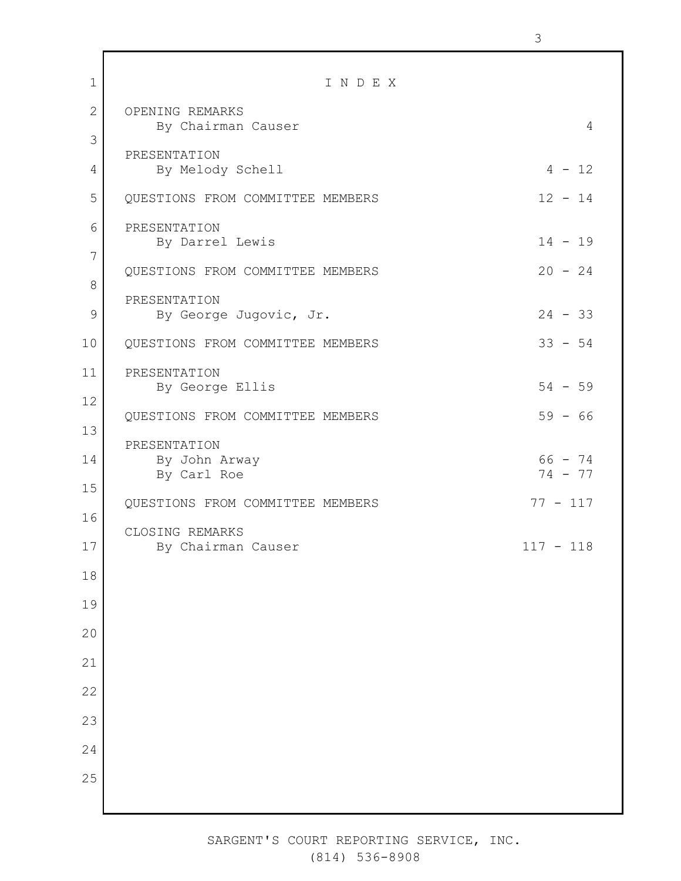| $\mathbf 1$ | INDEX                                        |                        |
|-------------|----------------------------------------------|------------------------|
| 2           | OPENING REMARKS<br>By Chairman Causer        | $\overline{4}$         |
| 3           | PRESENTATION                                 |                        |
| 4           | By Melody Schell                             | $4 - 12$               |
| 5           | QUESTIONS FROM COMMITTEE MEMBERS             | $12 - 14$              |
| 6<br>7      | PRESENTATION<br>By Darrel Lewis              | $14 - 19$              |
| 8           | QUESTIONS FROM COMMITTEE MEMBERS             | $20 - 24$              |
| 9           | PRESENTATION<br>By George Jugovic, Jr.       | $24 - 33$              |
| 10          | QUESTIONS FROM COMMITTEE MEMBERS             | $33 - 54$              |
| 11          | PRESENTATION<br>By George Ellis              | $54 - 59$              |
| 12<br>13    | QUESTIONS FROM COMMITTEE MEMBERS             | $59 - 66$              |
| 14          | PRESENTATION<br>By John Arway<br>By Carl Roe | $66 - 74$<br>$74 - 77$ |
| 15          | QUESTIONS FROM COMMITTEE MEMBERS             | $77 - 117$             |
| 16          | CLOSING REMARKS                              |                        |
| 17          | By Chairman Causer                           | $117 - 118$            |
| 18          |                                              |                        |
| 19          |                                              |                        |
| 20          |                                              |                        |
| 21<br>22    |                                              |                        |
| 23          |                                              |                        |
| 24          |                                              |                        |
| 25          |                                              |                        |
|             |                                              |                        |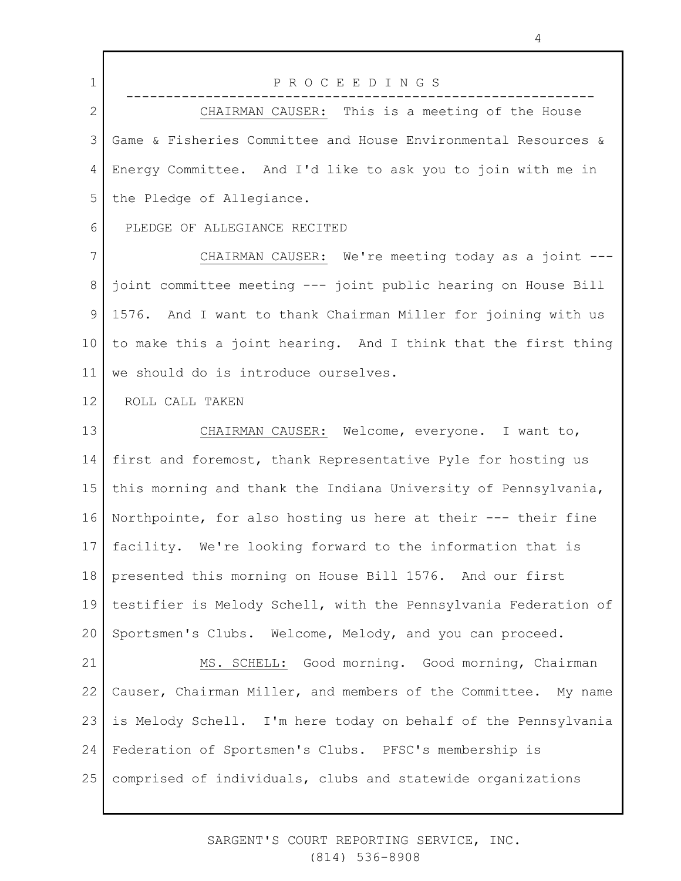| $\mathbf 1$  | PROCEEDINGS                                                     |
|--------------|-----------------------------------------------------------------|
| $\mathbf{2}$ | CHAIRMAN CAUSER: This is a meeting of the House                 |
| 3            | Game & Fisheries Committee and House Environmental Resources &  |
| 4            | Energy Committee. And I'd like to ask you to join with me in    |
| 5            | the Pledge of Allegiance.                                       |
| 6            | PLEDGE OF ALLEGIANCE RECITED                                    |
| 7            | CHAIRMAN CAUSER: We're meeting today as a joint ---             |
| 8            | joint committee meeting --- joint public hearing on House Bill  |
| 9            | 1576. And I want to thank Chairman Miller for joining with us   |
| 10           | to make this a joint hearing. And I think that the first thing  |
| 11           | we should do is introduce ourselves.                            |
| 12           | ROLL CALL TAKEN                                                 |
| 13           | CHAIRMAN CAUSER: Welcome, everyone. I want to,                  |
| 14           | first and foremost, thank Representative Pyle for hosting us    |
| 15           | this morning and thank the Indiana University of Pennsylvania,  |
| 16           | Northpointe, for also hosting us here at their --- their fine   |
| 17           | facility. We're looking forward to the information that is      |
| 18           | presented this morning on House Bill 1576. And our first        |
| 19           | testifier is Melody Schell, with the Pennsylvania Federation of |
| 20           | Sportsmen's Clubs. Welcome, Melody, and you can proceed.        |
| 21           | MS. SCHELL: Good morning. Good morning, Chairman                |
| 22           | Causer, Chairman Miller, and members of the Committee. My name  |
| 23           | is Melody Schell. I'm here today on behalf of the Pennsylvania  |
| 24           | Federation of Sportsmen's Clubs. PFSC's membership is           |
| 25           | comprised of individuals, clubs and statewide organizations     |
|              |                                                                 |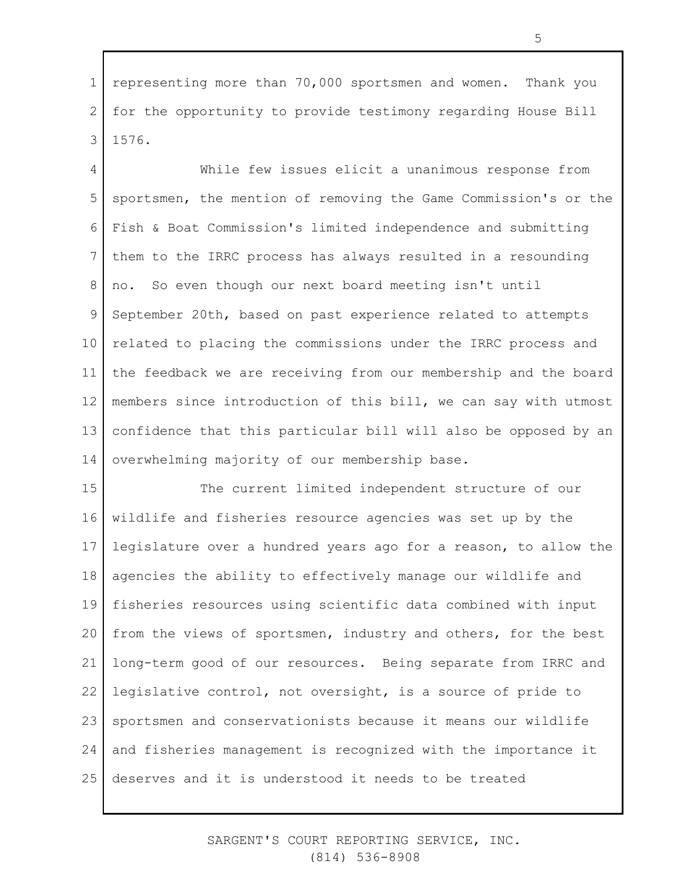1 2 3 representing more than 70,000 sportsmen and women. Thank you for the opportunity to provide testimony regarding House Bill 1576.

4 5 6 7 8 9 10 11 12 13 14 While few issues elicit a unanimous response from sportsmen, the mention of removing the Game Commission's or the Fish & Boat Commission's limited independence and submitting them to the IRRC process has always resulted in a resounding no. So even though our next board meeting isn't until September 20th, based on past experience related to attempts related to placing the commissions under the IRRC process and the feedback we are receiving from our membership and the board members since introduction of this bill, we can say with utmost confidence that this particular bill will also be opposed by an overwhelming majority of our membership base.

15 16 17 18 19 20 21 22 23 24 25 The current limited independent structure of our wildlife and fisheries resource agencies was set up by the legislature over a hundred years ago for a reason, to allow the agencies the ability to effectively manage our wildlife and fisheries resources using scientific data combined with input from the views of sportsmen, industry and others, for the best long-term good of our resources. Being separate from IRRC and legislative control, not oversight, is a source of pride to sportsmen and conservationists because it means our wildlife and fisheries management is recognized with the importance it deserves and it is understood it needs to be treated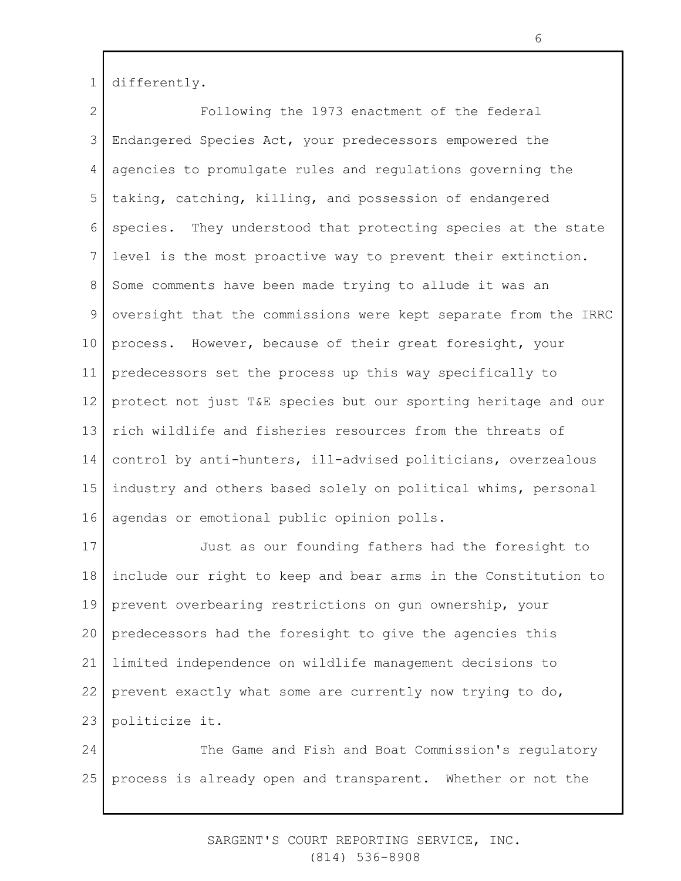1 differently.

2 3 4 5 6 7 8 9 10 11 12 13 14 15 16 Following the 1973 enactment of the federal Endangered Species Act, your predecessors empowered the agencies to promulgate rules and regulations governing the taking, catching, killing, and possession of endangered species. They understood that protecting species at the state level is the most proactive way to prevent their extinction. Some comments have been made trying to allude it was an oversight that the commissions were kept separate from the IRRC process. However, because of their great foresight, your predecessors set the process up this way specifically to protect not just T&E species but our sporting heritage and our rich wildlife and fisheries resources from the threats of control by anti-hunters, ill-advised politicians, overzealous industry and others based solely on political whims, personal agendas or emotional public opinion polls.

17 18 19 20 21 22 23 Just as our founding fathers had the foresight to include our right to keep and bear arms in the Constitution to prevent overbearing restrictions on gun ownership, your predecessors had the foresight to give the agencies this limited independence on wildlife management decisions to prevent exactly what some are currently now trying to do, politicize it.

24 25 The Game and Fish and Boat Commission's regulatory process is already open and transparent. Whether or not the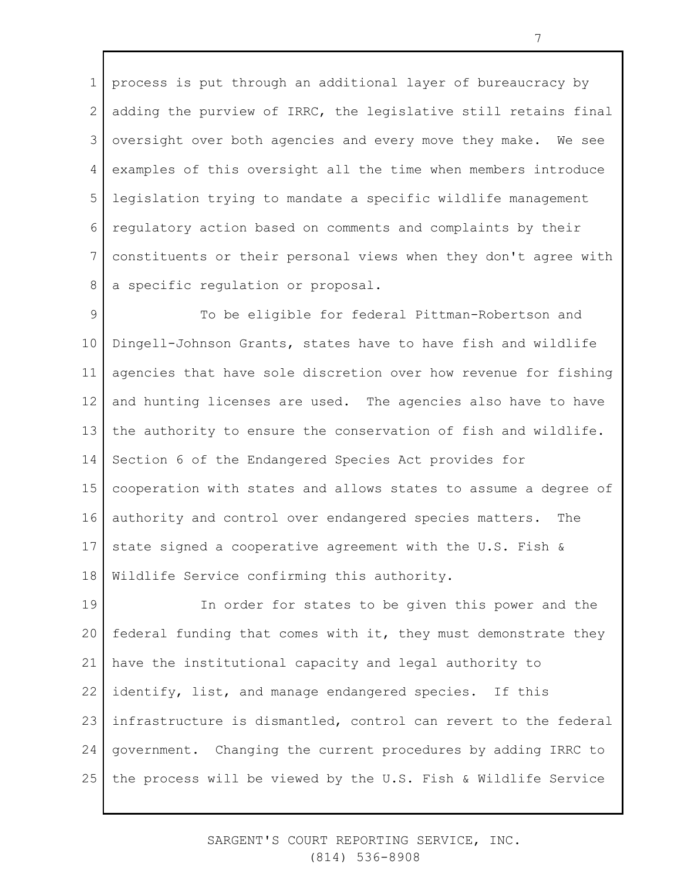1 2 3 4 5 6 7 8 process is put through an additional layer of bureaucracy by adding the purview of IRRC, the legislative still retains final oversight over both agencies and every move they make. We see examples of this oversight all the time when members introduce legislation trying to mandate a specific wildlife management regulatory action based on comments and complaints by their constituents or their personal views when they don't agree with a specific regulation or proposal.

9 10 11 12 13 14 15 16 17 18 To be eligible for federal Pittman-Robertson and Dingell-Johnson Grants, states have to have fish and wildlife agencies that have sole discretion over how revenue for fishing and hunting licenses are used. The agencies also have to have the authority to ensure the conservation of fish and wildlife. Section 6 of the Endangered Species Act provides for cooperation with states and allows states to assume a degree of authority and control over endangered species matters. The state signed a cooperative agreement with the U.S. Fish & Wildlife Service confirming this authority.

19 20 21 22 23 24 25 In order for states to be given this power and the federal funding that comes with it, they must demonstrate they have the institutional capacity and legal authority to identify, list, and manage endangered species. If this infrastructure is dismantled, control can revert to the federal government. Changing the current procedures by adding IRRC to the process will be viewed by the U.S. Fish & Wildlife Service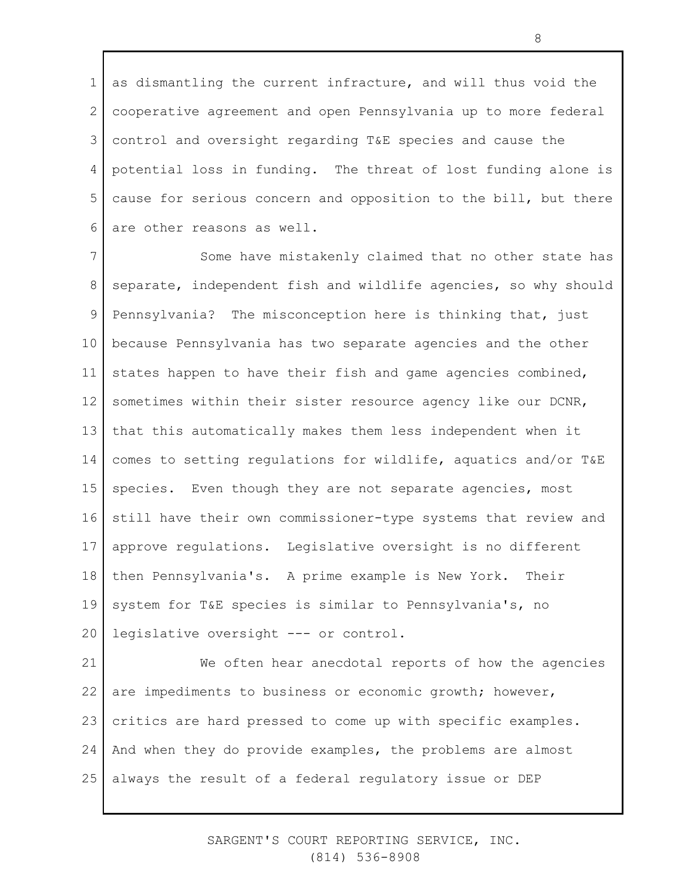1 2 3 4 5 6 as dismantling the current infracture, and will thus void the cooperative agreement and open Pennsylvania up to more federal control and oversight regarding T&E species and cause the potential loss in funding. The threat of lost funding alone is cause for serious concern and opposition to the bill, but there are other reasons as well.

7 8 9 10 11 12 13 14 15 16 17 18 19 20 Some have mistakenly claimed that no other state has separate, independent fish and wildlife agencies, so why should Pennsylvania? The misconception here is thinking that, just because Pennsylvania has two separate agencies and the other states happen to have their fish and game agencies combined, sometimes within their sister resource agency like our DCNR, that this automatically makes them less independent when it comes to setting regulations for wildlife, aquatics and/or T&E species. Even though they are not separate agencies, most still have their own commissioner-type systems that review and approve regulations. Legislative oversight is no different then Pennsylvania's. A prime example is New York. Their system for T&E species is similar to Pennsylvania's, no legislative oversight --- or control.

21 22 23 24 25 We often hear anecdotal reports of how the agencies are impediments to business or economic growth; however, critics are hard pressed to come up with specific examples. And when they do provide examples, the problems are almost always the result of a federal regulatory issue or DEP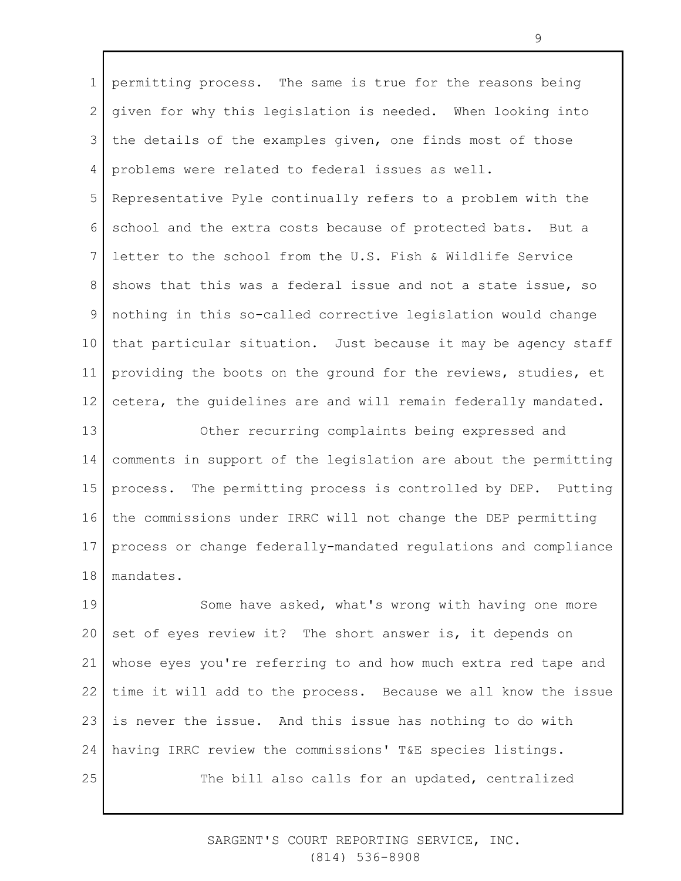1 2 3 4 5 6 7 8 9 10 11 12 13 14 permitting process. The same is true for the reasons being given for why this legislation is needed. When looking into the details of the examples given, one finds most of those problems were related to federal issues as well. Representative Pyle continually refers to a problem with the school and the extra costs because of protected bats. But a letter to the school from the U.S. Fish & Wildlife Service shows that this was a federal issue and not a state issue, so nothing in this so-called corrective legislation would change that particular situation. Just because it may be agency staff providing the boots on the ground for the reviews, studies, et cetera, the guidelines are and will remain federally mandated. Other recurring complaints being expressed and comments in support of the legislation are about the permitting

15 16 17 18 process. The permitting process is controlled by DEP. Putting the commissions under IRRC will not change the DEP permitting process or change federally-mandated regulations and compliance mandates.

19 20 21 22 23 24 25 Some have asked, what's wrong with having one more set of eyes review it? The short answer is, it depends on whose eyes you're referring to and how much extra red tape and time it will add to the process. Because we all know the issue is never the issue. And this issue has nothing to do with having IRRC review the commissions' T&E species listings. The bill also calls for an updated, centralized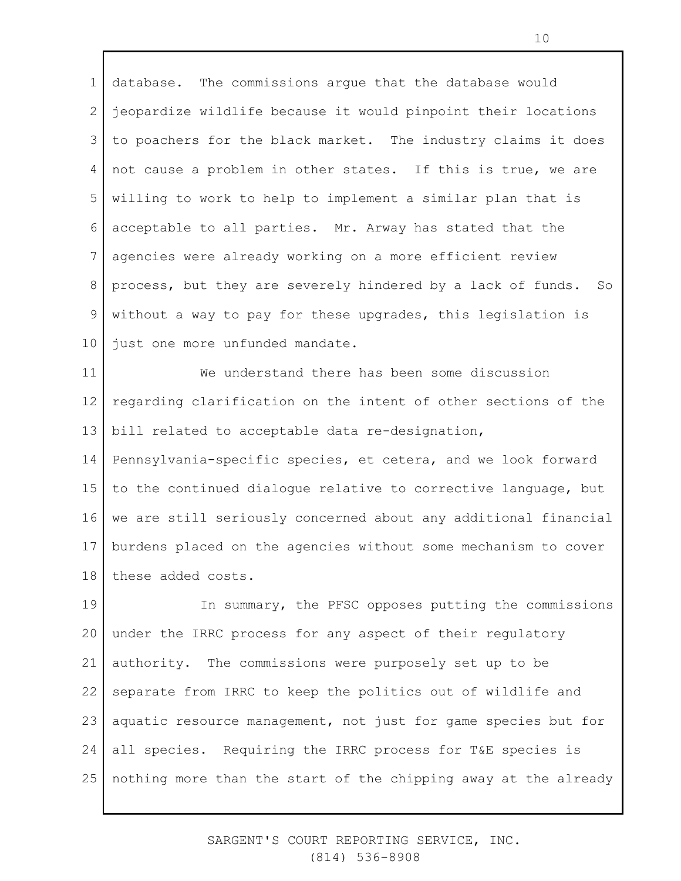1 2 3 4 5 6 7 8 9 10 database. The commissions argue that the database would jeopardize wildlife because it would pinpoint their locations to poachers for the black market. The industry claims it does not cause a problem in other states. If this is true, we are willing to work to help to implement a similar plan that is acceptable to all parties. Mr. Arway has stated that the agencies were already working on a more efficient review process, but they are severely hindered by a lack of funds. So without a way to pay for these upgrades, this legislation is just one more unfunded mandate.

11 12 13 14 15 16 17 18 We understand there has been some discussion regarding clarification on the intent of other sections of the bill related to acceptable data re-designation, Pennsylvania-specific species, et cetera, and we look forward to the continued dialogue relative to corrective language, but we are still seriously concerned about any additional financial burdens placed on the agencies without some mechanism to cover these added costs.

19 20 21 22 23 24 25 In summary, the PFSC opposes putting the commissions under the IRRC process for any aspect of their regulatory authority. The commissions were purposely set up to be separate from IRRC to keep the politics out of wildlife and aquatic resource management, not just for game species but for all species. Requiring the IRRC process for T&E species is nothing more than the start of the chipping away at the already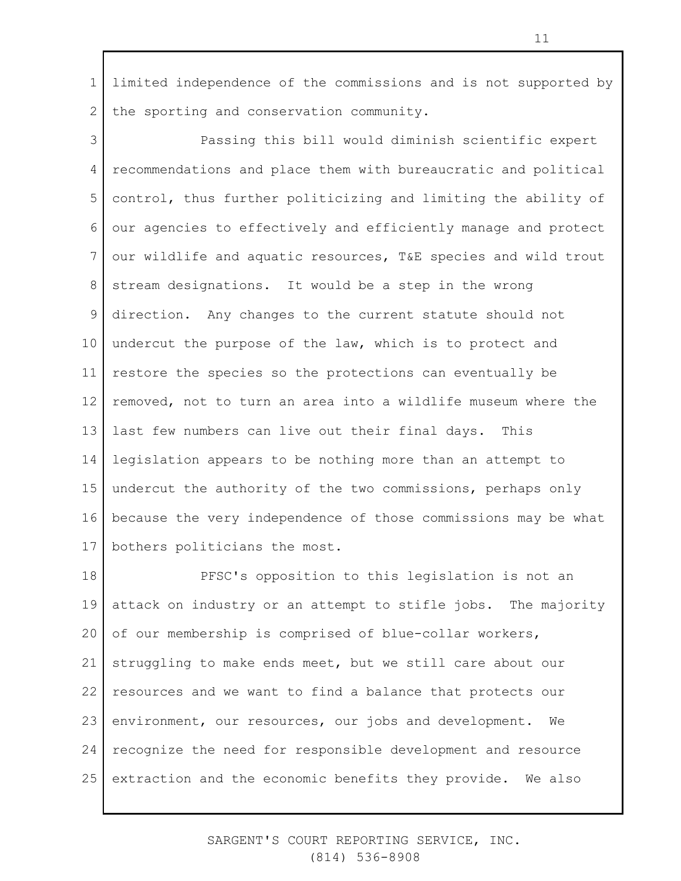1 2 limited independence of the commissions and is not supported by the sporting and conservation community.

3 4 5 6 7 8 9 10 11 12 13 14 15 16 17 Passing this bill would diminish scientific expert recommendations and place them with bureaucratic and political control, thus further politicizing and limiting the ability of our agencies to effectively and efficiently manage and protect our wildlife and aquatic resources, T&E species and wild trout stream designations. It would be a step in the wrong direction. Any changes to the current statute should not undercut the purpose of the law, which is to protect and restore the species so the protections can eventually be removed, not to turn an area into a wildlife museum where the last few numbers can live out their final days. This legislation appears to be nothing more than an attempt to undercut the authority of the two commissions, perhaps only because the very independence of those commissions may be what bothers politicians the most.

18 19 20 21 22 23 24 25 PFSC's opposition to this legislation is not an attack on industry or an attempt to stifle jobs. The majority of our membership is comprised of blue-collar workers, struggling to make ends meet, but we still care about our resources and we want to find a balance that protects our environment, our resources, our jobs and development. We recognize the need for responsible development and resource extraction and the economic benefits they provide. We also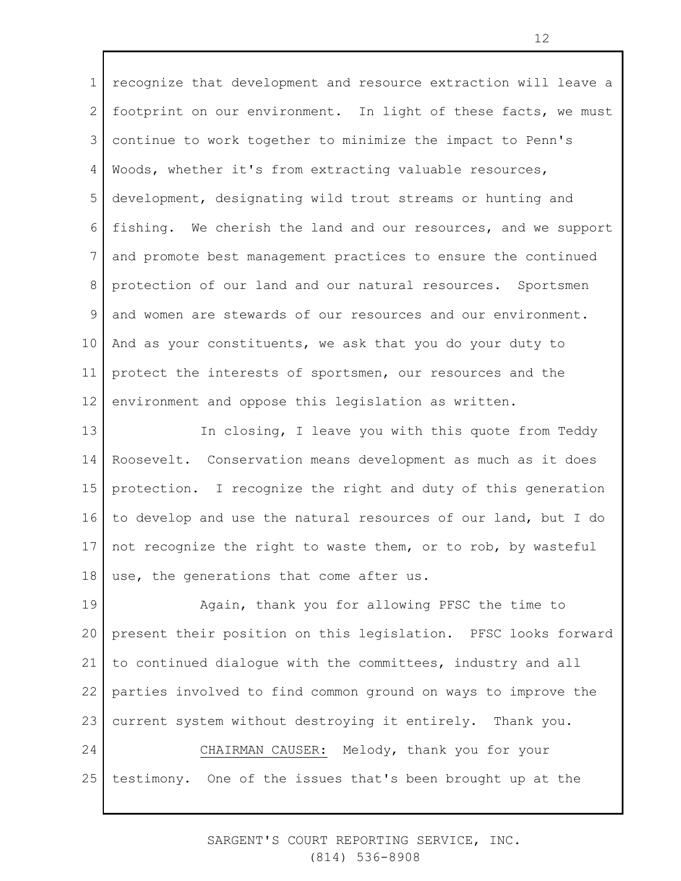1 2 3 4 5 6 7 8 9 10 11 12 recognize that development and resource extraction will leave a footprint on our environment. In light of these facts, we must continue to work together to minimize the impact to Penn's Woods, whether it's from extracting valuable resources, development, designating wild trout streams or hunting and fishing. We cherish the land and our resources, and we support and promote best management practices to ensure the continued protection of our land and our natural resources. Sportsmen and women are stewards of our resources and our environment. And as your constituents, we ask that you do your duty to protect the interests of sportsmen, our resources and the environment and oppose this legislation as written.

13 14 15 16 17 18 In closing, I leave you with this quote from Teddy Roosevelt. Conservation means development as much as it does protection. I recognize the right and duty of this generation to develop and use the natural resources of our land, but I do not recognize the right to waste them, or to rob, by wasteful use, the generations that come after us.

19 20 21 22 23 Again, thank you for allowing PFSC the time to present their position on this legislation. PFSC looks forward to continued dialogue with the committees, industry and all parties involved to find common ground on ways to improve the current system without destroying it entirely. Thank you.

24 25 CHAIRMAN CAUSER: Melody, thank you for your testimony. One of the issues that's been brought up at the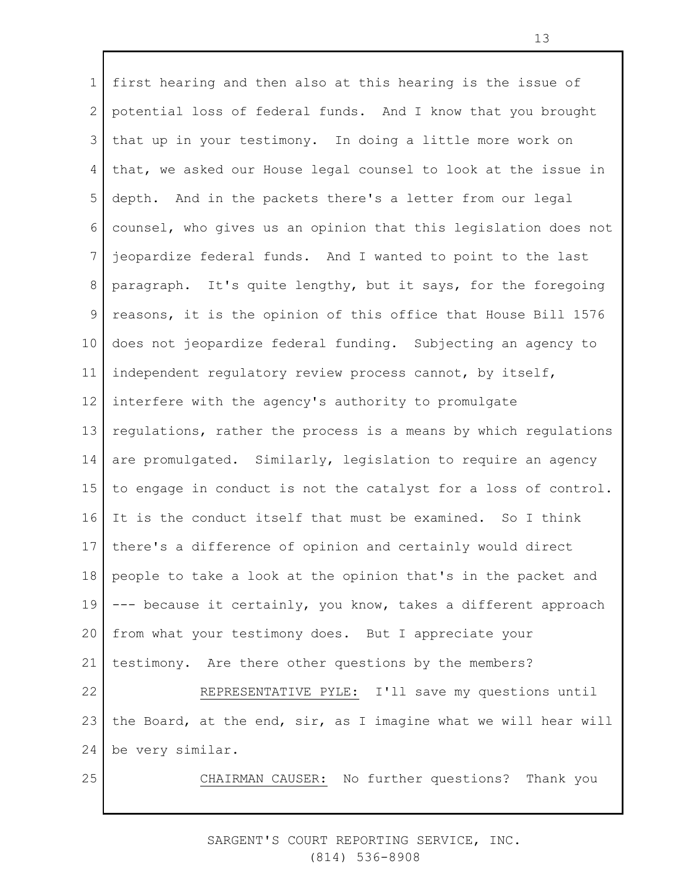1 2 3 4 5 6 7 8 9 10 11 12 13 14 15 16 17 18 19 20 21 22 23 24 25 first hearing and then also at this hearing is the issue of potential loss of federal funds. And I know that you brought that up in your testimony. In doing a little more work on that, we asked our House legal counsel to look at the issue in depth. And in the packets there's a letter from our legal counsel, who gives us an opinion that this legislation does not jeopardize federal funds. And I wanted to point to the last paragraph. It's quite lengthy, but it says, for the foregoing reasons, it is the opinion of this office that House Bill 1576 does not jeopardize federal funding. Subjecting an agency to independent regulatory review process cannot, by itself, interfere with the agency's authority to promulgate regulations, rather the process is a means by which regulations are promulgated. Similarly, legislation to require an agency to engage in conduct is not the catalyst for a loss of control. It is the conduct itself that must be examined. So I think there's a difference of opinion and certainly would direct people to take a look at the opinion that's in the packet and --- because it certainly, you know, takes a different approach from what your testimony does. But I appreciate your testimony. Are there other questions by the members? REPRESENTATIVE PYLE: I'll save my questions until the Board, at the end, sir, as I imagine what we will hear will be very similar. CHAIRMAN CAUSER: No further questions? Thank you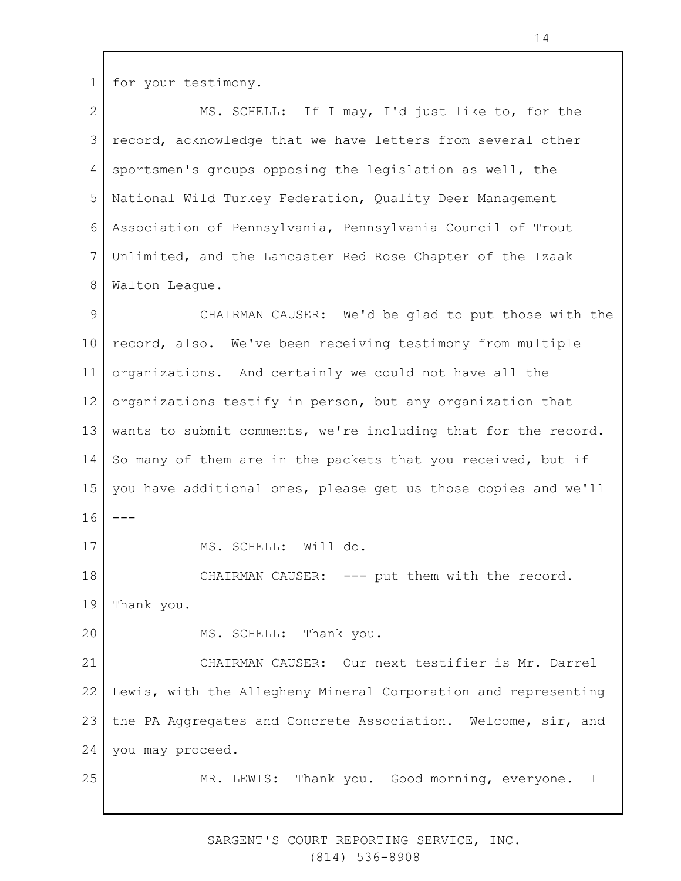1 for your testimony.

2 3 4 5 6 7 8 9 10 11 12 13 14 15 16 17 18 19 20 21 22 23 24 25 MS. SCHELL: If I may, I'd just like to, for the record, acknowledge that we have letters from several other sportsmen's groups opposing the legislation as well, the National Wild Turkey Federation, Quality Deer Management Association of Pennsylvania, Pennsylvania Council of Trout Unlimited, and the Lancaster Red Rose Chapter of the Izaak Walton League. CHAIRMAN CAUSER: We'd be glad to put those with the record, also. We've been receiving testimony from multiple organizations. And certainly we could not have all the organizations testify in person, but any organization that wants to submit comments, we're including that for the record. So many of them are in the packets that you received, but if you have additional ones, please get us those copies and we'll --- MS. SCHELL: Will do. CHAIRMAN CAUSER: --- put them with the record. Thank you. MS. SCHELL: Thank you. CHAIRMAN CAUSER: Our next testifier is Mr. Darrel Lewis, with the Allegheny Mineral Corporation and representing the PA Aggregates and Concrete Association. Welcome, sir, and you may proceed. MR. LEWIS: Thank you. Good morning, everyone. I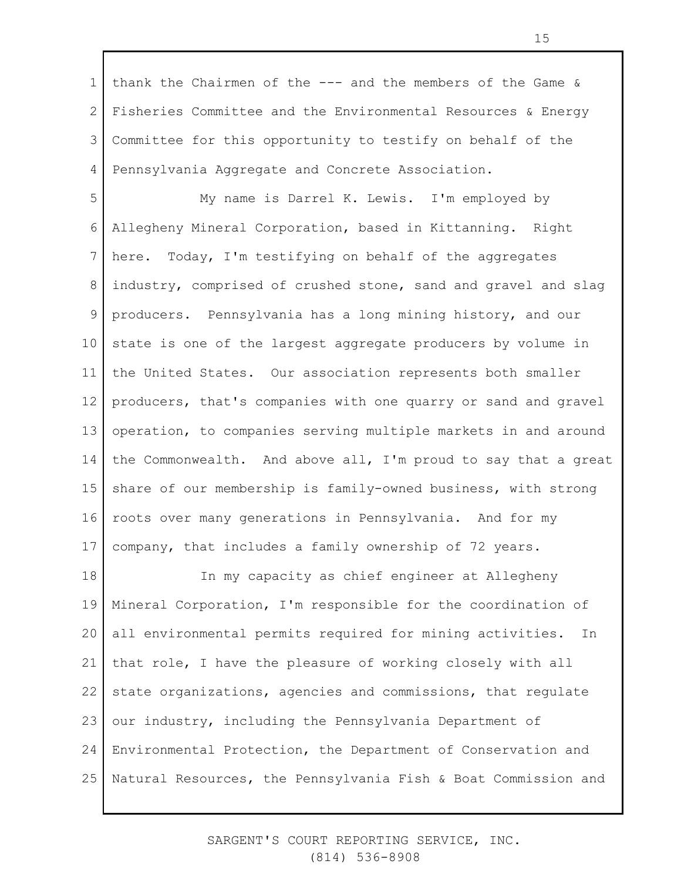1 2 3 4 thank the Chairmen of the --- and the members of the Game & Fisheries Committee and the Environmental Resources & Energy Committee for this opportunity to testify on behalf of the Pennsylvania Aggregate and Concrete Association.

5 6 7 8 9 10 11 12 13 14 15 16 17 My name is Darrel K. Lewis. I'm employed by Allegheny Mineral Corporation, based in Kittanning. Right here. Today, I'm testifying on behalf of the aggregates industry, comprised of crushed stone, sand and gravel and slag producers. Pennsylvania has a long mining history, and our state is one of the largest aggregate producers by volume in the United States. Our association represents both smaller producers, that's companies with one quarry or sand and gravel operation, to companies serving multiple markets in and around the Commonwealth. And above all, I'm proud to say that a great share of our membership is family-owned business, with strong roots over many generations in Pennsylvania. And for my company, that includes a family ownership of 72 years.

18 19 20 21 22 23 24 25 In my capacity as chief engineer at Allegheny Mineral Corporation, I'm responsible for the coordination of all environmental permits required for mining activities. In that role, I have the pleasure of working closely with all state organizations, agencies and commissions, that regulate our industry, including the Pennsylvania Department of Environmental Protection, the Department of Conservation and Natural Resources, the Pennsylvania Fish & Boat Commission and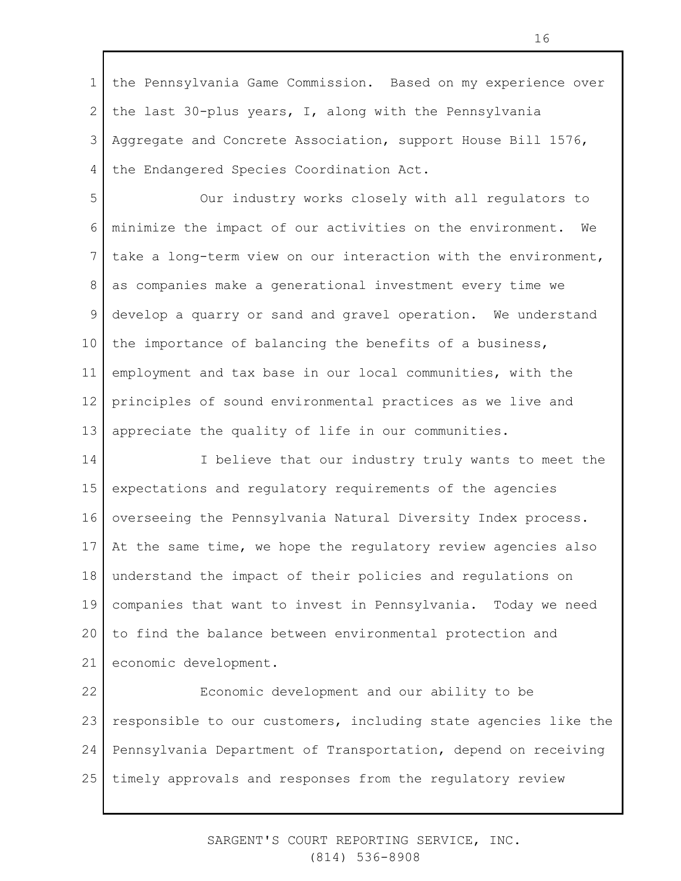1 2 3 4 the Pennsylvania Game Commission. Based on my experience over the last 30-plus years, I, along with the Pennsylvania Aggregate and Concrete Association, support House Bill 1576, the Endangered Species Coordination Act.

5 6 7 8 9 10 11 12 13 Our industry works closely with all regulators to minimize the impact of our activities on the environment. We take a long-term view on our interaction with the environment, as companies make a generational investment every time we develop a quarry or sand and gravel operation. We understand the importance of balancing the benefits of a business, employment and tax base in our local communities, with the principles of sound environmental practices as we live and appreciate the quality of life in our communities.

14 15 16 17 18 19 20 21 I believe that our industry truly wants to meet the expectations and regulatory requirements of the agencies overseeing the Pennsylvania Natural Diversity Index process. At the same time, we hope the regulatory review agencies also understand the impact of their policies and regulations on companies that want to invest in Pennsylvania. Today we need to find the balance between environmental protection and economic development.

22 23 24 25 Economic development and our ability to be responsible to our customers, including state agencies like the Pennsylvania Department of Transportation, depend on receiving timely approvals and responses from the regulatory review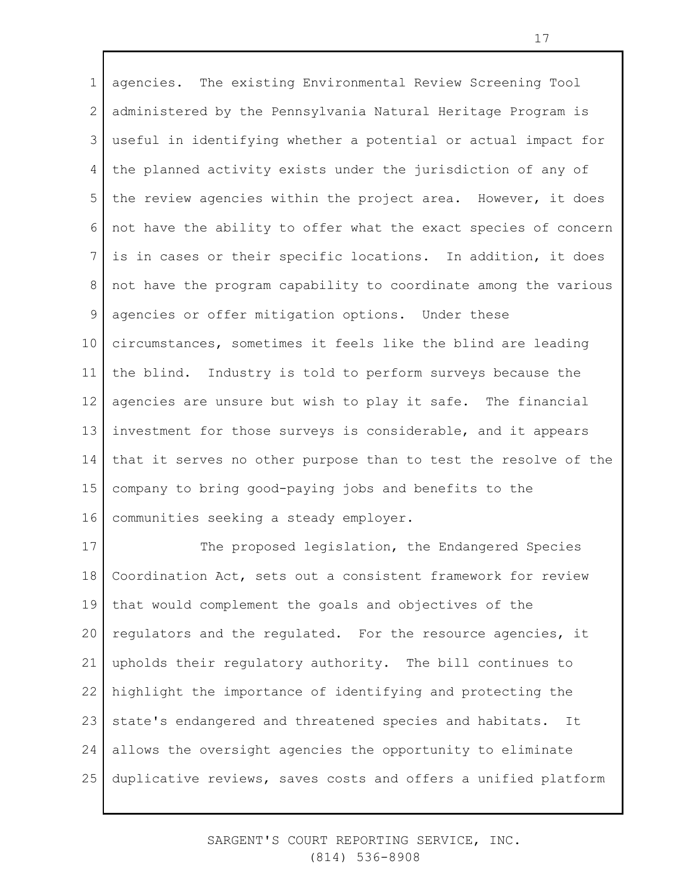1 2 3 4 5 6 7 8 9 10 11 12 13 14 15 16 agencies. The existing Environmental Review Screening Tool administered by the Pennsylvania Natural Heritage Program is useful in identifying whether a potential or actual impact for the planned activity exists under the jurisdiction of any of the review agencies within the project area. However, it does not have the ability to offer what the exact species of concern is in cases or their specific locations. In addition, it does not have the program capability to coordinate among the various agencies or offer mitigation options. Under these circumstances, sometimes it feels like the blind are leading the blind. Industry is told to perform surveys because the agencies are unsure but wish to play it safe. The financial investment for those surveys is considerable, and it appears that it serves no other purpose than to test the resolve of the company to bring good-paying jobs and benefits to the communities seeking a steady employer.

17 18 19 20 21 22 23 24 25 The proposed legislation, the Endangered Species Coordination Act, sets out a consistent framework for review that would complement the goals and objectives of the regulators and the regulated. For the resource agencies, it upholds their regulatory authority. The bill continues to highlight the importance of identifying and protecting the state's endangered and threatened species and habitats. It allows the oversight agencies the opportunity to eliminate duplicative reviews, saves costs and offers a unified platform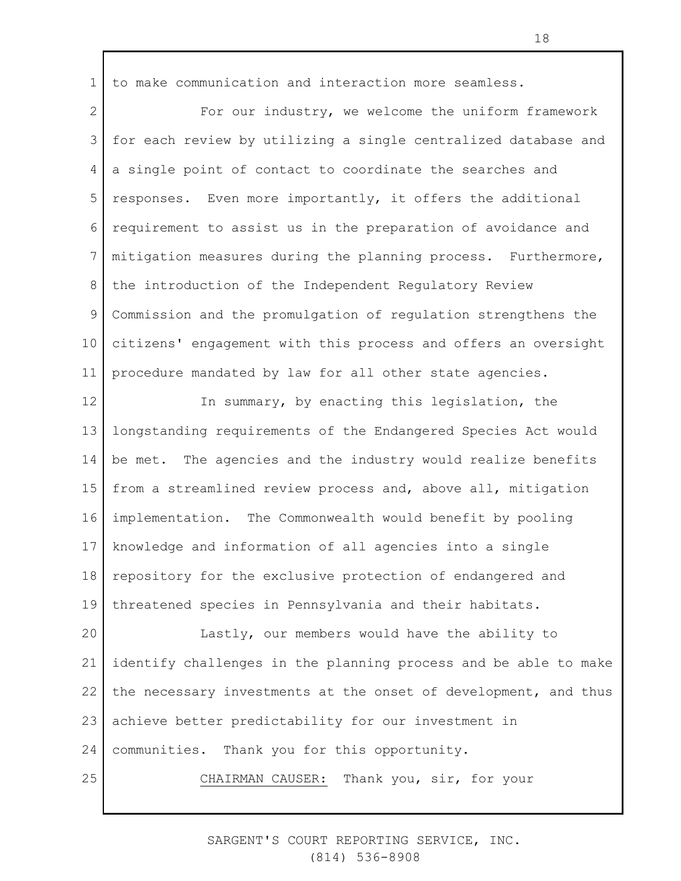1 to make communication and interaction more seamless.

2 3 4 5 6 7 8 9 10 11 For our industry, we welcome the uniform framework for each review by utilizing a single centralized database and a single point of contact to coordinate the searches and responses. Even more importantly, it offers the additional requirement to assist us in the preparation of avoidance and mitigation measures during the planning process. Furthermore, the introduction of the Independent Regulatory Review Commission and the promulgation of regulation strengthens the citizens' engagement with this process and offers an oversight procedure mandated by law for all other state agencies.

12 13 14 15 16 17 18 19 In summary, by enacting this legislation, the longstanding requirements of the Endangered Species Act would be met. The agencies and the industry would realize benefits from a streamlined review process and, above all, mitigation implementation. The Commonwealth would benefit by pooling knowledge and information of all agencies into a single repository for the exclusive protection of endangered and threatened species in Pennsylvania and their habitats.

20 21 22 23 24 25 Lastly, our members would have the ability to identify challenges in the planning process and be able to make the necessary investments at the onset of development, and thus achieve better predictability for our investment in communities. Thank you for this opportunity.

CHAIRMAN CAUSER: Thank you, sir, for your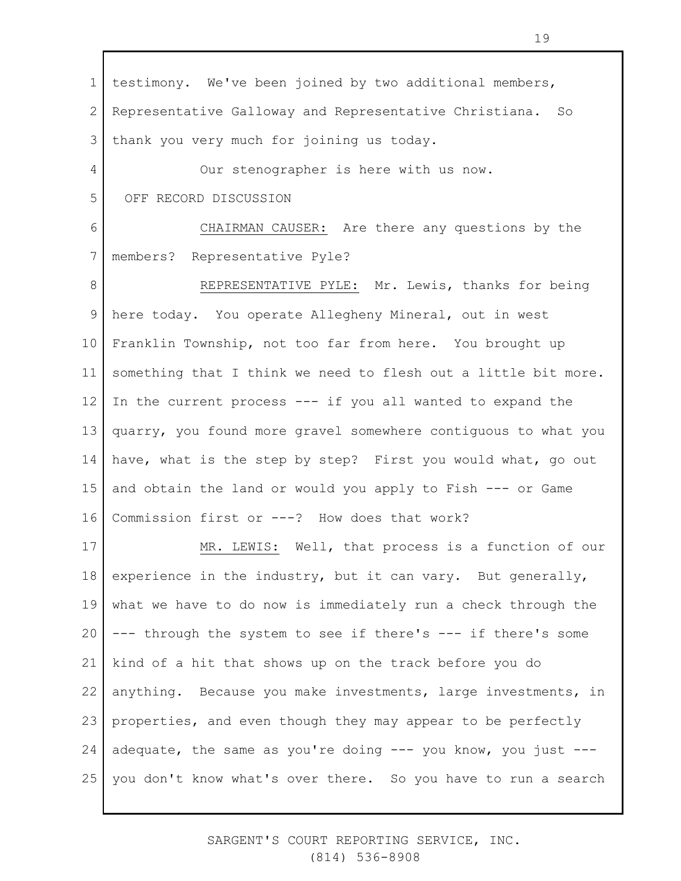1 2 3 4 5 6 7 8 9 10 11 12 13 14 15 16 17 18 19 20 21 22 23 24 25 testimony. We've been joined by two additional members, Representative Galloway and Representative Christiana. So thank you very much for joining us today. Our stenographer is here with us now. OFF RECORD DISCUSSION CHAIRMAN CAUSER: Are there any questions by the members? Representative Pyle? REPRESENTATIVE PYLE: Mr. Lewis, thanks for being here today. You operate Allegheny Mineral, out in west Franklin Township, not too far from here. You brought up something that I think we need to flesh out a little bit more. In the current process --- if you all wanted to expand the quarry, you found more gravel somewhere contiguous to what you have, what is the step by step? First you would what, go out and obtain the land or would you apply to Fish --- or Game Commission first or ---? How does that work? MR. LEWIS: Well, that process is a function of our experience in the industry, but it can vary. But generally, what we have to do now is immediately run a check through the --- through the system to see if there's --- if there's some kind of a hit that shows up on the track before you do anything. Because you make investments, large investments, in properties, and even though they may appear to be perfectly adequate, the same as you're doing --- you know, you just -- you don't know what's over there. So you have to run a search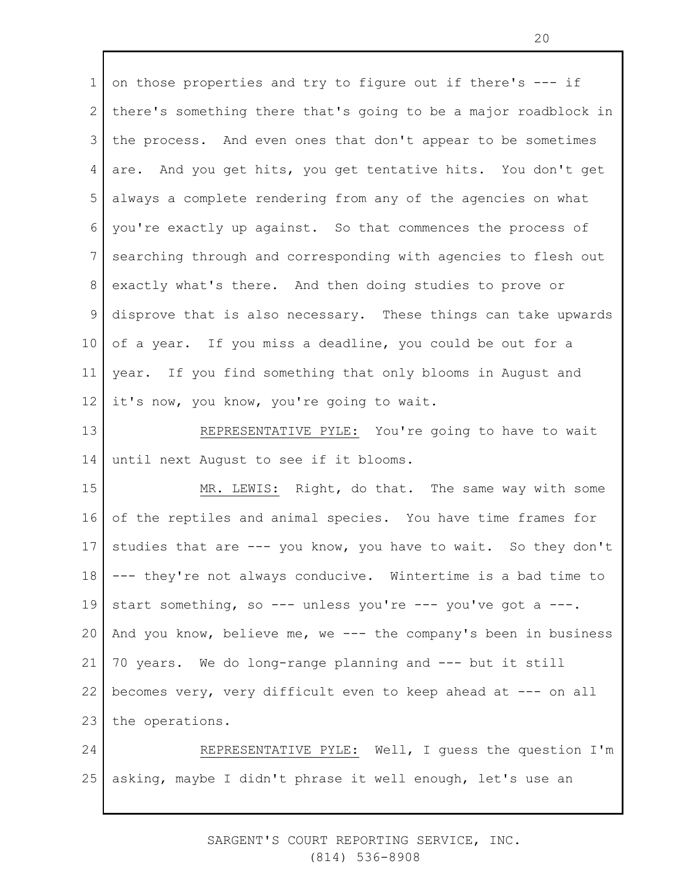1 2 3 4 5 6 7 8 9 10 11 12 13 14 15 on those properties and try to figure out if there's --- if there's something there that's going to be a major roadblock in the process. And even ones that don't appear to be sometimes are. And you get hits, you get tentative hits. You don't get always a complete rendering from any of the agencies on what you're exactly up against. So that commences the process of searching through and corresponding with agencies to flesh out exactly what's there. And then doing studies to prove or disprove that is also necessary. These things can take upwards of a year. If you miss a deadline, you could be out for a year. If you find something that only blooms in August and it's now, you know, you're going to wait. REPRESENTATIVE PYLE: You're going to have to wait until next August to see if it blooms. MR. LEWIS: Right, do that. The same way with some

16 17 18 19 20 21 22 23 of the reptiles and animal species. You have time frames for studies that are --- you know, you have to wait. So they don't --- they're not always conducive. Wintertime is a bad time to start something, so --- unless you're --- you've got a ---. And you know, believe me, we --- the company's been in business 70 years. We do long-range planning and --- but it still becomes very, very difficult even to keep ahead at --- on all the operations.

24 25 REPRESENTATIVE PYLE: Well, I guess the question I'm asking, maybe I didn't phrase it well enough, let's use an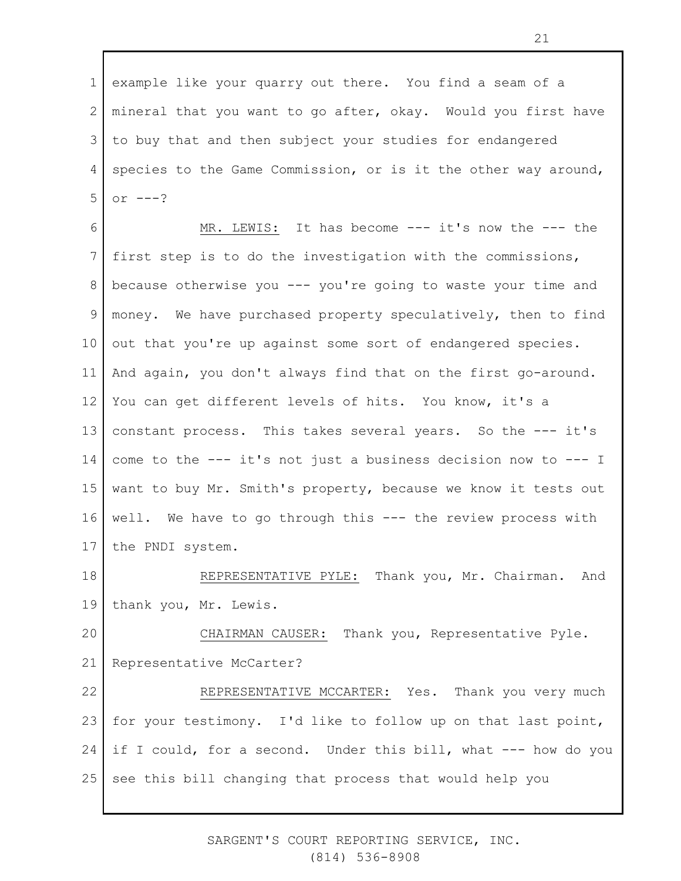1 2 3 4 5 example like your quarry out there. You find a seam of a mineral that you want to go after, okay. Would you first have to buy that and then subject your studies for endangered species to the Game Commission, or is it the other way around, or  $---?$ 

6 7 8 9 10 11 12 13 14 15 16 17 MR. LEWIS: It has become --- it's now the --- the first step is to do the investigation with the commissions, because otherwise you --- you're going to waste your time and money. We have purchased property speculatively, then to find out that you're up against some sort of endangered species. And again, you don't always find that on the first go-around. You can get different levels of hits. You know, it's a constant process. This takes several years. So the --- it's come to the --- it's not just a business decision now to --- I want to buy Mr. Smith's property, because we know it tests out well. We have to go through this --- the review process with the PNDI system.

18 19 REPRESENTATIVE PYLE: Thank you, Mr. Chairman. And thank you, Mr. Lewis.

20 21 CHAIRMAN CAUSER: Thank you, Representative Pyle. Representative McCarter?

22 23 24 25 REPRESENTATIVE MCCARTER: Yes. Thank you very much for your testimony. I'd like to follow up on that last point, if I could, for a second. Under this bill, what --- how do you see this bill changing that process that would help you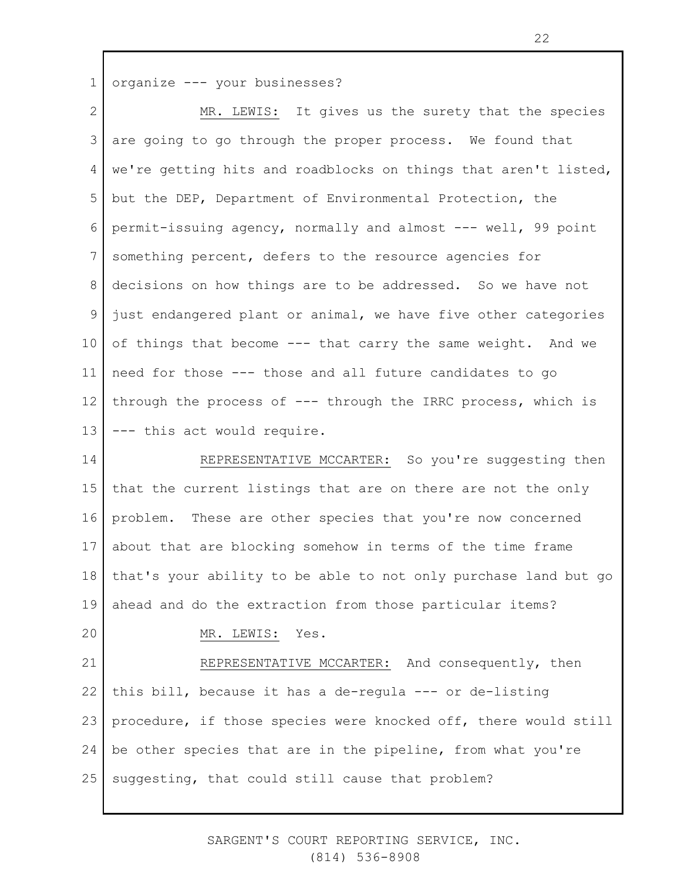1 organize --- your businesses?

2 3 4 5 6 7 8 9 10 11 12 13 MR. LEWIS: It gives us the surety that the species are going to go through the proper process. We found that we're getting hits and roadblocks on things that aren't listed, but the DEP, Department of Environmental Protection, the permit-issuing agency, normally and almost --- well, 99 point something percent, defers to the resource agencies for decisions on how things are to be addressed. So we have not just endangered plant or animal, we have five other categories of things that become --- that carry the same weight. And we need for those --- those and all future candidates to go through the process of --- through the IRRC process, which is --- this act would require.

14 15 16 17 18 19 20 REPRESENTATIVE MCCARTER: So you're suggesting then that the current listings that are on there are not the only problem. These are other species that you're now concerned about that are blocking somehow in terms of the time frame that's your ability to be able to not only purchase land but go ahead and do the extraction from those particular items? MR. LEWIS: Yes.

21 22 23 24 25 REPRESENTATIVE MCCARTER: And consequently, then this bill, because it has a de-regula --- or de-listing procedure, if those species were knocked off, there would still be other species that are in the pipeline, from what you're suggesting, that could still cause that problem?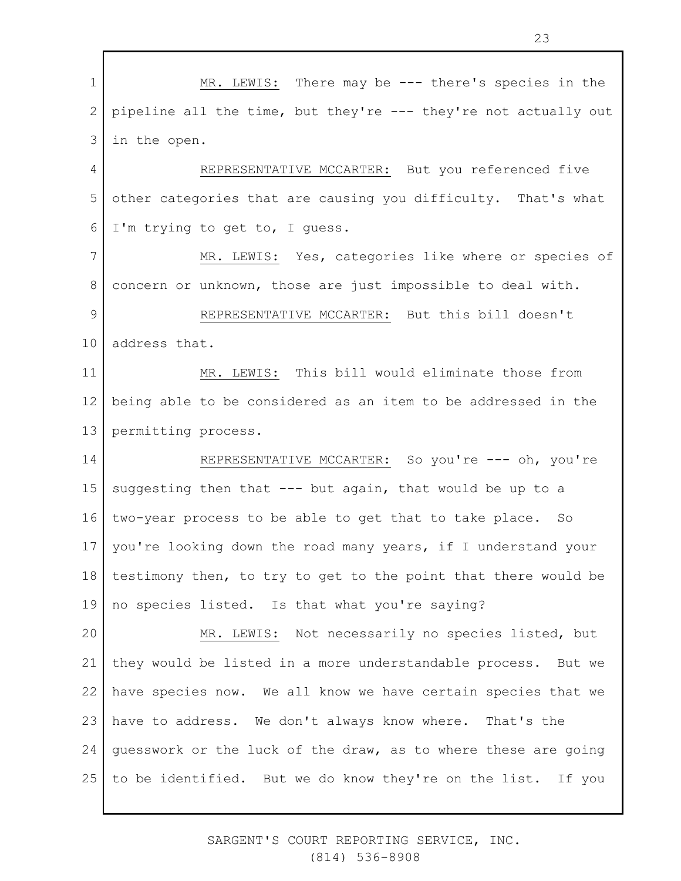1 2 3 4 5 6 7 8 9 10 11 12 13 14 15 16 17 18 19 20 21 22 23 24 25 MR. LEWIS: There may be --- there's species in the pipeline all the time, but they're --- they're not actually out in the open. REPRESENTATIVE MCCARTER: But you referenced five other categories that are causing you difficulty. That's what I'm trying to get to, I guess. MR. LEWIS: Yes, categories like where or species of concern or unknown, those are just impossible to deal with. REPRESENTATIVE MCCARTER: But this bill doesn't address that. MR. LEWIS: This bill would eliminate those from being able to be considered as an item to be addressed in the permitting process. REPRESENTATIVE MCCARTER: So you're --- oh, you're suggesting then that  $---$  but again, that would be up to a two-year process to be able to get that to take place. So you're looking down the road many years, if I understand your testimony then, to try to get to the point that there would be no species listed. Is that what you're saying? MR. LEWIS: Not necessarily no species listed, but they would be listed in a more understandable process. But we have species now. We all know we have certain species that we have to address. We don't always know where. That's the guesswork or the luck of the draw, as to where these are going to be identified. But we do know they're on the list. If you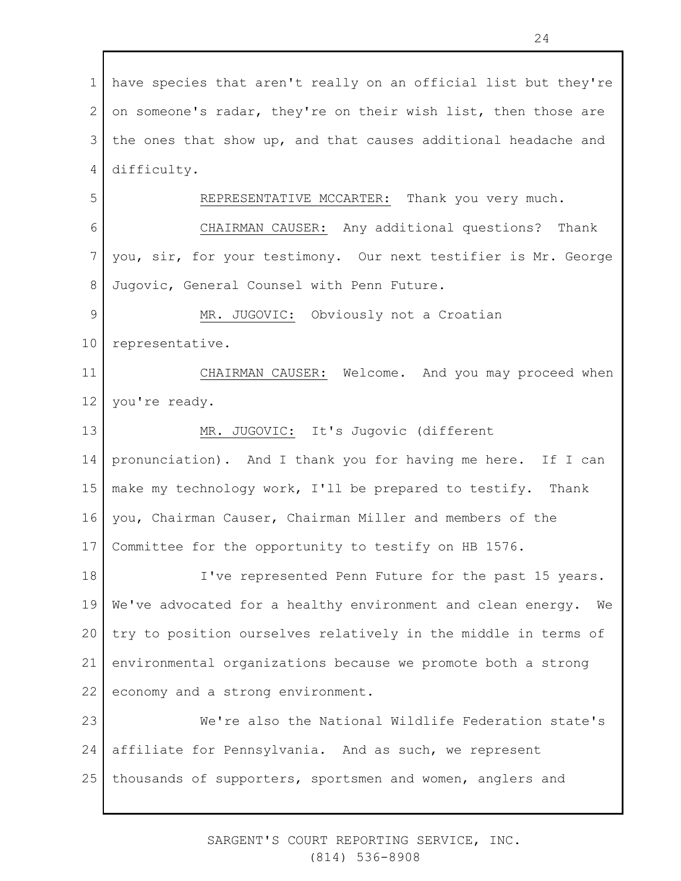1 2 3 4 5 6 7 8 9 10 11 12 13 14 15 16 17 18 19 20 21 22 23 24 25 have species that aren't really on an official list but they're on someone's radar, they're on their wish list, then those are the ones that show up, and that causes additional headache and difficulty. REPRESENTATIVE MCCARTER: Thank you very much. CHAIRMAN CAUSER: Any additional questions? Thank you, sir, for your testimony. Our next testifier is Mr. George Jugovic, General Counsel with Penn Future. MR. JUGOVIC: Obviously not a Croatian representative. CHAIRMAN CAUSER: Welcome. And you may proceed when you're ready. MR. JUGOVIC: It's Jugovic (different pronunciation). And I thank you for having me here. If I can make my technology work, I'll be prepared to testify. Thank you, Chairman Causer, Chairman Miller and members of the Committee for the opportunity to testify on HB 1576. I've represented Penn Future for the past 15 years. We've advocated for a healthy environment and clean energy. We try to position ourselves relatively in the middle in terms of environmental organizations because we promote both a strong economy and a strong environment. We're also the National Wildlife Federation state's affiliate for Pennsylvania. And as such, we represent thousands of supporters, sportsmen and women, anglers and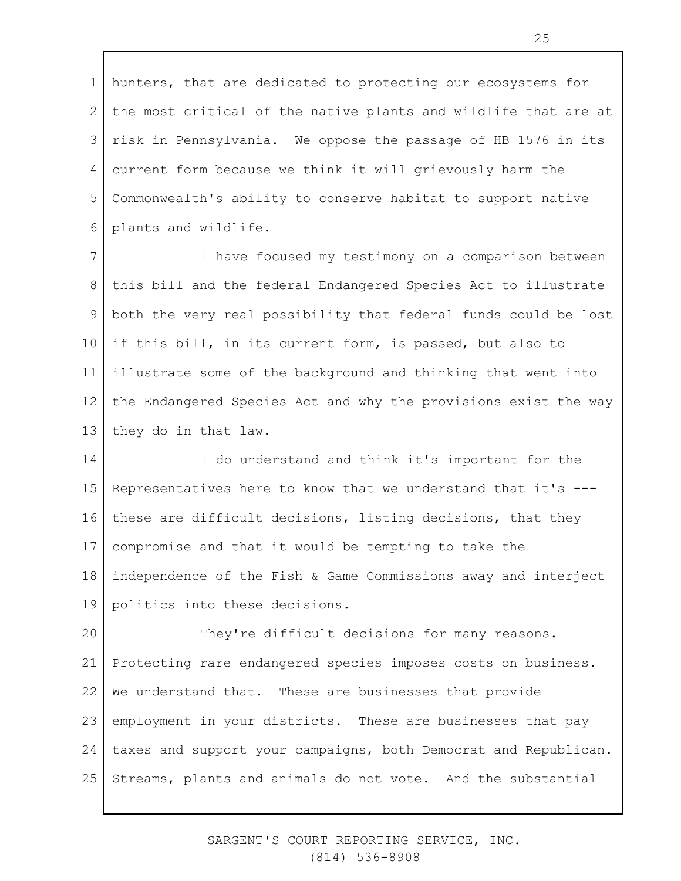1 2 3 4 5 6 hunters, that are dedicated to protecting our ecosystems for the most critical of the native plants and wildlife that are at risk in Pennsylvania. We oppose the passage of HB 1576 in its current form because we think it will grievously harm the Commonwealth's ability to conserve habitat to support native plants and wildlife.

7 8 9 10 11 12 13 I have focused my testimony on a comparison between this bill and the federal Endangered Species Act to illustrate both the very real possibility that federal funds could be lost if this bill, in its current form, is passed, but also to illustrate some of the background and thinking that went into the Endangered Species Act and why the provisions exist the way they do in that law.

14 15 16 17 18 19 I do understand and think it's important for the Representatives here to know that we understand that it's -- these are difficult decisions, listing decisions, that they compromise and that it would be tempting to take the independence of the Fish & Game Commissions away and interject politics into these decisions.

20 21 22 23 24 25 They're difficult decisions for many reasons. Protecting rare endangered species imposes costs on business. We understand that. These are businesses that provide employment in your districts. These are businesses that pay taxes and support your campaigns, both Democrat and Republican. Streams, plants and animals do not vote. And the substantial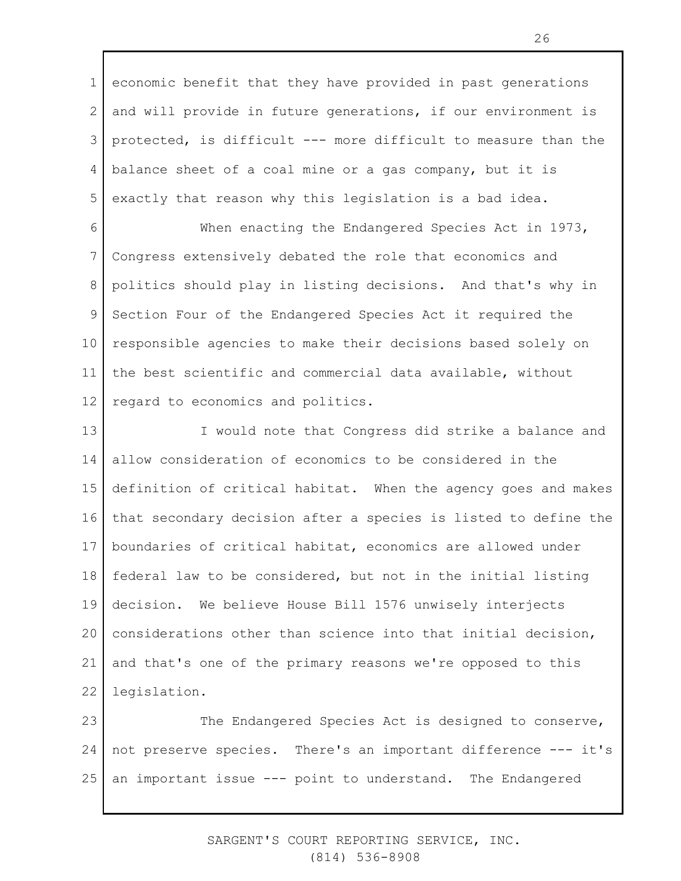1 2 3 4 5 economic benefit that they have provided in past generations and will provide in future generations, if our environment is protected, is difficult --- more difficult to measure than the balance sheet of a coal mine or a gas company, but it is exactly that reason why this legislation is a bad idea.

6 7 8 9 10 11 12 When enacting the Endangered Species Act in 1973, Congress extensively debated the role that economics and politics should play in listing decisions. And that's why in Section Four of the Endangered Species Act it required the responsible agencies to make their decisions based solely on the best scientific and commercial data available, without regard to economics and politics.

13 14 15 16 17 18 19 20 21 22 I would note that Congress did strike a balance and allow consideration of economics to be considered in the definition of critical habitat. When the agency goes and makes that secondary decision after a species is listed to define the boundaries of critical habitat, economics are allowed under federal law to be considered, but not in the initial listing decision. We believe House Bill 1576 unwisely interjects considerations other than science into that initial decision, and that's one of the primary reasons we're opposed to this legislation.

23 24 25 The Endangered Species Act is designed to conserve, not preserve species. There's an important difference --- it's an important issue --- point to understand. The Endangered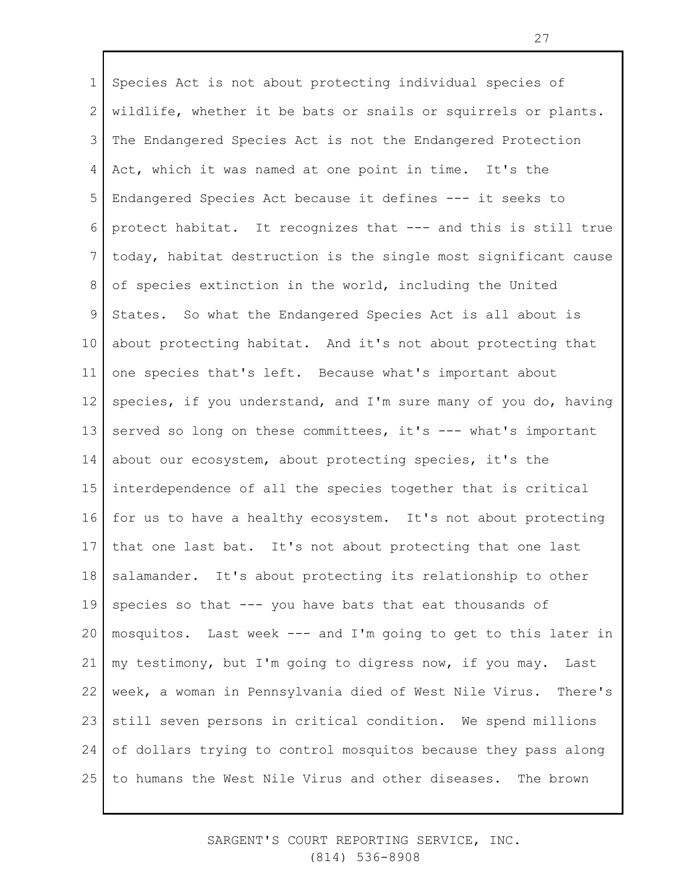1 2 3 4 5 6 7 8 9 10 11 12 13 14 15 16 17 18 19 20 21 22 23 24 25 Species Act is not about protecting individual species of wildlife, whether it be bats or snails or squirrels or plants. The Endangered Species Act is not the Endangered Protection Act, which it was named at one point in time. It's the Endangered Species Act because it defines --- it seeks to protect habitat. It recognizes that --- and this is still true today, habitat destruction is the single most significant cause of species extinction in the world, including the United States. So what the Endangered Species Act is all about is about protecting habitat. And it's not about protecting that one species that's left. Because what's important about species, if you understand, and I'm sure many of you do, having served so long on these committees, it's --- what's important about our ecosystem, about protecting species, it's the interdependence of all the species together that is critical for us to have a healthy ecosystem. It's not about protecting that one last bat. It's not about protecting that one last salamander. It's about protecting its relationship to other species so that --- you have bats that eat thousands of mosquitos. Last week --- and I'm going to get to this later in my testimony, but I'm going to digress now, if you may. Last week, a woman in Pennsylvania died of West Nile Virus. There's still seven persons in critical condition. We spend millions of dollars trying to control mosquitos because they pass along to humans the West Nile Virus and other diseases. The brown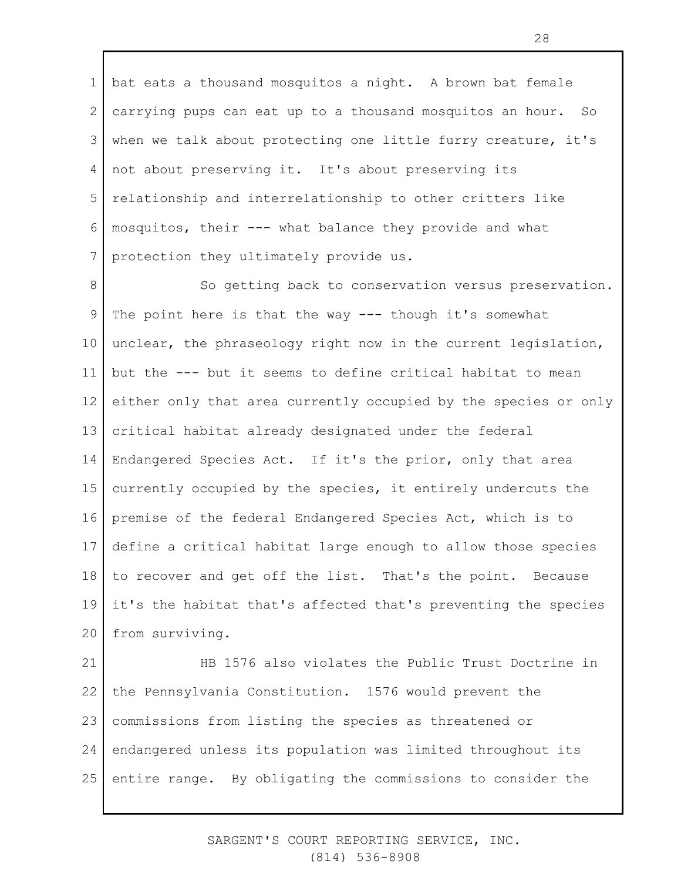1 2 3 4 5 6 7 bat eats a thousand mosquitos a night. A brown bat female carrying pups can eat up to a thousand mosquitos an hour. So when we talk about protecting one little furry creature, it's not about preserving it. It's about preserving its relationship and interrelationship to other critters like mosquitos, their --- what balance they provide and what protection they ultimately provide us.

8 9 10 11 12 13 14 15 16 17 18 19 20 So getting back to conservation versus preservation. The point here is that the way --- though it's somewhat unclear, the phraseology right now in the current legislation, but the --- but it seems to define critical habitat to mean either only that area currently occupied by the species or only critical habitat already designated under the federal Endangered Species Act. If it's the prior, only that area currently occupied by the species, it entirely undercuts the premise of the federal Endangered Species Act, which is to define a critical habitat large enough to allow those species to recover and get off the list. That's the point. Because it's the habitat that's affected that's preventing the species from surviving.

21 22 23 24 25 HB 1576 also violates the Public Trust Doctrine in the Pennsylvania Constitution. 1576 would prevent the commissions from listing the species as threatened or endangered unless its population was limited throughout its entire range. By obligating the commissions to consider the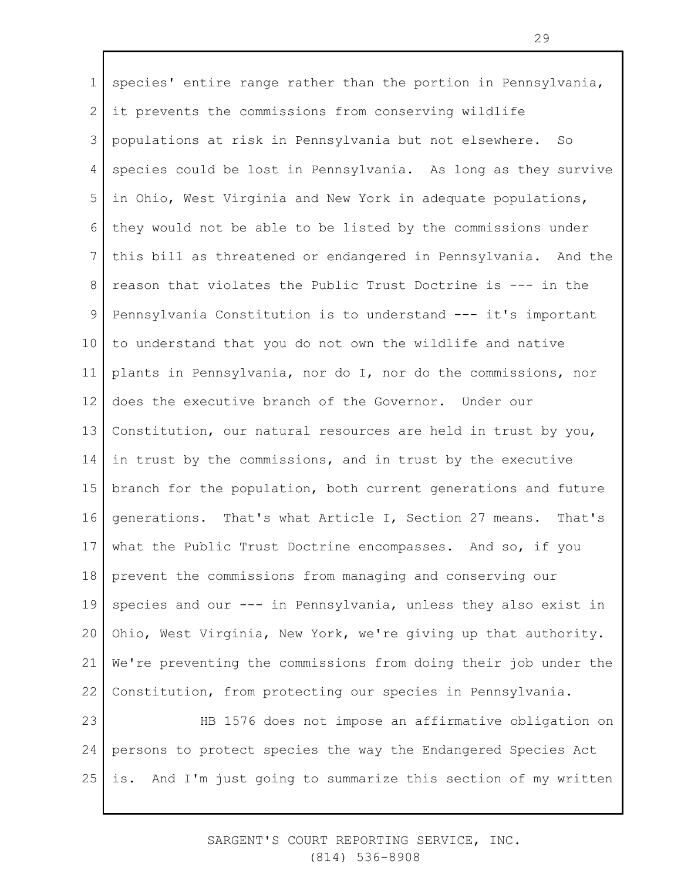1 2 3 4 5 6 7 8 9 10 11 12 13 14 15 16 17 18 19 20 21 22 23 24 species' entire range rather than the portion in Pennsylvania, it prevents the commissions from conserving wildlife populations at risk in Pennsylvania but not elsewhere. So species could be lost in Pennsylvania. As long as they survive in Ohio, West Virginia and New York in adequate populations, they would not be able to be listed by the commissions under this bill as threatened or endangered in Pennsylvania. And the reason that violates the Public Trust Doctrine is --- in the Pennsylvania Constitution is to understand --- it's important to understand that you do not own the wildlife and native plants in Pennsylvania, nor do I, nor do the commissions, nor does the executive branch of the Governor. Under our Constitution, our natural resources are held in trust by you, in trust by the commissions, and in trust by the executive branch for the population, both current generations and future generations. That's what Article I, Section 27 means. That's what the Public Trust Doctrine encompasses. And so, if you prevent the commissions from managing and conserving our species and our --- in Pennsylvania, unless they also exist in Ohio, West Virginia, New York, we're giving up that authority. We're preventing the commissions from doing their job under the Constitution, from protecting our species in Pennsylvania. HB 1576 does not impose an affirmative obligation on persons to protect species the way the Endangered Species Act

25 is. And I'm just going to summarize this section of my written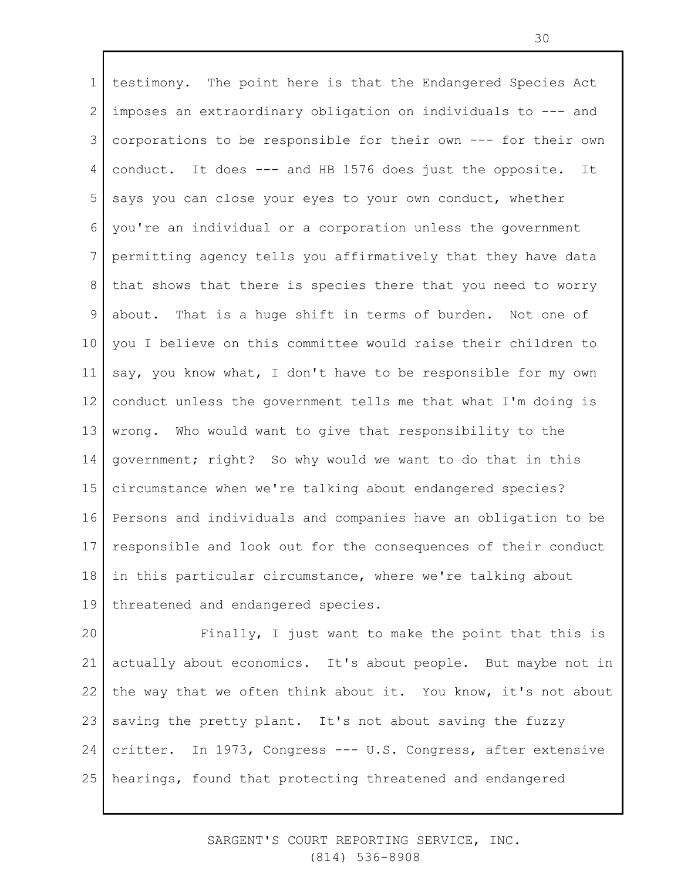1 2 3 4 5 6 7 8 9 10 11 12 13 14 15 16 17 18 19 testimony. The point here is that the Endangered Species Act imposes an extraordinary obligation on individuals to --- and corporations to be responsible for their own --- for their own conduct. It does --- and HB 1576 does just the opposite. It says you can close your eyes to your own conduct, whether you're an individual or a corporation unless the government permitting agency tells you affirmatively that they have data that shows that there is species there that you need to worry about. That is a huge shift in terms of burden. Not one of you I believe on this committee would raise their children to say, you know what, I don't have to be responsible for my own conduct unless the government tells me that what I'm doing is wrong. Who would want to give that responsibility to the government; right? So why would we want to do that in this circumstance when we're talking about endangered species? Persons and individuals and companies have an obligation to be responsible and look out for the consequences of their conduct in this particular circumstance, where we're talking about threatened and endangered species.

20 21 22 23 24 25 Finally, I just want to make the point that this is actually about economics. It's about people. But maybe not in the way that we often think about it. You know, it's not about saving the pretty plant. It's not about saving the fuzzy critter. In 1973, Congress --- U.S. Congress, after extensive hearings, found that protecting threatened and endangered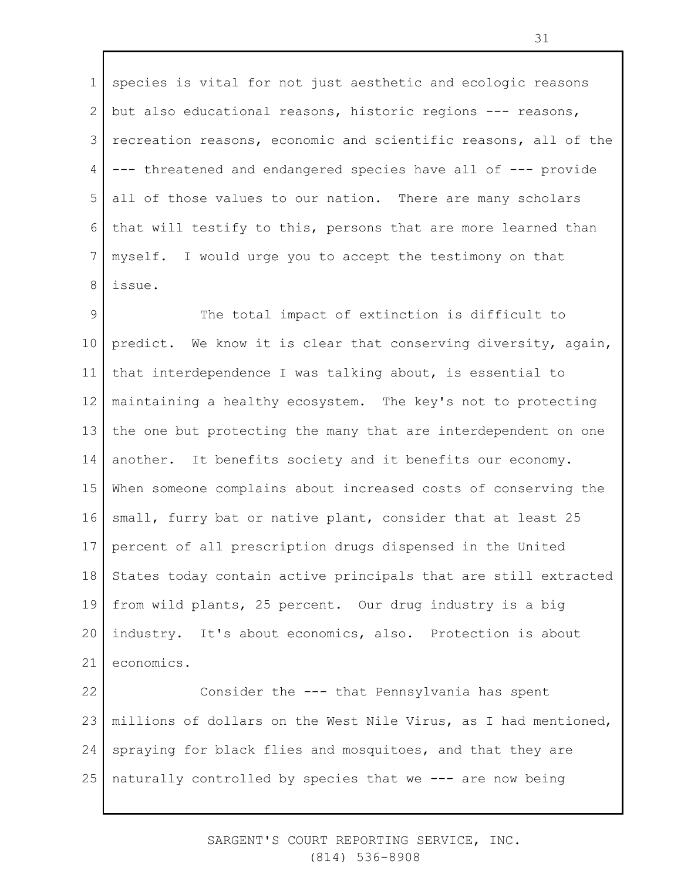1 2 3 4 5 6 7 8 species is vital for not just aesthetic and ecologic reasons but also educational reasons, historic regions --- reasons, recreation reasons, economic and scientific reasons, all of the --- threatened and endangered species have all of --- provide all of those values to our nation. There are many scholars that will testify to this, persons that are more learned than myself. I would urge you to accept the testimony on that issue.

9 10 11 12 13 14 15 16 17 18 19 20 21 22 The total impact of extinction is difficult to predict. We know it is clear that conserving diversity, again, that interdependence I was talking about, is essential to maintaining a healthy ecosystem. The key's not to protecting the one but protecting the many that are interdependent on one another. It benefits society and it benefits our economy. When someone complains about increased costs of conserving the small, furry bat or native plant, consider that at least 25 percent of all prescription drugs dispensed in the United States today contain active principals that are still extracted from wild plants, 25 percent. Our drug industry is a big industry. It's about economics, also. Protection is about economics. Consider the --- that Pennsylvania has spent

23 24 25 millions of dollars on the West Nile Virus, as I had mentioned, spraying for black flies and mosquitoes, and that they are naturally controlled by species that we --- are now being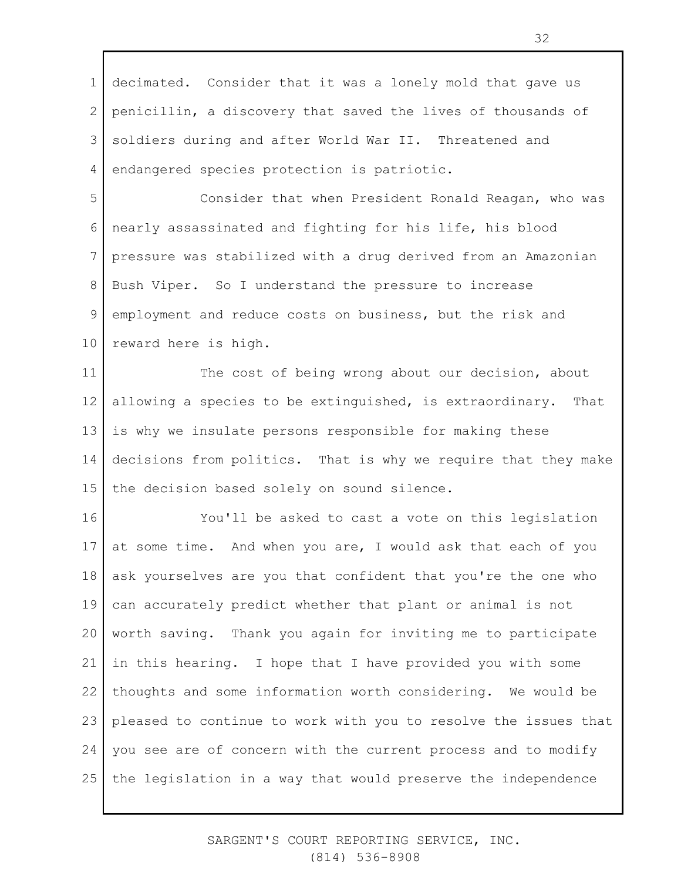1 2 3 4 decimated. Consider that it was a lonely mold that gave us penicillin, a discovery that saved the lives of thousands of soldiers during and after World War II. Threatened and endangered species protection is patriotic.

5 6 7 8 9 10 Consider that when President Ronald Reagan, who was nearly assassinated and fighting for his life, his blood pressure was stabilized with a drug derived from an Amazonian Bush Viper. So I understand the pressure to increase employment and reduce costs on business, but the risk and reward here is high.

11 12 13 14 15 The cost of being wrong about our decision, about allowing a species to be extinguished, is extraordinary. That is why we insulate persons responsible for making these decisions from politics. That is why we require that they make the decision based solely on sound silence.

16 17 18 19 20 21 22 23 24 25 You'll be asked to cast a vote on this legislation at some time. And when you are, I would ask that each of you ask yourselves are you that confident that you're the one who can accurately predict whether that plant or animal is not worth saving. Thank you again for inviting me to participate in this hearing. I hope that I have provided you with some thoughts and some information worth considering. We would be pleased to continue to work with you to resolve the issues that you see are of concern with the current process and to modify the legislation in a way that would preserve the independence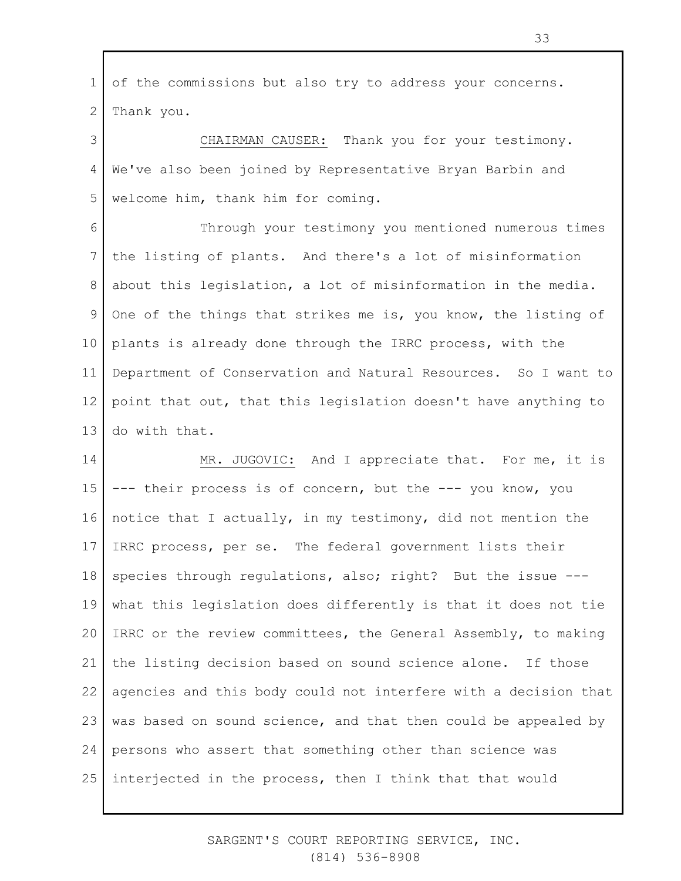1 2 of the commissions but also try to address your concerns. Thank you.

3 4 5 CHAIRMAN CAUSER: Thank you for your testimony. We've also been joined by Representative Bryan Barbin and welcome him, thank him for coming.

6 7 8 9 10 11 12 13 Through your testimony you mentioned numerous times the listing of plants. And there's a lot of misinformation about this legislation, a lot of misinformation in the media. One of the things that strikes me is, you know, the listing of plants is already done through the IRRC process, with the Department of Conservation and Natural Resources. So I want to point that out, that this legislation doesn't have anything to do with that.

14 15 16 17 18 19 20 21 22 23 24 25 MR. JUGOVIC: And I appreciate that. For me, it is --- their process is of concern, but the --- you know, you notice that I actually, in my testimony, did not mention the IRRC process, per se. The federal government lists their species through regulations, also; right? But the issue -- what this legislation does differently is that it does not tie IRRC or the review committees, the General Assembly, to making the listing decision based on sound science alone. If those agencies and this body could not interfere with a decision that was based on sound science, and that then could be appealed by persons who assert that something other than science was interjected in the process, then I think that that would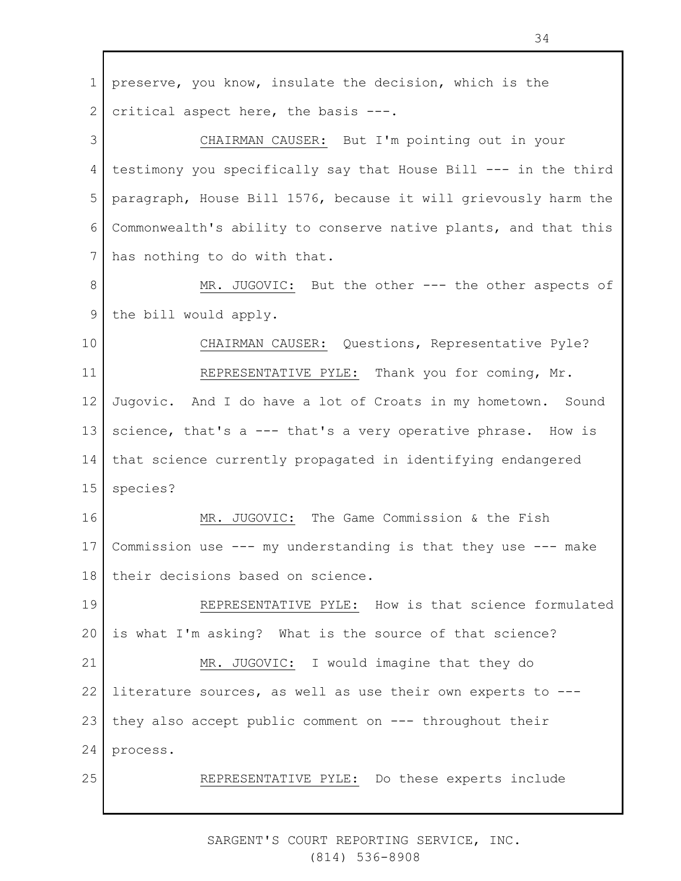1 2 3 4 5 6 7 8 9 10 11 12 13 14 15 16 17 18 19 20 21 22 23 24 25 preserve, you know, insulate the decision, which is the critical aspect here, the basis ---. CHAIRMAN CAUSER: But I'm pointing out in your testimony you specifically say that House Bill --- in the third paragraph, House Bill 1576, because it will grievously harm the Commonwealth's ability to conserve native plants, and that this has nothing to do with that. MR. JUGOVIC: But the other --- the other aspects of the bill would apply. CHAIRMAN CAUSER: Questions, Representative Pyle? REPRESENTATIVE PYLE: Thank you for coming, Mr. Jugovic. And I do have a lot of Croats in my hometown. Sound science, that's a --- that's a very operative phrase. How is that science currently propagated in identifying endangered species? MR. JUGOVIC: The Game Commission & the Fish Commission use --- my understanding is that they use --- make their decisions based on science. REPRESENTATIVE PYLE: How is that science formulated is what I'm asking? What is the source of that science? MR. JUGOVIC: I would imagine that they do literature sources, as well as use their own experts to -- they also accept public comment on --- throughout their process. REPRESENTATIVE PYLE: Do these experts include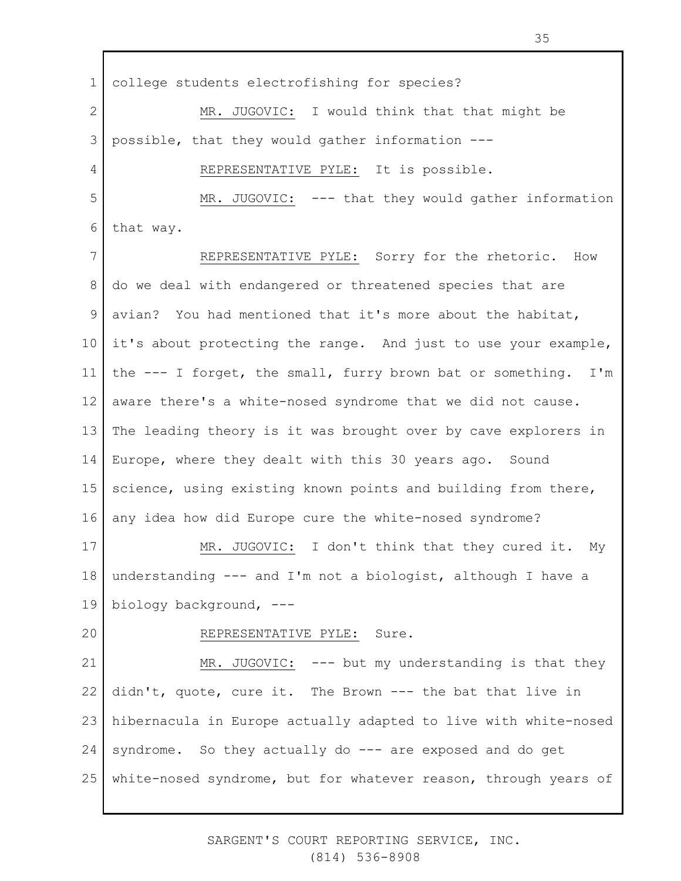1 2 3 4 5 6 7 8 9 10 11 12 13 14 15 16 17 18 19 20 21 22 23 24 25 college students electrofishing for species? MR. JUGOVIC: I would think that that might be possible, that they would gather information --- REPRESENTATIVE PYLE: It is possible. MR. JUGOVIC: --- that they would gather information that way. REPRESENTATIVE PYLE: Sorry for the rhetoric. How do we deal with endangered or threatened species that are avian? You had mentioned that it's more about the habitat, it's about protecting the range. And just to use your example, the --- I forget, the small, furry brown bat or something. I'm aware there's a white-nosed syndrome that we did not cause. The leading theory is it was brought over by cave explorers in Europe, where they dealt with this 30 years ago. Sound science, using existing known points and building from there, any idea how did Europe cure the white-nosed syndrome? MR. JUGOVIC: I don't think that they cured it. My understanding --- and I'm not a biologist, although I have a biology background, --- REPRESENTATIVE PYLE: Sure. MR. JUGOVIC: --- but my understanding is that they didn't, quote, cure it. The Brown --- the bat that live in hibernacula in Europe actually adapted to live with white-nosed syndrome. So they actually do --- are exposed and do get white-nosed syndrome, but for whatever reason, through years of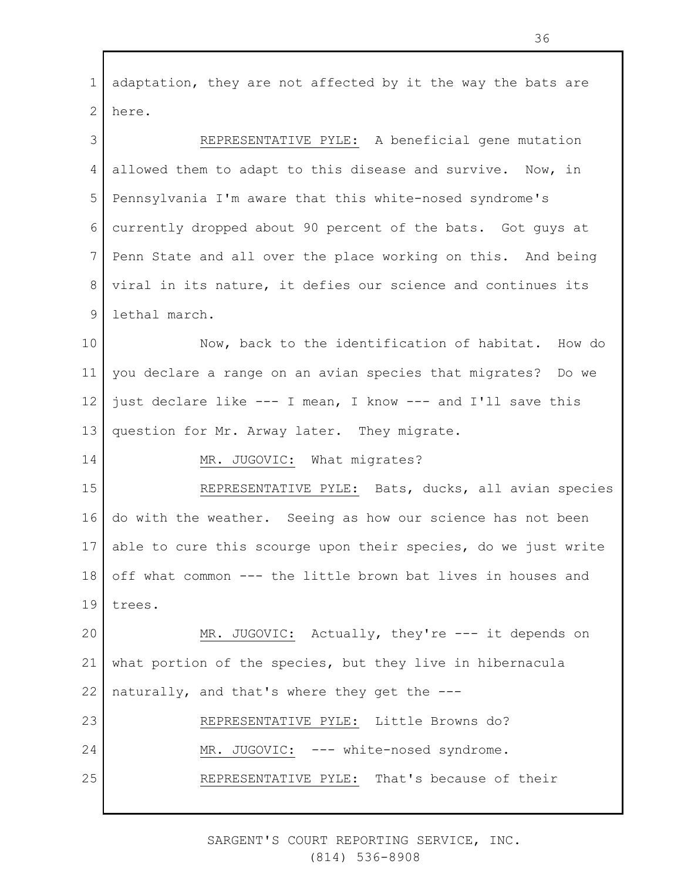1 2 adaptation, they are not affected by it the way the bats are here.

3 4 5 6 7 8 9 REPRESENTATIVE PYLE: A beneficial gene mutation allowed them to adapt to this disease and survive. Now, in Pennsylvania I'm aware that this white-nosed syndrome's currently dropped about 90 percent of the bats. Got guys at Penn State and all over the place working on this. And being viral in its nature, it defies our science and continues its lethal march.

10 11 12 13 Now, back to the identification of habitat. How do you declare a range on an avian species that migrates? Do we just declare like --- I mean, I know --- and I'll save this question for Mr. Arway later. They migrate.

MR. JUGOVIC: What migrates?

14

15 16 17 18 19 REPRESENTATIVE PYLE: Bats, ducks, all avian species do with the weather. Seeing as how our science has not been able to cure this scourge upon their species, do we just write off what common --- the little brown bat lives in houses and trees.

20 21 22 MR. JUGOVIC: Actually, they're --- it depends on what portion of the species, but they live in hibernacula naturally, and that's where they get the ---

23 24 25 REPRESENTATIVE PYLE: Little Browns do? MR. JUGOVIC: --- white-nosed syndrome. REPRESENTATIVE PYLE: That's because of their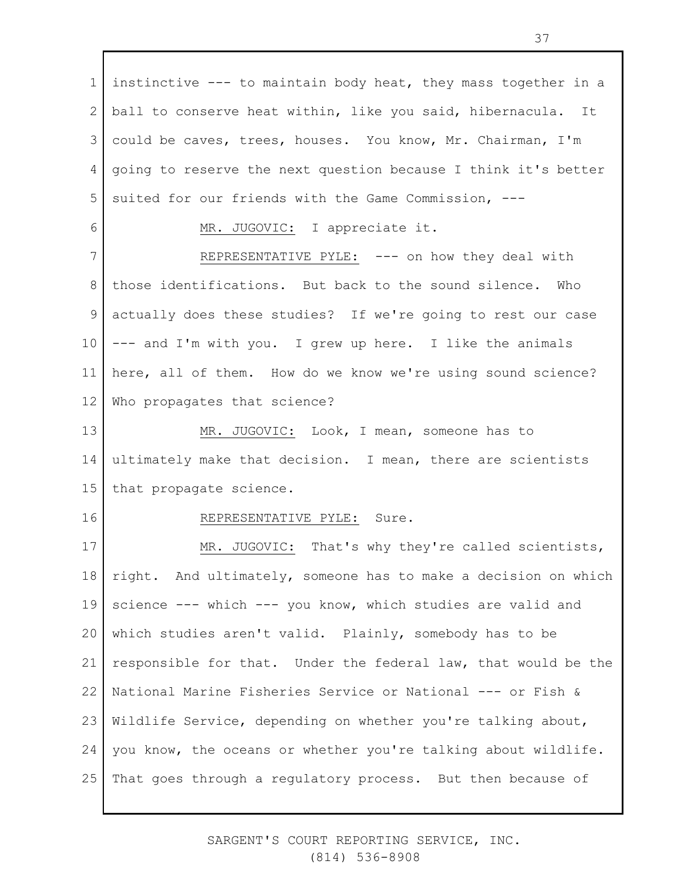1 2 3 4 5 instinctive --- to maintain body heat, they mass together in a ball to conserve heat within, like you said, hibernacula. It could be caves, trees, houses. You know, Mr. Chairman, I'm going to reserve the next question because I think it's better suited for our friends with the Game Commission, ---

MR. JUGOVIC: I appreciate it.

7 8 9 10 11 12 REPRESENTATIVE PYLE: --- on how they deal with those identifications. But back to the sound silence. Who actually does these studies? If we're going to rest our case --- and I'm with you. I grew up here. I like the animals here, all of them. How do we know we're using sound science? Who propagates that science?

13 14 15 MR. JUGOVIC: Look, I mean, someone has to ultimately make that decision. I mean, there are scientists that propagate science.

16

6

## REPRESENTATIVE PYLE: Sure.

17 18 19 20 21 22 23 24 25 MR. JUGOVIC: That's why they're called scientists, right. And ultimately, someone has to make a decision on which science --- which --- you know, which studies are valid and which studies aren't valid. Plainly, somebody has to be responsible for that. Under the federal law, that would be the National Marine Fisheries Service or National --- or Fish & Wildlife Service, depending on whether you're talking about, you know, the oceans or whether you're talking about wildlife. That goes through a regulatory process. But then because of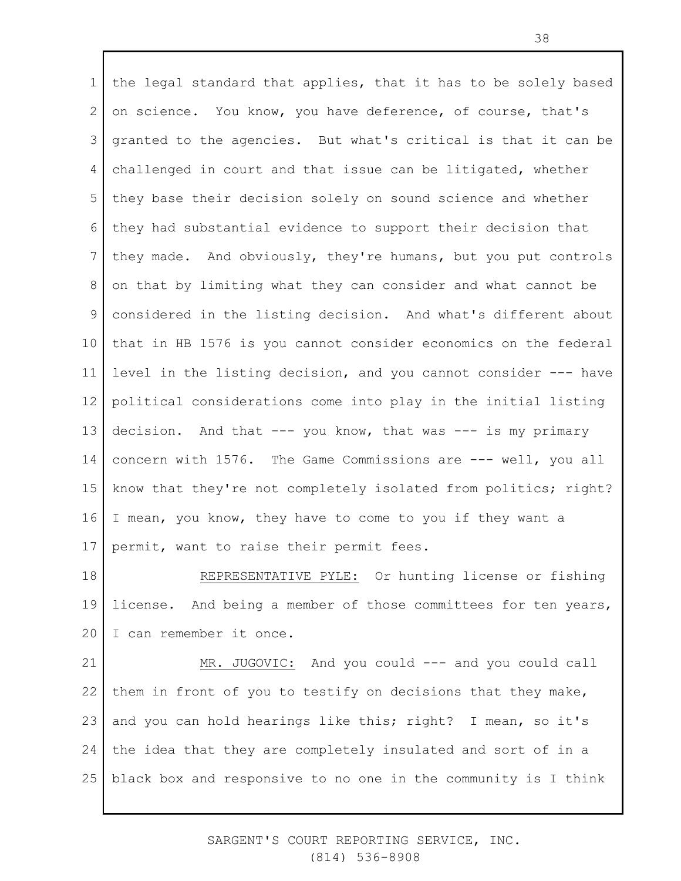1 2 3 4 5 6 7 8 9 10 11 12 13 14 15 16 17 the legal standard that applies, that it has to be solely based on science. You know, you have deference, of course, that's granted to the agencies. But what's critical is that it can be challenged in court and that issue can be litigated, whether they base their decision solely on sound science and whether they had substantial evidence to support their decision that they made. And obviously, they're humans, but you put controls on that by limiting what they can consider and what cannot be considered in the listing decision. And what's different about that in HB 1576 is you cannot consider economics on the federal level in the listing decision, and you cannot consider --- have political considerations come into play in the initial listing decision. And that --- you know, that was --- is my primary concern with 1576. The Game Commissions are --- well, you all know that they're not completely isolated from politics; right? I mean, you know, they have to come to you if they want a permit, want to raise their permit fees.

18 19 20 REPRESENTATIVE PYLE: Or hunting license or fishing license. And being a member of those committees for ten years, I can remember it once.

21 22 23 24 25 MR. JUGOVIC: And you could --- and you could call them in front of you to testify on decisions that they make, and you can hold hearings like this; right? I mean, so it's the idea that they are completely insulated and sort of in a black box and responsive to no one in the community is I think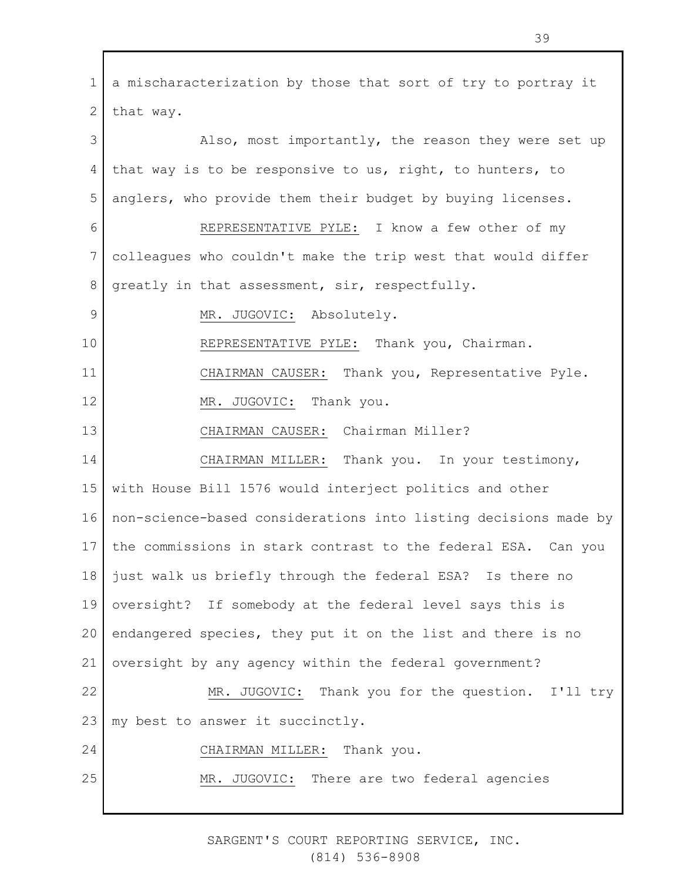1 2 3 4 5 6 7 8 9 10 11 12 13 14 15 16 17 18 19 20 21 22 23 24 25 a mischaracterization by those that sort of try to portray it that way. Also, most importantly, the reason they were set up that way is to be responsive to us, right, to hunters, to anglers, who provide them their budget by buying licenses. REPRESENTATIVE PYLE: I know a few other of my colleagues who couldn't make the trip west that would differ greatly in that assessment, sir, respectfully. MR. JUGOVIC: Absolutely. REPRESENTATIVE PYLE: Thank you, Chairman. CHAIRMAN CAUSER: Thank you, Representative Pyle. MR. JUGOVIC: Thank you. CHAIRMAN CAUSER: Chairman Miller? CHAIRMAN MILLER: Thank you. In your testimony, with House Bill 1576 would interject politics and other non-science-based considerations into listing decisions made by the commissions in stark contrast to the federal ESA. Can you just walk us briefly through the federal ESA? Is there no oversight? If somebody at the federal level says this is endangered species, they put it on the list and there is no oversight by any agency within the federal government? MR. JUGOVIC: Thank you for the question. I'll try my best to answer it succinctly. CHAIRMAN MILLER: Thank you. MR. JUGOVIC: There are two federal agencies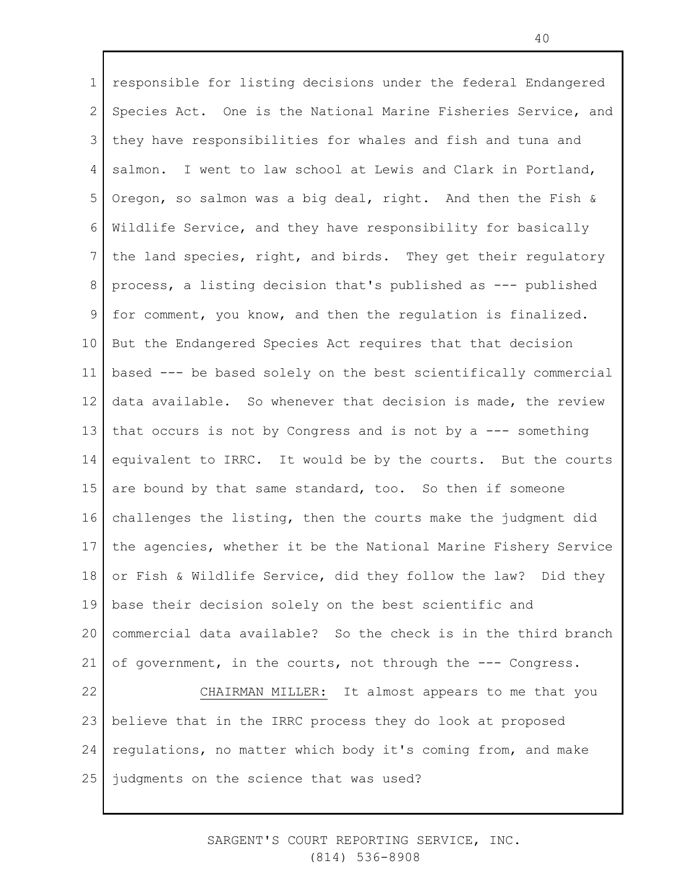1 2 3 4 5 6 7 8 9 10 11 12 13 14 15 16 17 18 19 20 21 22 23 24 25 responsible for listing decisions under the federal Endangered Species Act. One is the National Marine Fisheries Service, and they have responsibilities for whales and fish and tuna and salmon. I went to law school at Lewis and Clark in Portland, Oregon, so salmon was a big deal, right. And then the Fish & Wildlife Service, and they have responsibility for basically the land species, right, and birds. They get their regulatory process, a listing decision that's published as --- published for comment, you know, and then the regulation is finalized. But the Endangered Species Act requires that that decision based --- be based solely on the best scientifically commercial data available. So whenever that decision is made, the review that occurs is not by Congress and is not by a --- something equivalent to IRRC. It would be by the courts. But the courts are bound by that same standard, too. So then if someone challenges the listing, then the courts make the judgment did the agencies, whether it be the National Marine Fishery Service or Fish & Wildlife Service, did they follow the law? Did they base their decision solely on the best scientific and commercial data available? So the check is in the third branch of government, in the courts, not through the --- Congress. CHAIRMAN MILLER: It almost appears to me that you believe that in the IRRC process they do look at proposed regulations, no matter which body it's coming from, and make judgments on the science that was used?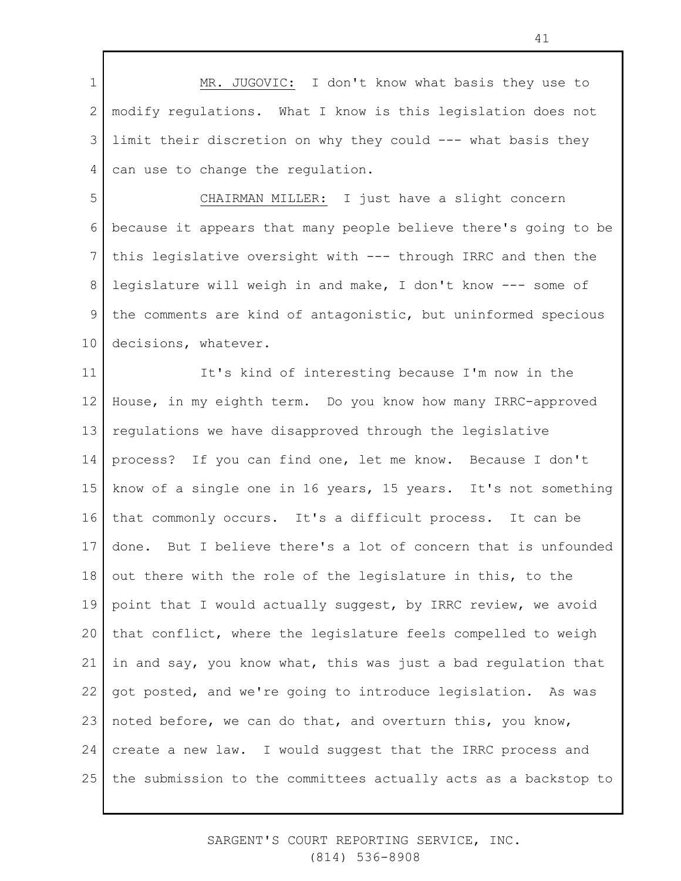1 2 3 4 MR. JUGOVIC: I don't know what basis they use to modify regulations. What I know is this legislation does not limit their discretion on why they could --- what basis they can use to change the regulation.

5 6 7 8 9 10 CHAIRMAN MILLER: I just have a slight concern because it appears that many people believe there's going to be this legislative oversight with --- through IRRC and then the legislature will weigh in and make, I don't know --- some of the comments are kind of antagonistic, but uninformed specious decisions, whatever.

11 12 13 14 15 16 17 18 19 20 21 22 23 24 25 It's kind of interesting because I'm now in the House, in my eighth term. Do you know how many IRRC-approved regulations we have disapproved through the legislative process? If you can find one, let me know. Because I don't know of a single one in 16 years, 15 years. It's not something that commonly occurs. It's a difficult process. It can be done. But I believe there's a lot of concern that is unfounded out there with the role of the legislature in this, to the point that I would actually suggest, by IRRC review, we avoid that conflict, where the legislature feels compelled to weigh in and say, you know what, this was just a bad regulation that got posted, and we're going to introduce legislation. As was noted before, we can do that, and overturn this, you know, create a new law. I would suggest that the IRRC process and the submission to the committees actually acts as a backstop to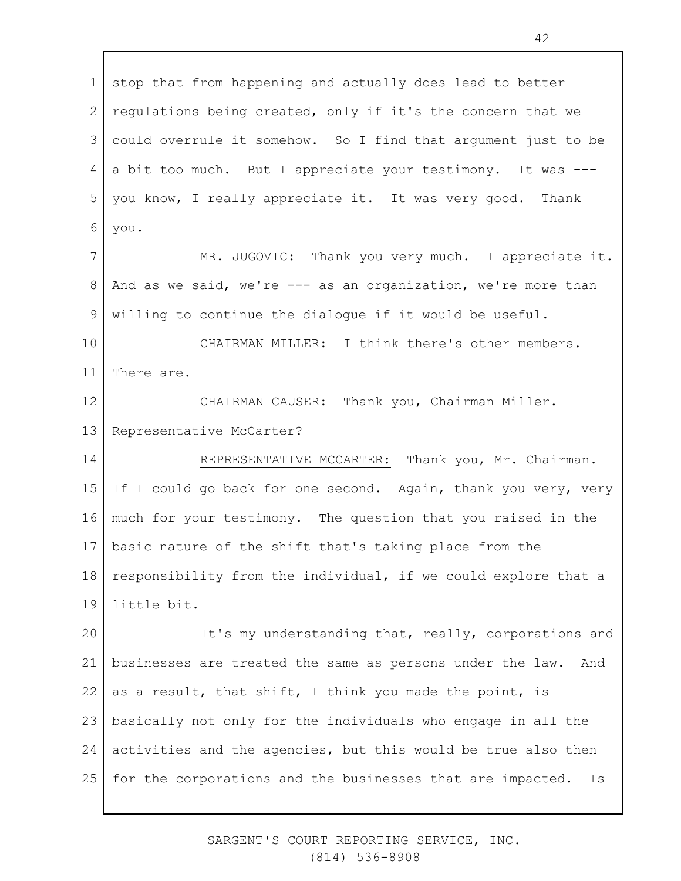1 2 3 4 5 6 7 8 9 10 11 12 13 14 15 16 17 18 19 20 21 22 23 24 stop that from happening and actually does lead to better regulations being created, only if it's the concern that we could overrule it somehow. So I find that argument just to be a bit too much. But I appreciate your testimony. It was -- you know, I really appreciate it. It was very good. Thank you. MR. JUGOVIC: Thank you very much. I appreciate it. And as we said, we're --- as an organization, we're more than willing to continue the dialogue if it would be useful. CHAIRMAN MILLER: I think there's other members. There are. CHAIRMAN CAUSER: Thank you, Chairman Miller. Representative McCarter? REPRESENTATIVE MCCARTER: Thank you, Mr. Chairman. If I could go back for one second. Again, thank you very, very much for your testimony. The question that you raised in the basic nature of the shift that's taking place from the responsibility from the individual, if we could explore that a little bit. It's my understanding that, really, corporations and businesses are treated the same as persons under the law. And as a result, that shift, I think you made the point, is basically not only for the individuals who engage in all the activities and the agencies, but this would be true also then

25 for the corporations and the businesses that are impacted. Is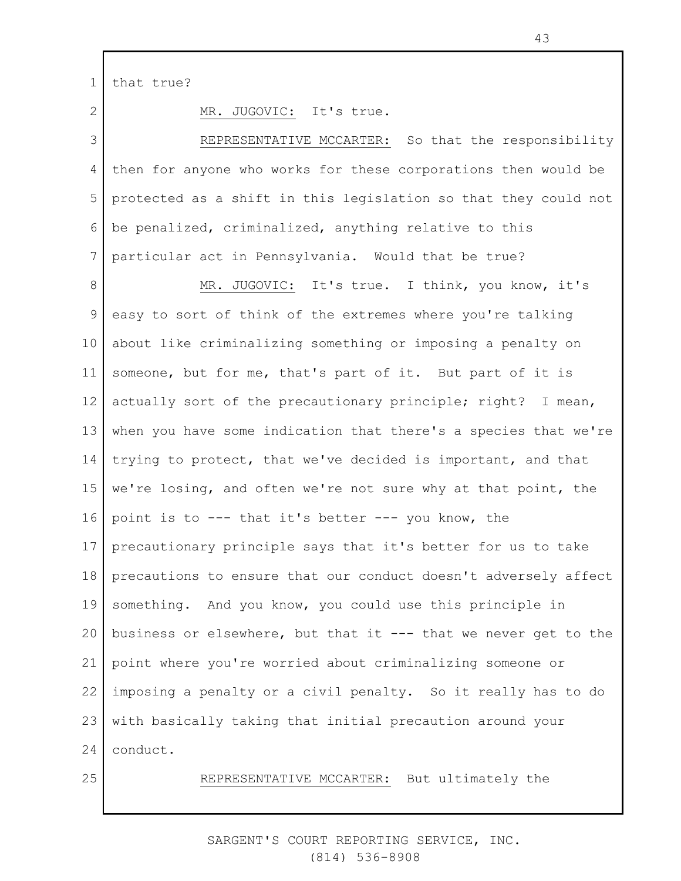1 that true?

2

MR. JUGOVIC: It's true.

3 4 5 6 7 REPRESENTATIVE MCCARTER: So that the responsibility then for anyone who works for these corporations then would be protected as a shift in this legislation so that they could not be penalized, criminalized, anything relative to this particular act in Pennsylvania. Would that be true?

8 9 10 11 12 13 14 15 16 17 18 19 20 21 22 23 24 MR. JUGOVIC: It's true. I think, you know, it's easy to sort of think of the extremes where you're talking about like criminalizing something or imposing a penalty on someone, but for me, that's part of it. But part of it is actually sort of the precautionary principle; right? I mean, when you have some indication that there's a species that we're trying to protect, that we've decided is important, and that we're losing, and often we're not sure why at that point, the point is to --- that it's better --- you know, the precautionary principle says that it's better for us to take precautions to ensure that our conduct doesn't adversely affect something. And you know, you could use this principle in business or elsewhere, but that it --- that we never get to the point where you're worried about criminalizing someone or imposing a penalty or a civil penalty. So it really has to do with basically taking that initial precaution around your conduct.

25

REPRESENTATIVE MCCARTER: But ultimately the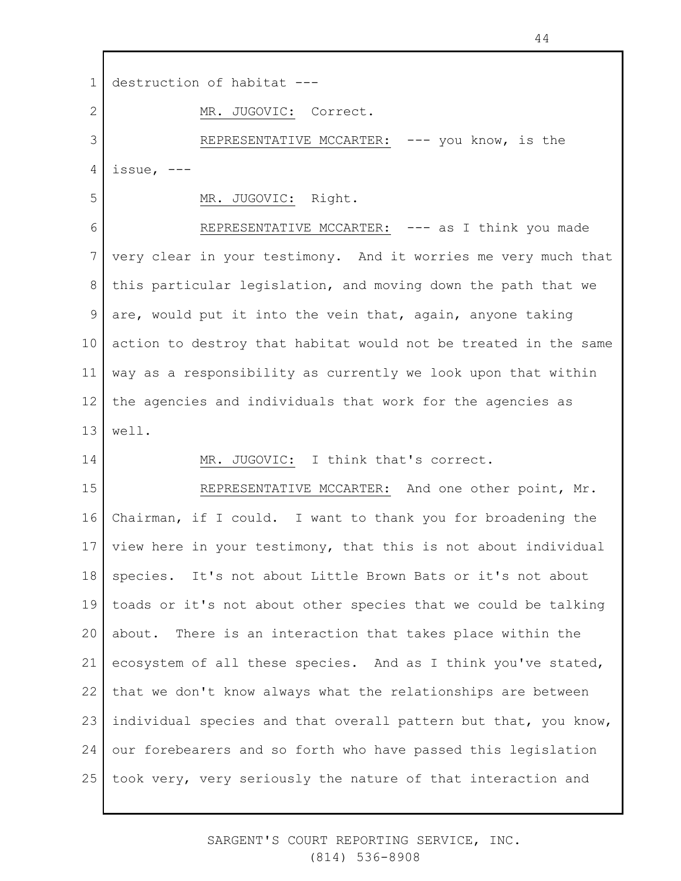1 2 3 4 5 6 7 8 9 10 11 12 13 14 15 16 17 18 19 20 21 22 23 24 25 destruction of habitat --- MR. JUGOVIC: Correct. REPRESENTATIVE MCCARTER: --- you know, is the issue, --- MR. JUGOVIC: Right. REPRESENTATIVE MCCARTER: --- as I think you made very clear in your testimony. And it worries me very much that this particular legislation, and moving down the path that we are, would put it into the vein that, again, anyone taking action to destroy that habitat would not be treated in the same way as a responsibility as currently we look upon that within the agencies and individuals that work for the agencies as well. MR. JUGOVIC: I think that's correct. REPRESENTATIVE MCCARTER: And one other point, Mr. Chairman, if I could. I want to thank you for broadening the view here in your testimony, that this is not about individual species. It's not about Little Brown Bats or it's not about toads or it's not about other species that we could be talking about. There is an interaction that takes place within the ecosystem of all these species. And as I think you've stated, that we don't know always what the relationships are between individual species and that overall pattern but that, you know, our forebearers and so forth who have passed this legislation took very, very seriously the nature of that interaction and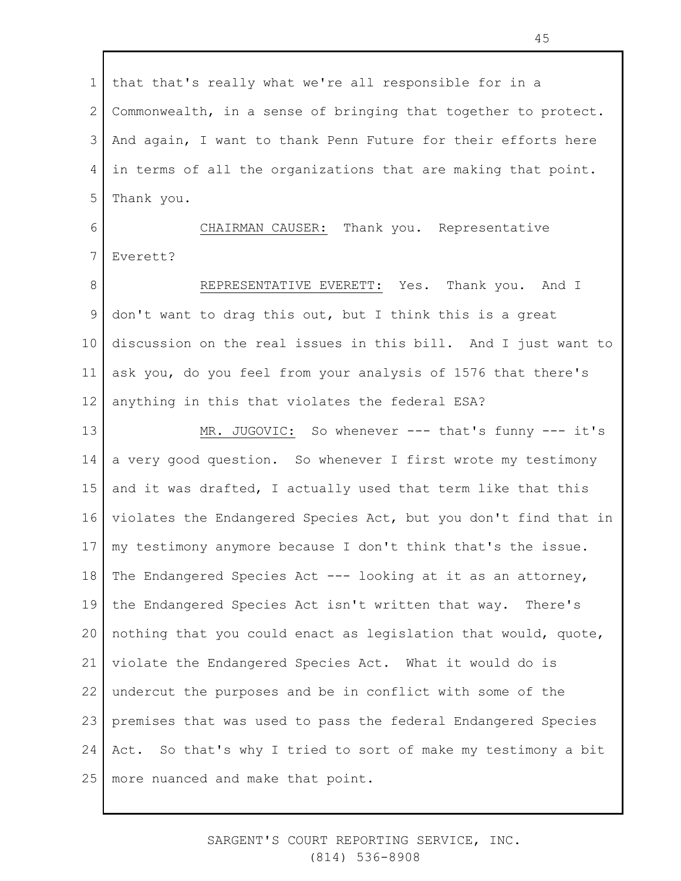1 2 3 4 5 6 7 8 9 10 11 12 13 14 15 16 17 18 19 20 21 22 23 24 25 that that's really what we're all responsible for in a Commonwealth, in a sense of bringing that together to protect. And again, I want to thank Penn Future for their efforts here in terms of all the organizations that are making that point. Thank you. CHAIRMAN CAUSER: Thank you. Representative Everett? REPRESENTATIVE EVERETT: Yes. Thank you. And I don't want to drag this out, but I think this is a great discussion on the real issues in this bill. And I just want to ask you, do you feel from your analysis of 1576 that there's anything in this that violates the federal ESA? MR. JUGOVIC: So whenever --- that's funny --- it's a very good question. So whenever I first wrote my testimony and it was drafted, I actually used that term like that this violates the Endangered Species Act, but you don't find that in my testimony anymore because I don't think that's the issue. The Endangered Species Act --- looking at it as an attorney, the Endangered Species Act isn't written that way. There's nothing that you could enact as legislation that would, quote, violate the Endangered Species Act. What it would do is undercut the purposes and be in conflict with some of the premises that was used to pass the federal Endangered Species Act. So that's why I tried to sort of make my testimony a bit more nuanced and make that point.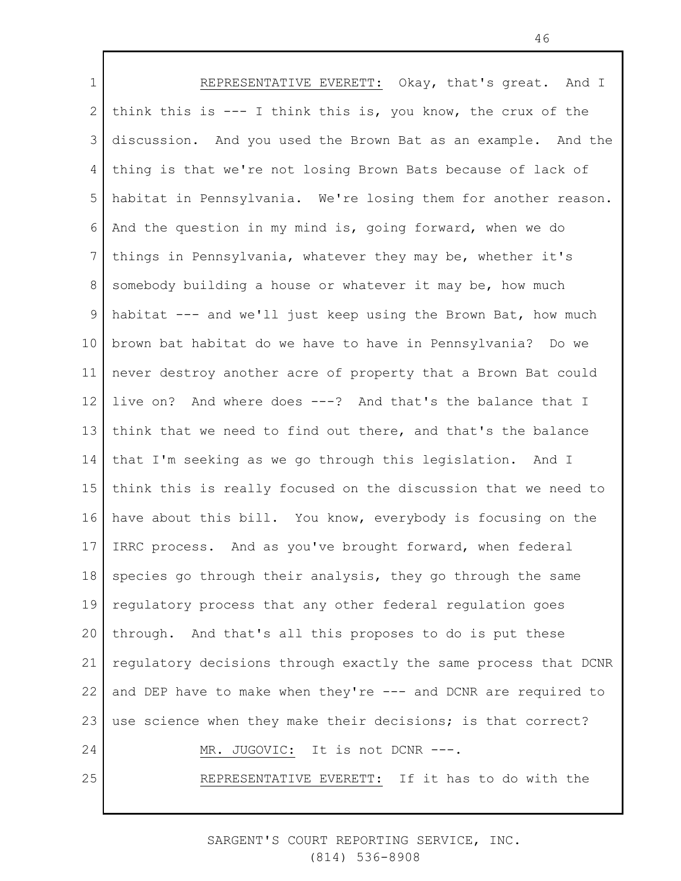1 2 3 4 5 6 7 8 9 10 11 12 13 14 15 16 17 18 19 20 21 22 23 24 25 REPRESENTATIVE EVERETT: Okay, that's great. And I think this is --- I think this is, you know, the crux of the discussion. And you used the Brown Bat as an example. And the thing is that we're not losing Brown Bats because of lack of habitat in Pennsylvania. We're losing them for another reason. And the question in my mind is, going forward, when we do things in Pennsylvania, whatever they may be, whether it's somebody building a house or whatever it may be, how much habitat --- and we'll just keep using the Brown Bat, how much brown bat habitat do we have to have in Pennsylvania? Do we never destroy another acre of property that a Brown Bat could live on? And where does ---? And that's the balance that I think that we need to find out there, and that's the balance that I'm seeking as we go through this legislation. And I think this is really focused on the discussion that we need to have about this bill. You know, everybody is focusing on the IRRC process. And as you've brought forward, when federal species go through their analysis, they go through the same regulatory process that any other federal regulation goes through. And that's all this proposes to do is put these regulatory decisions through exactly the same process that DCNR and DEP have to make when they're --- and DCNR are required to use science when they make their decisions; is that correct? MR. JUGOVIC: It is not DCNR ---. REPRESENTATIVE EVERETT: If it has to do with the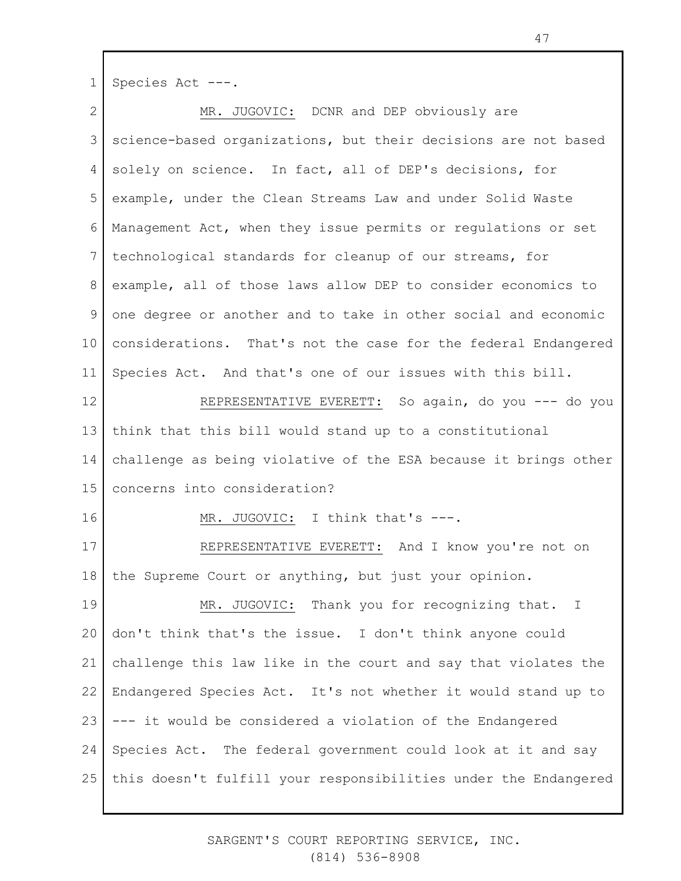1 Species Act ---.

2 3 4 5 6 7 8 9 10 11 12 13 14 15 16 17 18 19 20 21 22 23 24 25 MR. JUGOVIC: DCNR and DEP obviously are science-based organizations, but their decisions are not based solely on science. In fact, all of DEP's decisions, for example, under the Clean Streams Law and under Solid Waste Management Act, when they issue permits or regulations or set technological standards for cleanup of our streams, for example, all of those laws allow DEP to consider economics to one degree or another and to take in other social and economic considerations. That's not the case for the federal Endangered Species Act. And that's one of our issues with this bill. REPRESENTATIVE EVERETT: So again, do you --- do you think that this bill would stand up to a constitutional challenge as being violative of the ESA because it brings other concerns into consideration? MR. JUGOVIC: I think that's ---. REPRESENTATIVE EVERETT: And I know you're not on the Supreme Court or anything, but just your opinion. MR. JUGOVIC: Thank you for recognizing that. I don't think that's the issue. I don't think anyone could challenge this law like in the court and say that violates the Endangered Species Act. It's not whether it would stand up to --- it would be considered a violation of the Endangered Species Act. The federal government could look at it and say this doesn't fulfill your responsibilities under the Endangered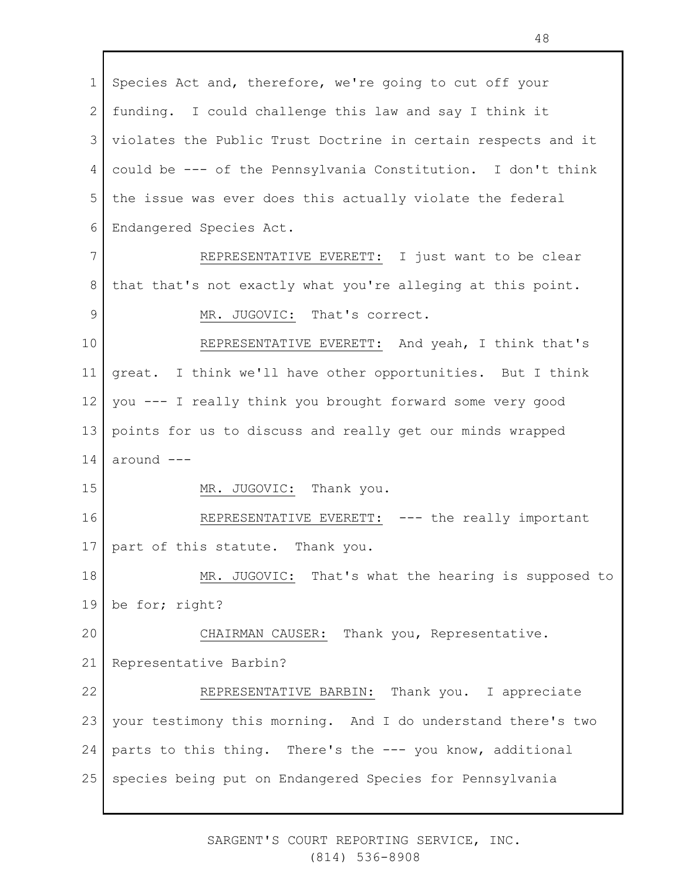1 2 3 4 5 6 7 8 9 10 11 12 13 14 15 16 17 18 19 20 21 22 23 24 25 Species Act and, therefore, we're going to cut off your funding. I could challenge this law and say I think it violates the Public Trust Doctrine in certain respects and it could be --- of the Pennsylvania Constitution. I don't think the issue was ever does this actually violate the federal Endangered Species Act. REPRESENTATIVE EVERETT: I just want to be clear that that's not exactly what you're alleging at this point. MR. JUGOVIC: That's correct. REPRESENTATIVE EVERETT: And yeah, I think that's great. I think we'll have other opportunities. But I think you --- I really think you brought forward some very good points for us to discuss and really get our minds wrapped around --- MR. JUGOVIC: Thank you. REPRESENTATIVE EVERETT: --- the really important part of this statute. Thank you. MR. JUGOVIC: That's what the hearing is supposed to be for; right? CHAIRMAN CAUSER: Thank you, Representative. Representative Barbin? REPRESENTATIVE BARBIN: Thank you. I appreciate your testimony this morning. And I do understand there's two parts to this thing. There's the --- you know, additional species being put on Endangered Species for Pennsylvania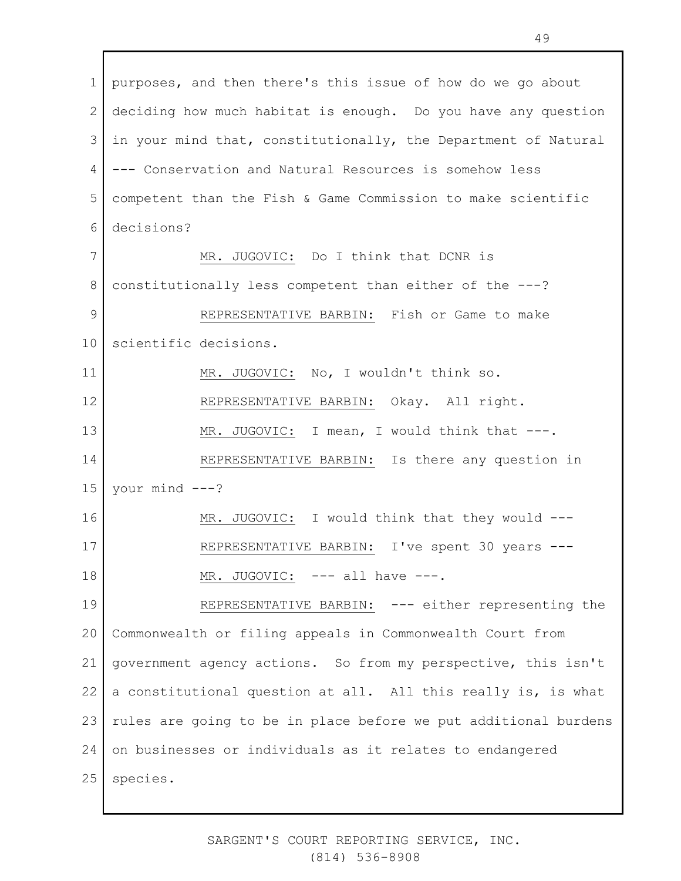1 2 3 4 5 6 7 8 9 10 11 12 13 14 15 16 17 18 19 20 21 22 23 24 25 purposes, and then there's this issue of how do we go about deciding how much habitat is enough. Do you have any question in your mind that, constitutionally, the Department of Natural --- Conservation and Natural Resources is somehow less competent than the Fish & Game Commission to make scientific decisions? MR. JUGOVIC: Do I think that DCNR is constitutionally less competent than either of the ---? REPRESENTATIVE BARBIN: Fish or Game to make scientific decisions. MR. JUGOVIC: No, I wouldn't think so. REPRESENTATIVE BARBIN: Okay. All right. MR. JUGOVIC: I mean, I would think that ---. REPRESENTATIVE BARBIN: Is there any question in your mind ---? MR. JUGOVIC: I would think that they would ---REPRESENTATIVE BARBIN: I've spent 30 years --- MR. JUGOVIC: --- all have ---. REPRESENTATIVE BARBIN: --- either representing the Commonwealth or filing appeals in Commonwealth Court from government agency actions. So from my perspective, this isn't a constitutional question at all. All this really is, is what rules are going to be in place before we put additional burdens on businesses or individuals as it relates to endangered species.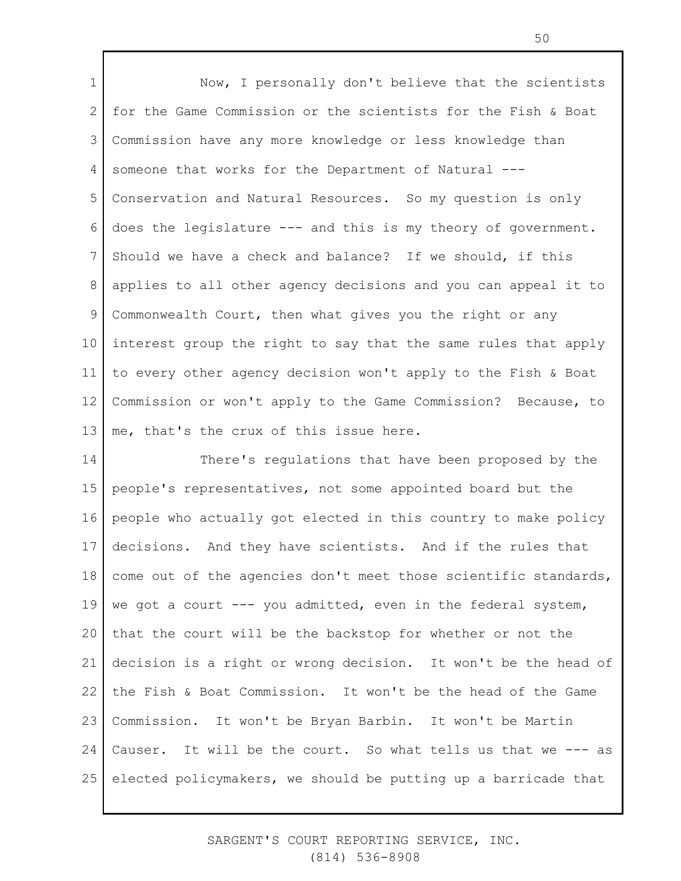1 2 3 4 5 6 7 8 9 10 11 12 13 Now, I personally don't believe that the scientists for the Game Commission or the scientists for the Fish & Boat Commission have any more knowledge or less knowledge than someone that works for the Department of Natural --- Conservation and Natural Resources. So my question is only does the legislature --- and this is my theory of government. Should we have a check and balance? If we should, if this applies to all other agency decisions and you can appeal it to Commonwealth Court, then what gives you the right or any interest group the right to say that the same rules that apply to every other agency decision won't apply to the Fish & Boat Commission or won't apply to the Game Commission? Because, to me, that's the crux of this issue here.

14 15 16 17 18 19 20 21 22 23 24 25 There's regulations that have been proposed by the people's representatives, not some appointed board but the people who actually got elected in this country to make policy decisions. And they have scientists. And if the rules that come out of the agencies don't meet those scientific standards, we got a court --- you admitted, even in the federal system, that the court will be the backstop for whether or not the decision is a right or wrong decision. It won't be the head of the Fish & Boat Commission. It won't be the head of the Game Commission. It won't be Bryan Barbin. It won't be Martin Causer. It will be the court. So what tells us that we --- as elected policymakers, we should be putting up a barricade that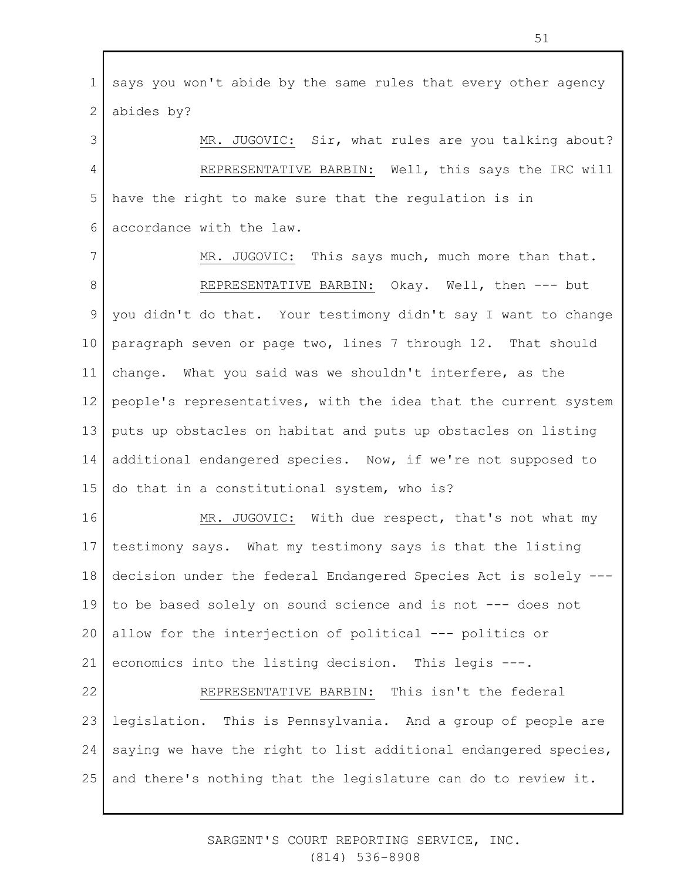1 2 says you won't abide by the same rules that every other agency abides by?

3 4 5 6 MR. JUGOVIC: Sir, what rules are you talking about? REPRESENTATIVE BARBIN: Well, this says the IRC will have the right to make sure that the regulation is in accordance with the law.

7 8 9 10 11 12 13 14 15 MR. JUGOVIC: This says much, much more than that. REPRESENTATIVE BARBIN: Okay. Well, then --- but you didn't do that. Your testimony didn't say I want to change paragraph seven or page two, lines 7 through 12. That should change. What you said was we shouldn't interfere, as the people's representatives, with the idea that the current system puts up obstacles on habitat and puts up obstacles on listing additional endangered species. Now, if we're not supposed to do that in a constitutional system, who is?

16 17 18 19 20 21 MR. JUGOVIC: With due respect, that's not what my testimony says. What my testimony says is that the listing decision under the federal Endangered Species Act is solely -- to be based solely on sound science and is not --- does not allow for the interjection of political --- politics or economics into the listing decision. This legis ---.

22 23 24 25 REPRESENTATIVE BARBIN: This isn't the federal legislation. This is Pennsylvania. And a group of people are saying we have the right to list additional endangered species, and there's nothing that the legislature can do to review it.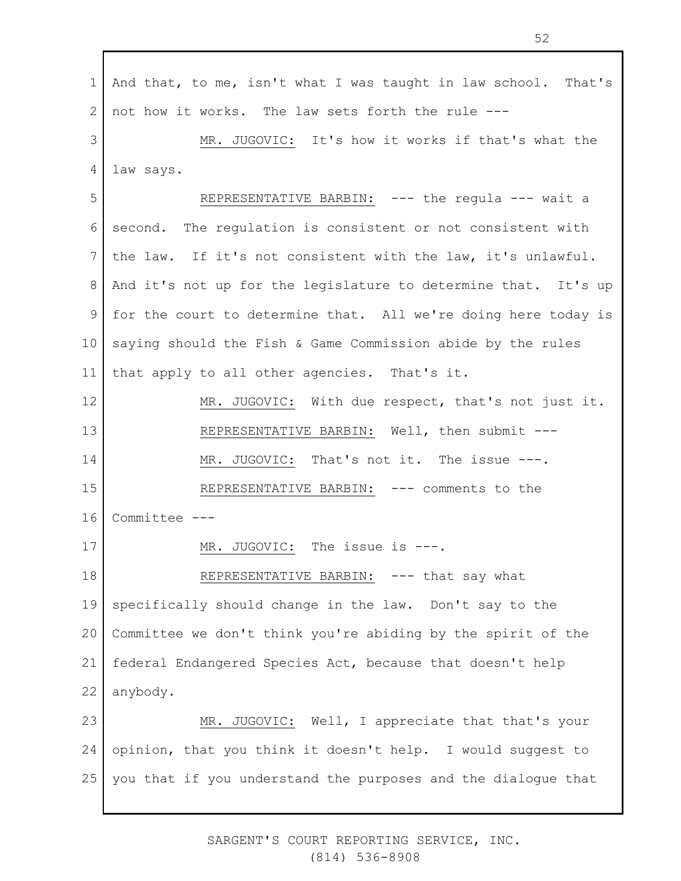1 2 3 4 5 6 7 8 9 10 11 12 13 14 15 16 17 18 19 20 21 22 23 24 25 And that, to me, isn't what I was taught in law school. That's not how it works. The law sets forth the rule --- MR. JUGOVIC: It's how it works if that's what the law says. REPRESENTATIVE BARBIN: --- the regula --- wait a second. The regulation is consistent or not consistent with the law. If it's not consistent with the law, it's unlawful. And it's not up for the legislature to determine that. It's up for the court to determine that. All we're doing here today is saying should the Fish & Game Commission abide by the rules that apply to all other agencies. That's it. MR. JUGOVIC: With due respect, that's not just it. REPRESENTATIVE BARBIN: Well, then submit --- MR. JUGOVIC: That's not it. The issue ---. REPRESENTATIVE BARBIN: --- comments to the Committee --- MR. JUGOVIC: The issue is ---. REPRESENTATIVE BARBIN: --- that say what specifically should change in the law. Don't say to the Committee we don't think you're abiding by the spirit of the federal Endangered Species Act, because that doesn't help anybody. MR. JUGOVIC: Well, I appreciate that that's your opinion, that you think it doesn't help. I would suggest to you that if you understand the purposes and the dialogue that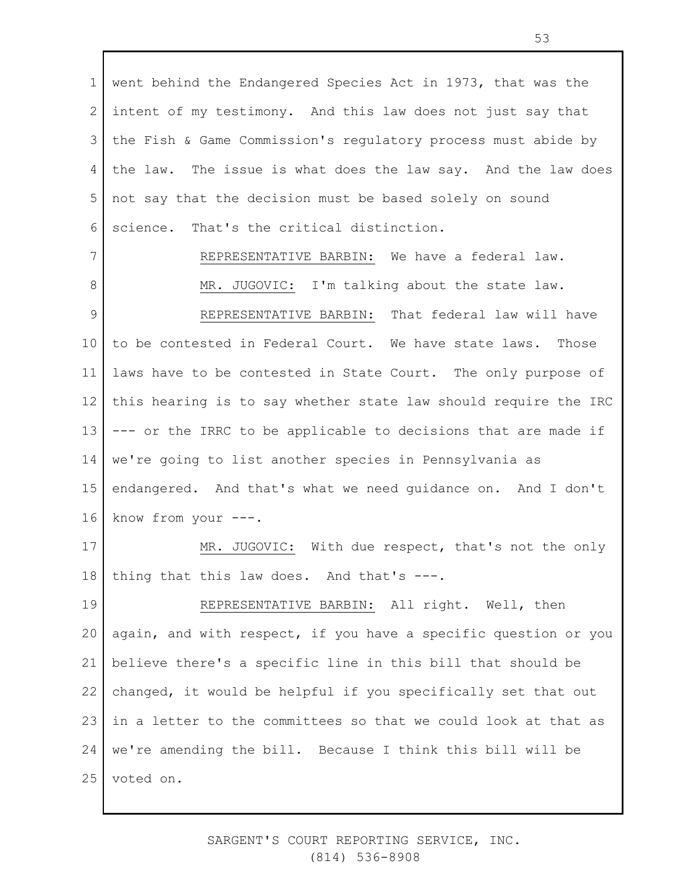1 2 3 4 5 6 went behind the Endangered Species Act in 1973, that was the intent of my testimony. And this law does not just say that the Fish & Game Commission's regulatory process must abide by the law. The issue is what does the law say. And the law does not say that the decision must be based solely on sound science. That's the critical distinction.

7 8 9 10 11 12 13 14 15 16 REPRESENTATIVE BARBIN: We have a federal law. MR. JUGOVIC: I'm talking about the state law. REPRESENTATIVE BARBIN: That federal law will have to be contested in Federal Court. We have state laws. Those laws have to be contested in State Court. The only purpose of this hearing is to say whether state law should require the IRC --- or the IRRC to be applicable to decisions that are made if we're going to list another species in Pennsylvania as endangered. And that's what we need guidance on. And I don't know from your ---.

17 18 MR. JUGOVIC: With due respect, that's not the only thing that this law does. And that's ---.

19 20 21 22 23 24 25 REPRESENTATIVE BARBIN: All right. Well, then again, and with respect, if you have a specific question or you believe there's a specific line in this bill that should be changed, it would be helpful if you specifically set that out in a letter to the committees so that we could look at that as we're amending the bill. Because I think this bill will be voted on.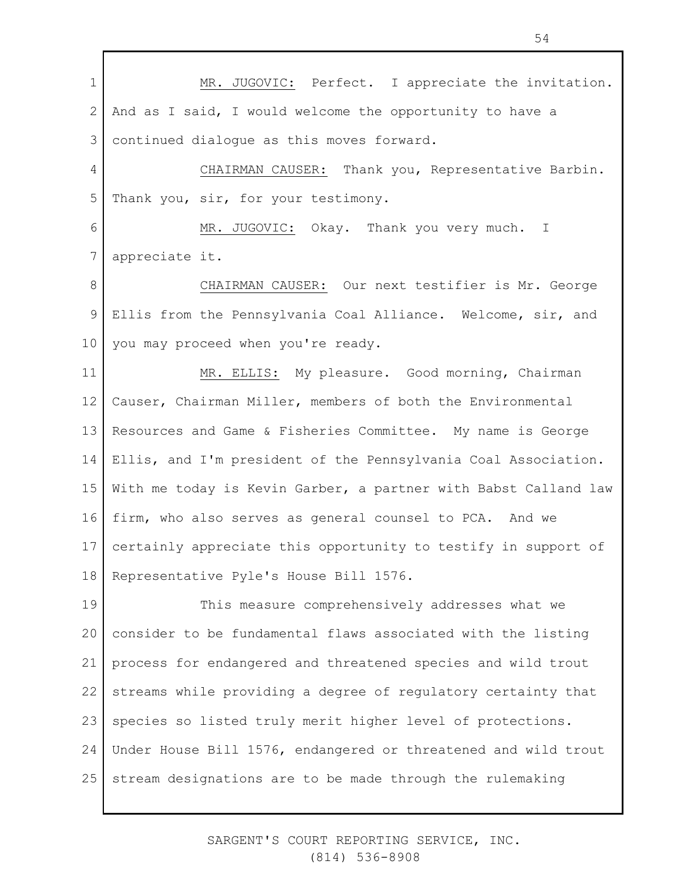1 2 3 4 5 6 7 8 9 10 11 12 13 14 15 16 17 18 19 20 21 22 23 24 25 MR. JUGOVIC: Perfect. I appreciate the invitation. And as I said, I would welcome the opportunity to have a continued dialogue as this moves forward. CHAIRMAN CAUSER: Thank you, Representative Barbin. Thank you, sir, for your testimony. MR. JUGOVIC: Okay. Thank you very much. I appreciate it. CHAIRMAN CAUSER: Our next testifier is Mr. George Ellis from the Pennsylvania Coal Alliance. Welcome, sir, and you may proceed when you're ready. MR. ELLIS: My pleasure. Good morning, Chairman Causer, Chairman Miller, members of both the Environmental Resources and Game & Fisheries Committee. My name is George Ellis, and I'm president of the Pennsylvania Coal Association. With me today is Kevin Garber, a partner with Babst Calland law firm, who also serves as general counsel to PCA. And we certainly appreciate this opportunity to testify in support of Representative Pyle's House Bill 1576. This measure comprehensively addresses what we consider to be fundamental flaws associated with the listing process for endangered and threatened species and wild trout streams while providing a degree of regulatory certainty that species so listed truly merit higher level of protections. Under House Bill 1576, endangered or threatened and wild trout stream designations are to be made through the rulemaking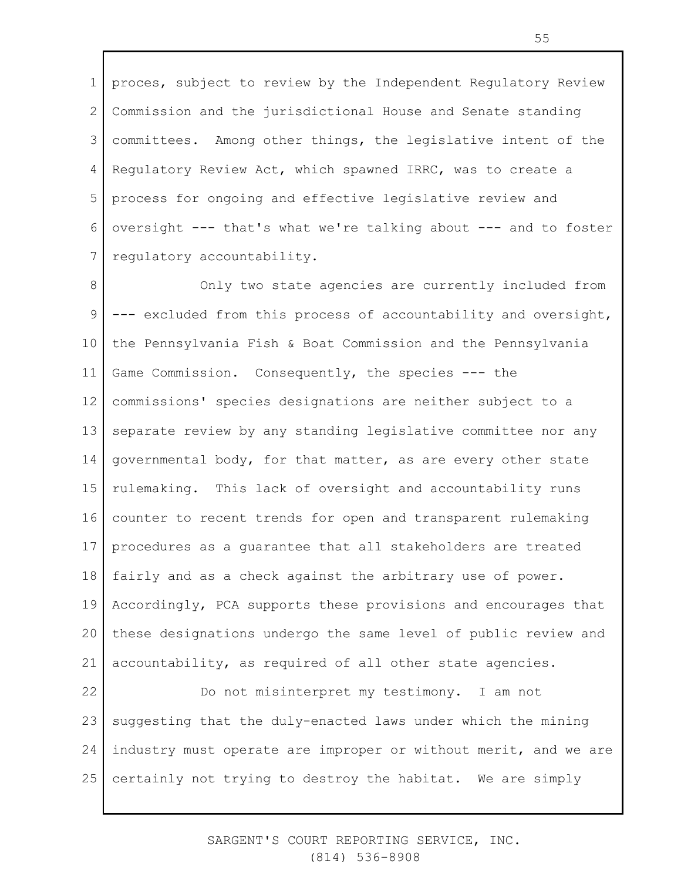1 2 3 4 5 6 7 proces, subject to review by the Independent Regulatory Review Commission and the jurisdictional House and Senate standing committees. Among other things, the legislative intent of the Regulatory Review Act, which spawned IRRC, was to create a process for ongoing and effective legislative review and oversight --- that's what we're talking about --- and to foster regulatory accountability.

8 9 10 11 12 13 14 15 16 17 18 19 20 21 22 Only two state agencies are currently included from --- excluded from this process of accountability and oversight, the Pennsylvania Fish & Boat Commission and the Pennsylvania Game Commission. Consequently, the species --- the commissions' species designations are neither subject to a separate review by any standing legislative committee nor any governmental body, for that matter, as are every other state rulemaking. This lack of oversight and accountability runs counter to recent trends for open and transparent rulemaking procedures as a guarantee that all stakeholders are treated fairly and as a check against the arbitrary use of power. Accordingly, PCA supports these provisions and encourages that these designations undergo the same level of public review and accountability, as required of all other state agencies. Do not misinterpret my testimony. I am not

23 24 25 suggesting that the duly-enacted laws under which the mining industry must operate are improper or without merit, and we are certainly not trying to destroy the habitat. We are simply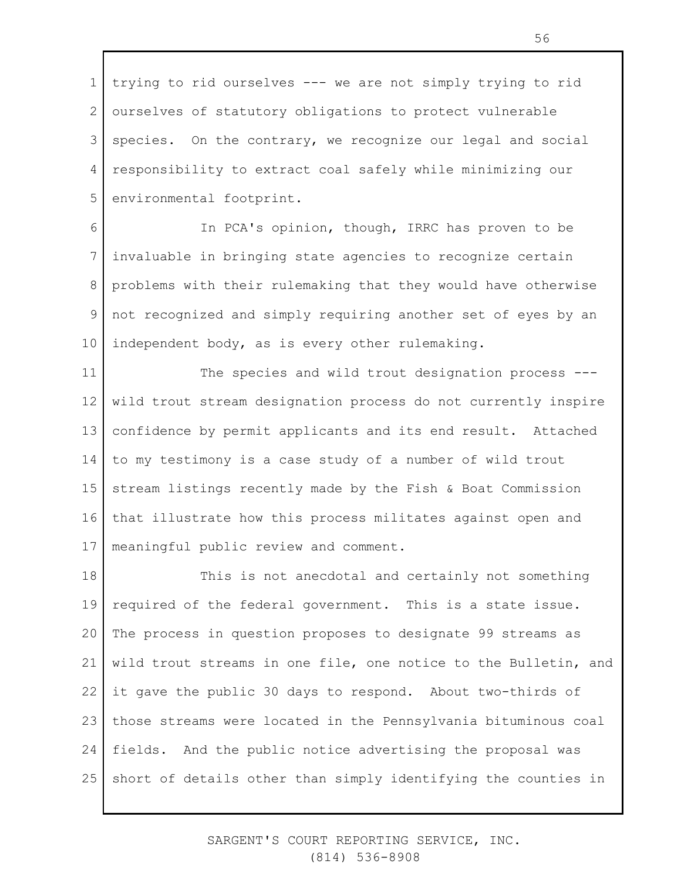1 2 3 4 5 trying to rid ourselves --- we are not simply trying to rid ourselves of statutory obligations to protect vulnerable species. On the contrary, we recognize our legal and social responsibility to extract coal safely while minimizing our environmental footprint.

6 7 8 9 10 In PCA's opinion, though, IRRC has proven to be invaluable in bringing state agencies to recognize certain problems with their rulemaking that they would have otherwise not recognized and simply requiring another set of eyes by an independent body, as is every other rulemaking.

11 12 13 14 15 16 17 The species and wild trout designation process -- wild trout stream designation process do not currently inspire confidence by permit applicants and its end result. Attached to my testimony is a case study of a number of wild trout stream listings recently made by the Fish & Boat Commission that illustrate how this process militates against open and meaningful public review and comment.

18 19 20 21 22 23 24 25 This is not anecdotal and certainly not something required of the federal government. This is a state issue. The process in question proposes to designate 99 streams as wild trout streams in one file, one notice to the Bulletin, and it gave the public 30 days to respond. About two-thirds of those streams were located in the Pennsylvania bituminous coal fields. And the public notice advertising the proposal was short of details other than simply identifying the counties in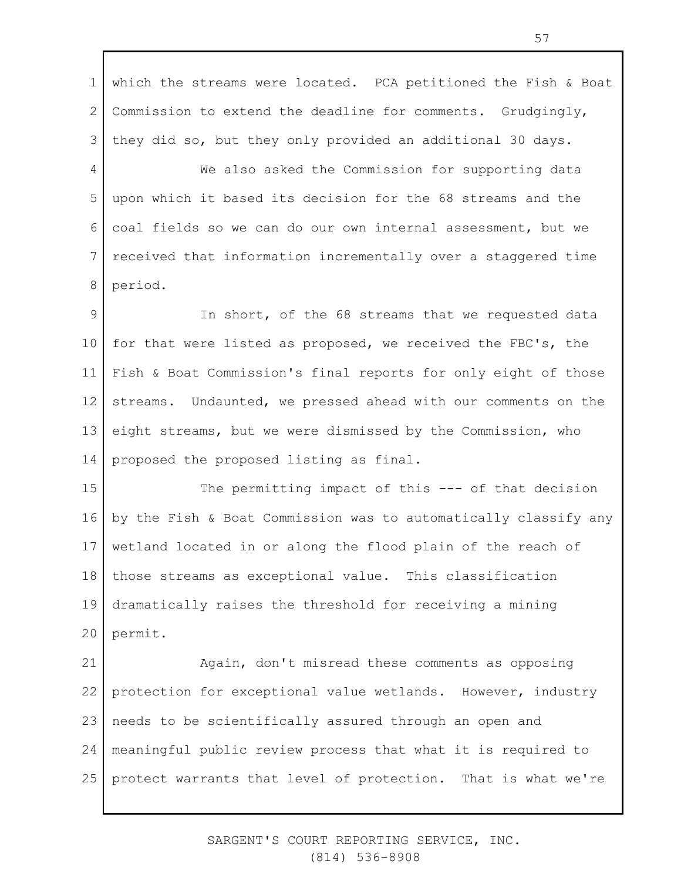1 2 3 which the streams were located. PCA petitioned the Fish & Boat Commission to extend the deadline for comments. Grudgingly, they did so, but they only provided an additional 30 days.

4 5 6 7 8 We also asked the Commission for supporting data upon which it based its decision for the 68 streams and the coal fields so we can do our own internal assessment, but we received that information incrementally over a staggered time period.

9 10 11 12 13 14 In short, of the 68 streams that we requested data for that were listed as proposed, we received the FBC's, the Fish & Boat Commission's final reports for only eight of those streams. Undaunted, we pressed ahead with our comments on the eight streams, but we were dismissed by the Commission, who proposed the proposed listing as final.

15 16 17 18 19 20 The permitting impact of this --- of that decision by the Fish & Boat Commission was to automatically classify any wetland located in or along the flood plain of the reach of those streams as exceptional value. This classification dramatically raises the threshold for receiving a mining permit.

21 22 23 24 25 Again, don't misread these comments as opposing protection for exceptional value wetlands. However, industry needs to be scientifically assured through an open and meaningful public review process that what it is required to protect warrants that level of protection. That is what we're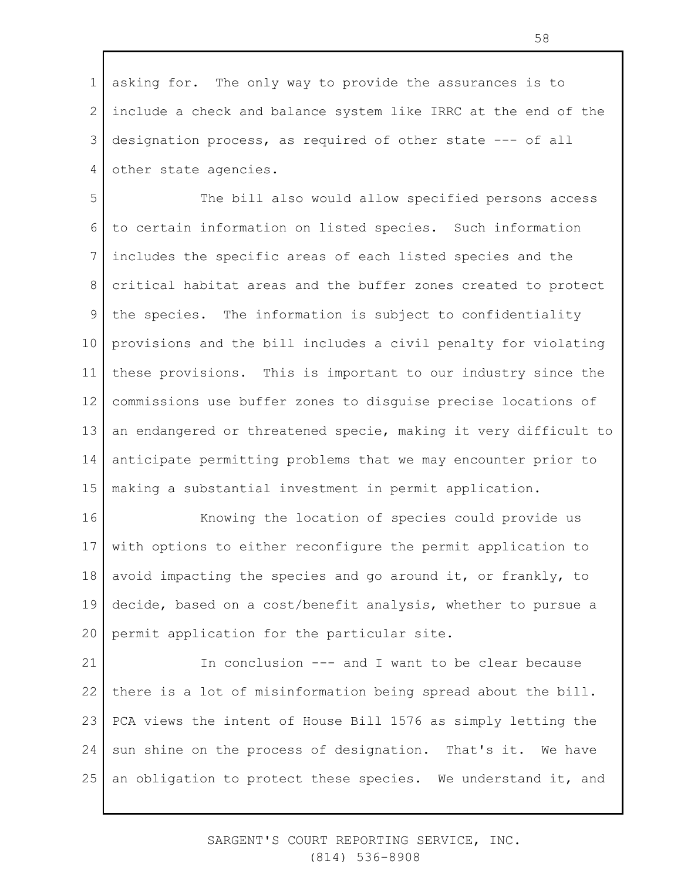1 2 3 4 asking for. The only way to provide the assurances is to include a check and balance system like IRRC at the end of the designation process, as required of other state --- of all other state agencies.

5 6 7 8 9 10 11 12 13 14 15 The bill also would allow specified persons access to certain information on listed species. Such information includes the specific areas of each listed species and the critical habitat areas and the buffer zones created to protect the species. The information is subject to confidentiality provisions and the bill includes a civil penalty for violating these provisions. This is important to our industry since the commissions use buffer zones to disguise precise locations of an endangered or threatened specie, making it very difficult to anticipate permitting problems that we may encounter prior to making a substantial investment in permit application.

16 17 18 19 20 Knowing the location of species could provide us with options to either reconfigure the permit application to avoid impacting the species and go around it, or frankly, to decide, based on a cost/benefit analysis, whether to pursue a permit application for the particular site.

21 22 23 24 25 In conclusion --- and I want to be clear because there is a lot of misinformation being spread about the bill. PCA views the intent of House Bill 1576 as simply letting the sun shine on the process of designation. That's it. We have an obligation to protect these species. We understand it, and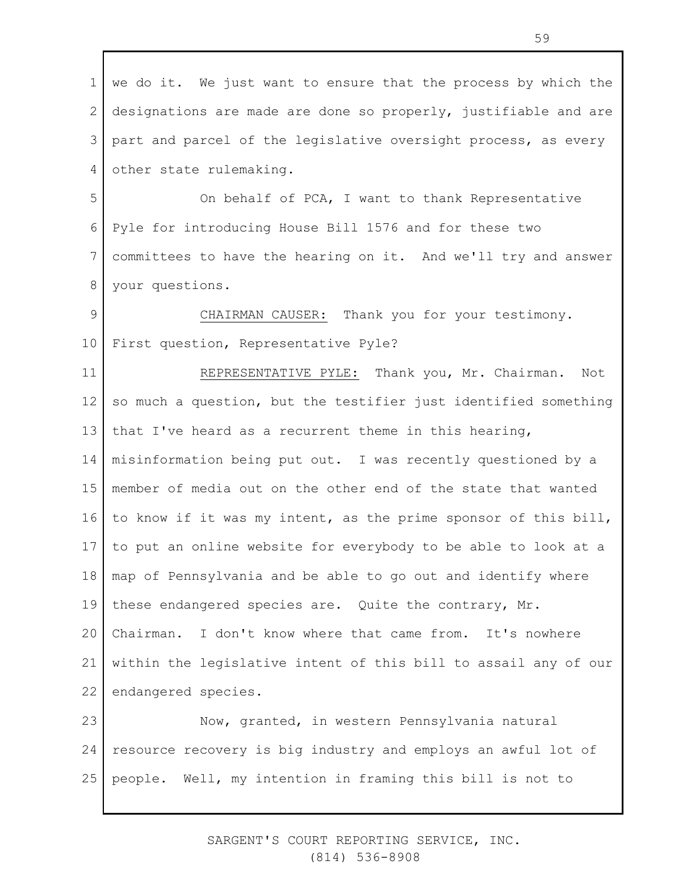1 2 3 4 we do it. We just want to ensure that the process by which the designations are made are done so properly, justifiable and are part and parcel of the legislative oversight process, as every other state rulemaking.

5 6 7 8 On behalf of PCA, I want to thank Representative Pyle for introducing House Bill 1576 and for these two committees to have the hearing on it. And we'll try and answer your questions.

9 10 CHAIRMAN CAUSER: Thank you for your testimony. First question, Representative Pyle?

11 12 13 14 15 16 17 18 19 20 21 22 REPRESENTATIVE PYLE: Thank you, Mr. Chairman. Not so much a question, but the testifier just identified something that I've heard as a recurrent theme in this hearing, misinformation being put out. I was recently questioned by a member of media out on the other end of the state that wanted to know if it was my intent, as the prime sponsor of this bill, to put an online website for everybody to be able to look at a map of Pennsylvania and be able to go out and identify where these endangered species are. Quite the contrary, Mr. Chairman. I don't know where that came from. It's nowhere within the legislative intent of this bill to assail any of our endangered species.

23 24 25 Now, granted, in western Pennsylvania natural resource recovery is big industry and employs an awful lot of people. Well, my intention in framing this bill is not to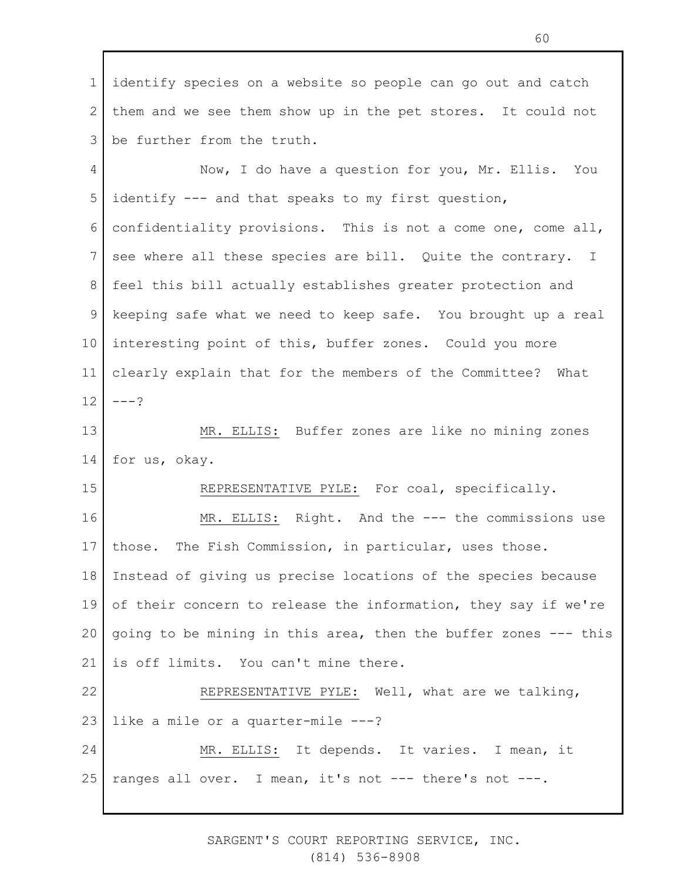1 2 3 4 5 6 7 8 9 10 11 12 13 14 15 16 17 18 19 20 21 22 23 24 25 identify species on a website so people can go out and catch them and we see them show up in the pet stores. It could not be further from the truth. Now, I do have a question for you, Mr. Ellis. You identify --- and that speaks to my first question, confidentiality provisions. This is not a come one, come all, see where all these species are bill. Quite the contrary. I feel this bill actually establishes greater protection and keeping safe what we need to keep safe. You brought up a real interesting point of this, buffer zones. Could you more clearly explain that for the members of the Committee? What  $---?$ MR. ELLIS: Buffer zones are like no mining zones for us, okay. REPRESENTATIVE PYLE: For coal, specifically. MR. ELLIS: Right. And the --- the commissions use those. The Fish Commission, in particular, uses those. Instead of giving us precise locations of the species because of their concern to release the information, they say if we're going to be mining in this area, then the buffer zones --- this is off limits. You can't mine there. REPRESENTATIVE PYLE: Well, what are we talking, like a mile or a quarter-mile ---? MR. ELLIS: It depends. It varies. I mean, it ranges all over. I mean, it's not --- there's not ---.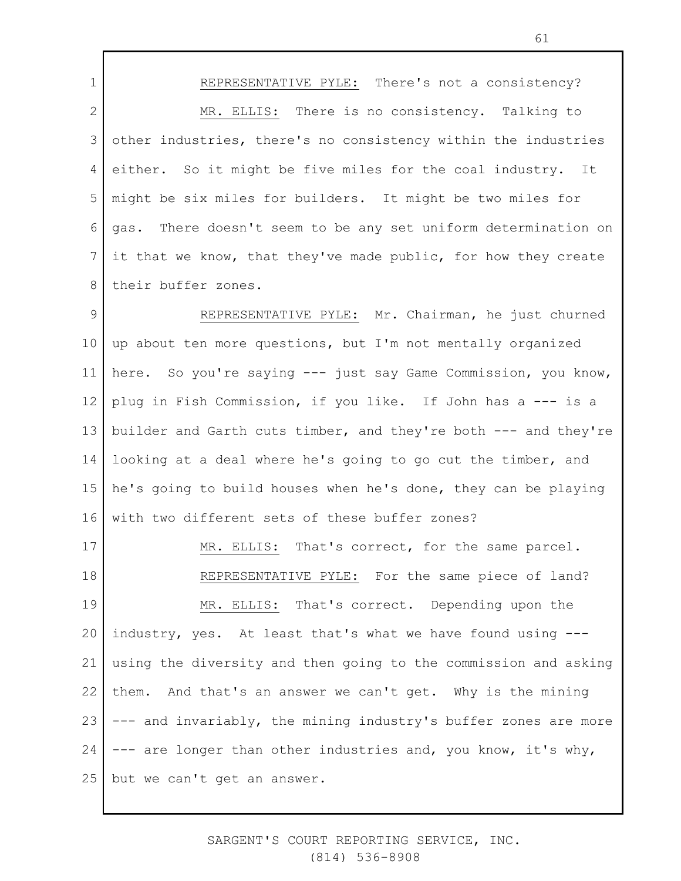1 2 3 4 5 6 7 8 REPRESENTATIVE PYLE: There's not a consistency? MR. ELLIS: There is no consistency. Talking to other industries, there's no consistency within the industries either. So it might be five miles for the coal industry. It might be six miles for builders. It might be two miles for gas. There doesn't seem to be any set uniform determination on it that we know, that they've made public, for how they create their buffer zones.

9 10 11 12 13 14 15 16 REPRESENTATIVE PYLE: Mr. Chairman, he just churned up about ten more questions, but I'm not mentally organized here. So you're saying --- just say Game Commission, you know, plug in Fish Commission, if you like. If John has a --- is a builder and Garth cuts timber, and they're both --- and they're looking at a deal where he's going to go cut the timber, and he's going to build houses when he's done, they can be playing with two different sets of these buffer zones?

17 18 19 20 21 22 23 24 25 MR. ELLIS: That's correct, for the same parcel. REPRESENTATIVE PYLE: For the same piece of land? MR. ELLIS: That's correct. Depending upon the industry, yes. At least that's what we have found using -- using the diversity and then going to the commission and asking them. And that's an answer we can't get. Why is the mining --- and invariably, the mining industry's buffer zones are more --- are longer than other industries and, you know, it's why, but we can't get an answer.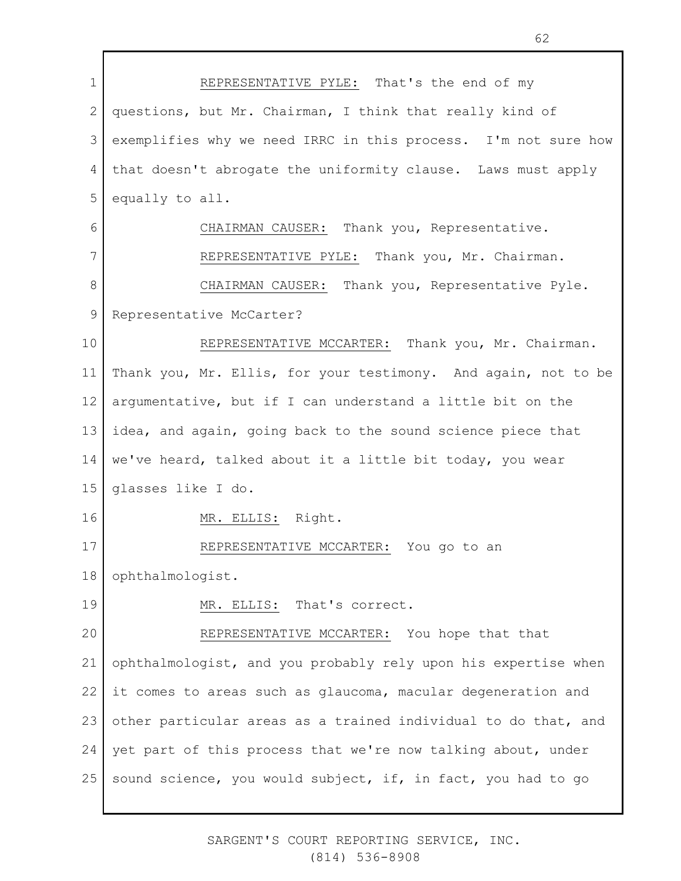1 2 3 4 5 6 7 8 9 10 11 12 13 14 15 16 17 18 19 20 21 22 23 24 25 REPRESENTATIVE PYLE: That's the end of my questions, but Mr. Chairman, I think that really kind of exemplifies why we need IRRC in this process. I'm not sure how that doesn't abrogate the uniformity clause. Laws must apply equally to all. CHAIRMAN CAUSER: Thank you, Representative. REPRESENTATIVE PYLE: Thank you, Mr. Chairman. CHAIRMAN CAUSER: Thank you, Representative Pyle. Representative McCarter? REPRESENTATIVE MCCARTER: Thank you, Mr. Chairman. Thank you, Mr. Ellis, for your testimony. And again, not to be argumentative, but if I can understand a little bit on the idea, and again, going back to the sound science piece that we've heard, talked about it a little bit today, you wear glasses like I do. MR. ELLIS: Right. REPRESENTATIVE MCCARTER: You go to an ophthalmologist. MR. ELLIS: That's correct. REPRESENTATIVE MCCARTER: You hope that that ophthalmologist, and you probably rely upon his expertise when it comes to areas such as glaucoma, macular degeneration and other particular areas as a trained individual to do that, and yet part of this process that we're now talking about, under sound science, you would subject, if, in fact, you had to go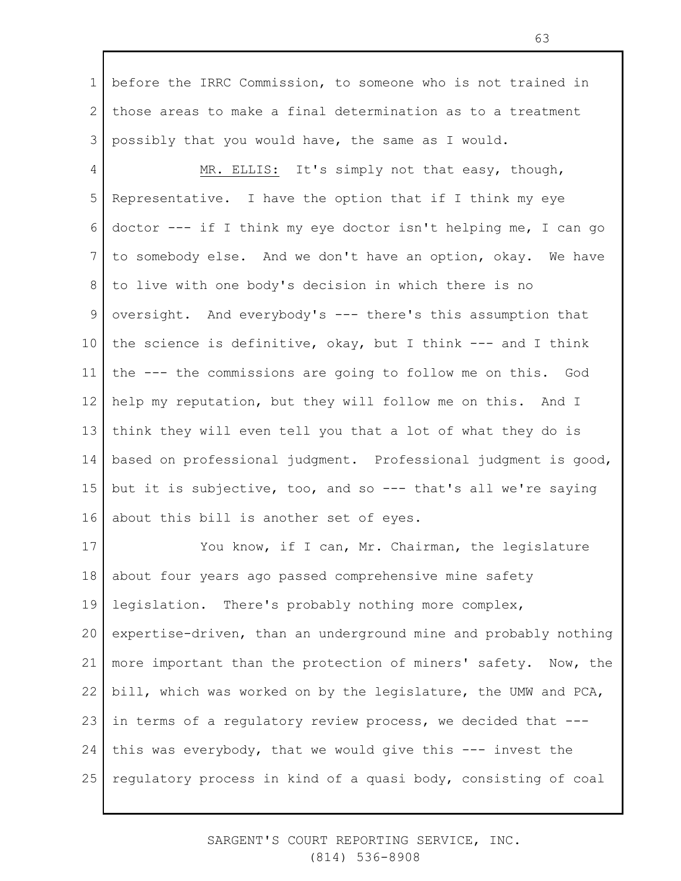1 2 3 before the IRRC Commission, to someone who is not trained in those areas to make a final determination as to a treatment possibly that you would have, the same as I would.

4 5 6 7 8 9 10 11 12 13 14 15 16 MR. ELLIS: It's simply not that easy, though, Representative. I have the option that if I think my eye doctor --- if I think my eye doctor isn't helping me, I can go to somebody else. And we don't have an option, okay. We have to live with one body's decision in which there is no oversight. And everybody's --- there's this assumption that the science is definitive, okay, but I think --- and I think the --- the commissions are going to follow me on this. God help my reputation, but they will follow me on this. And I think they will even tell you that a lot of what they do is based on professional judgment. Professional judgment is good, but it is subjective, too, and so --- that's all we're saying about this bill is another set of eyes.

17 18 19 20 21 22 23 24 25 You know, if I can, Mr. Chairman, the legislature about four years ago passed comprehensive mine safety legislation. There's probably nothing more complex, expertise-driven, than an underground mine and probably nothing more important than the protection of miners' safety. Now, the bill, which was worked on by the legislature, the UMW and PCA, in terms of a regulatory review process, we decided that -- this was everybody, that we would give this  $---$  invest the regulatory process in kind of a quasi body, consisting of coal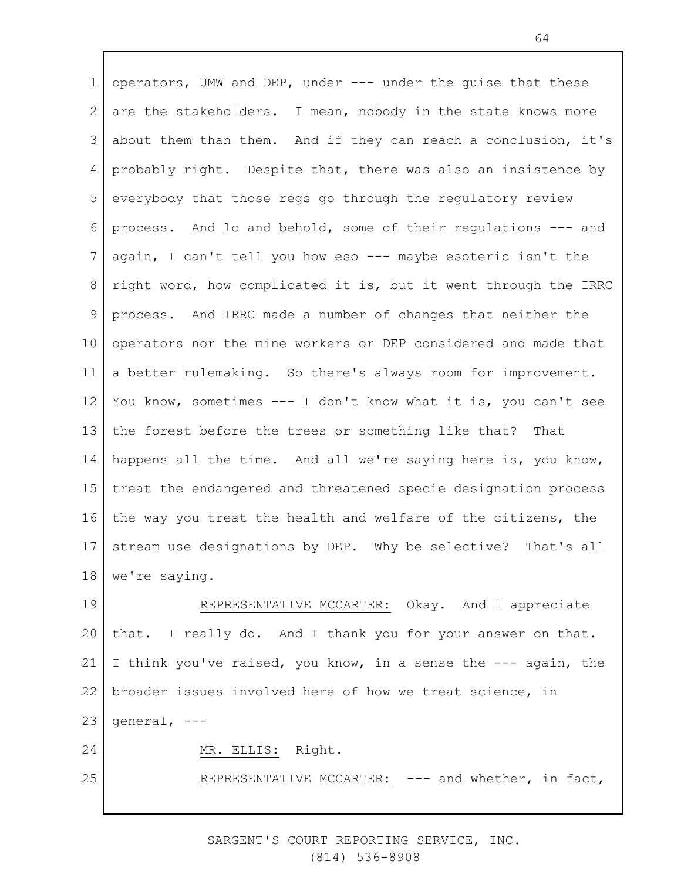1 2 3 4 5 6 7 8 9 10 11 12 13 14 15 16 17 18 19 20 21 22 23 24 operators, UMW and DEP, under --- under the guise that these are the stakeholders. I mean, nobody in the state knows more about them than them. And if they can reach a conclusion, it's probably right. Despite that, there was also an insistence by everybody that those regs go through the regulatory review process. And lo and behold, some of their regulations --- and again, I can't tell you how eso --- maybe esoteric isn't the right word, how complicated it is, but it went through the IRRC process. And IRRC made a number of changes that neither the operators nor the mine workers or DEP considered and made that a better rulemaking. So there's always room for improvement. You know, sometimes --- I don't know what it is, you can't see the forest before the trees or something like that? That happens all the time. And all we're saying here is, you know, treat the endangered and threatened specie designation process the way you treat the health and welfare of the citizens, the stream use designations by DEP. Why be selective? That's all we're saying. REPRESENTATIVE MCCARTER: Okay. And I appreciate that. I really do. And I thank you for your answer on that. I think you've raised, you know, in a sense the --- again, the broader issues involved here of how we treat science, in general, --- MR. ELLIS: Right.

REPRESENTATIVE MCCARTER: --- and whether, in fact,

25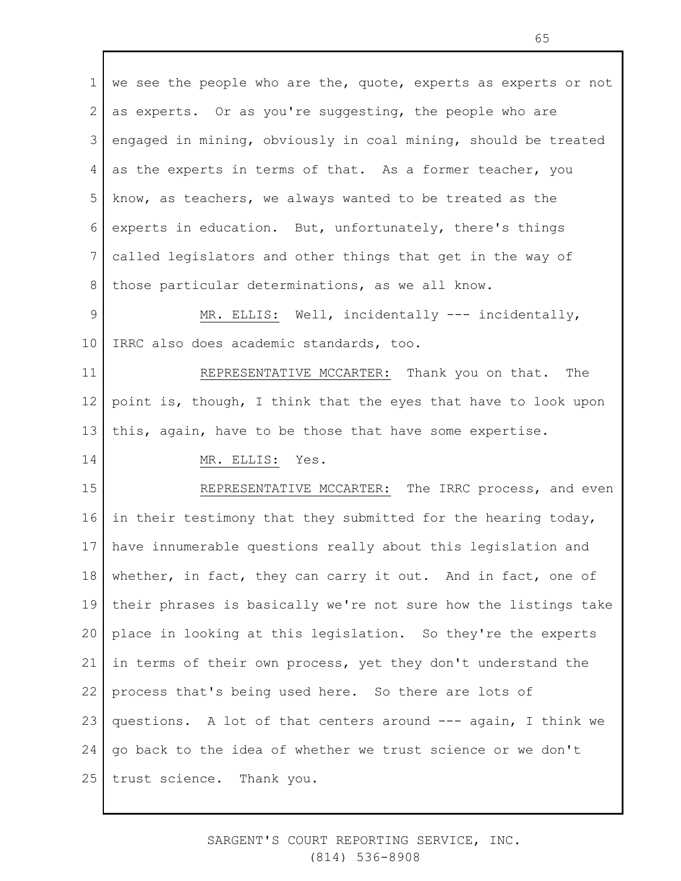1 2 3 4 5 6 7 8 we see the people who are the, quote, experts as experts or not as experts. Or as you're suggesting, the people who are engaged in mining, obviously in coal mining, should be treated as the experts in terms of that. As a former teacher, you know, as teachers, we always wanted to be treated as the experts in education. But, unfortunately, there's things called legislators and other things that get in the way of those particular determinations, as we all know.

9 10 MR. ELLIS: Well, incidentally --- incidentally, IRRC also does academic standards, too.

11 12 13 REPRESENTATIVE MCCARTER: Thank you on that. The point is, though, I think that the eyes that have to look upon this, again, have to be those that have some expertise.

## 14

MR. ELLIS: Yes.

15 16 17 18 19 20 21 22 23 24 25 REPRESENTATIVE MCCARTER: The IRRC process, and even in their testimony that they submitted for the hearing today, have innumerable questions really about this legislation and whether, in fact, they can carry it out. And in fact, one of their phrases is basically we're not sure how the listings take place in looking at this legislation. So they're the experts in terms of their own process, yet they don't understand the process that's being used here. So there are lots of questions. A lot of that centers around --- again, I think we go back to the idea of whether we trust science or we don't trust science. Thank you.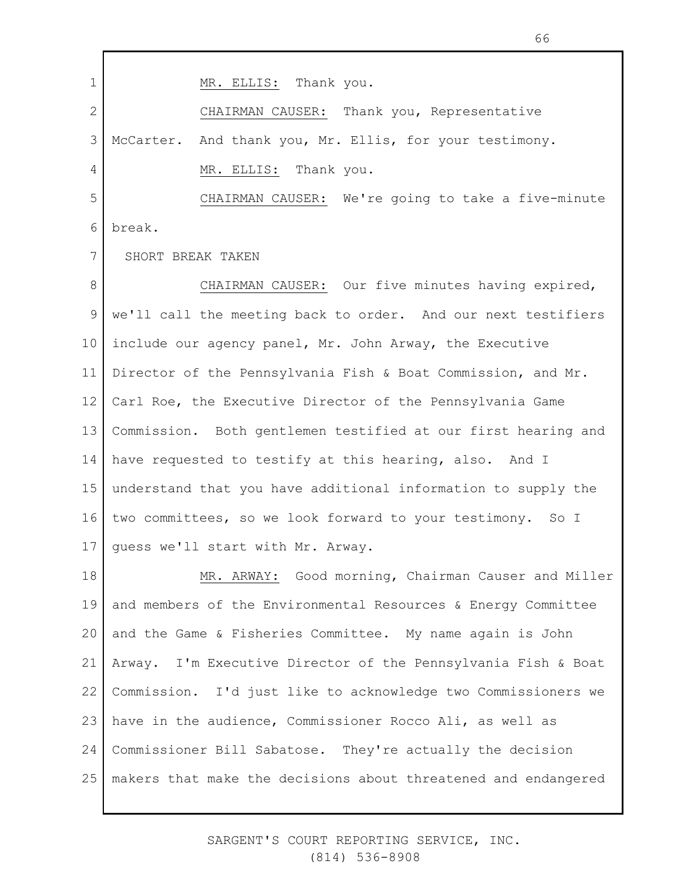1 2 3 4 5 6 7 8 9 10 11 12 13 14 15 16 17 MR. ELLIS: Thank you. CHAIRMAN CAUSER: Thank you, Representative McCarter. And thank you, Mr. Ellis, for your testimony. MR. ELLIS: Thank you. CHAIRMAN CAUSER: We're going to take a five-minute break. SHORT BREAK TAKEN CHAIRMAN CAUSER: Our five minutes having expired, we'll call the meeting back to order. And our next testifiers include our agency panel, Mr. John Arway, the Executive Director of the Pennsylvania Fish & Boat Commission, and Mr. Carl Roe, the Executive Director of the Pennsylvania Game Commission. Both gentlemen testified at our first hearing and have requested to testify at this hearing, also. And I understand that you have additional information to supply the two committees, so we look forward to your testimony. So I guess we'll start with Mr. Arway.

18 19 20 21 22 23 24 25 MR. ARWAY: Good morning, Chairman Causer and Miller and members of the Environmental Resources & Energy Committee and the Game & Fisheries Committee. My name again is John Arway. I'm Executive Director of the Pennsylvania Fish & Boat Commission. I'd just like to acknowledge two Commissioners we have in the audience, Commissioner Rocco Ali, as well as Commissioner Bill Sabatose. They're actually the decision makers that make the decisions about threatened and endangered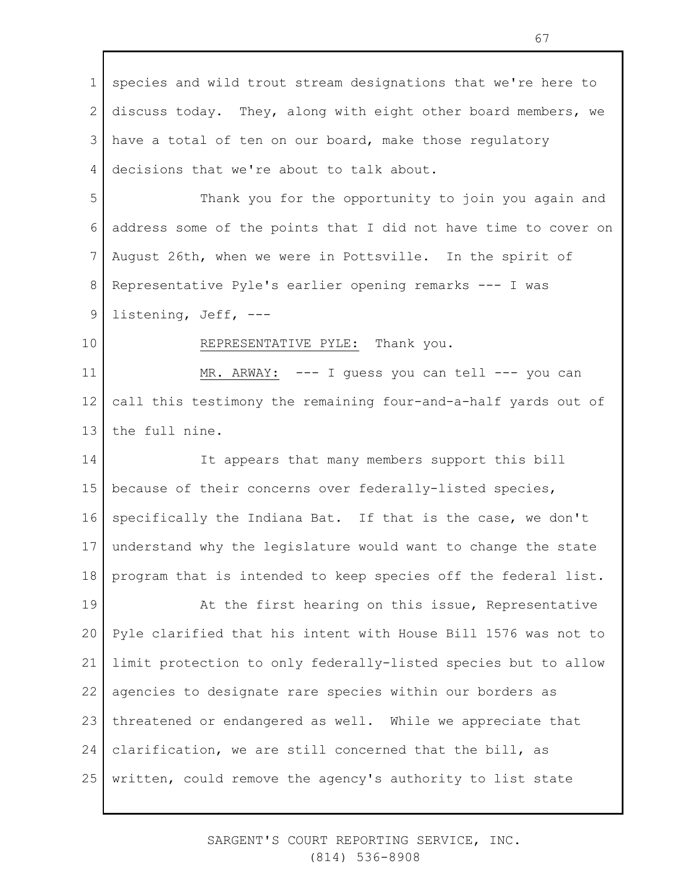1 2 3 4 5 6 7 8 9 10 11 12 13 14 15 16 17 18 19 20 21 22 23 24 25 species and wild trout stream designations that we're here to discuss today. They, along with eight other board members, we have a total of ten on our board, make those regulatory decisions that we're about to talk about. Thank you for the opportunity to join you again and address some of the points that I did not have time to cover on August 26th, when we were in Pottsville. In the spirit of Representative Pyle's earlier opening remarks --- I was listening, Jeff, --- REPRESENTATIVE PYLE: Thank you. MR. ARWAY: --- I quess you can tell --- you can call this testimony the remaining four-and-a-half yards out of the full nine. It appears that many members support this bill because of their concerns over federally-listed species, specifically the Indiana Bat. If that is the case, we don't understand why the legislature would want to change the state program that is intended to keep species off the federal list. At the first hearing on this issue, Representative Pyle clarified that his intent with House Bill 1576 was not to limit protection to only federally-listed species but to allow agencies to designate rare species within our borders as threatened or endangered as well. While we appreciate that clarification, we are still concerned that the bill, as written, could remove the agency's authority to list state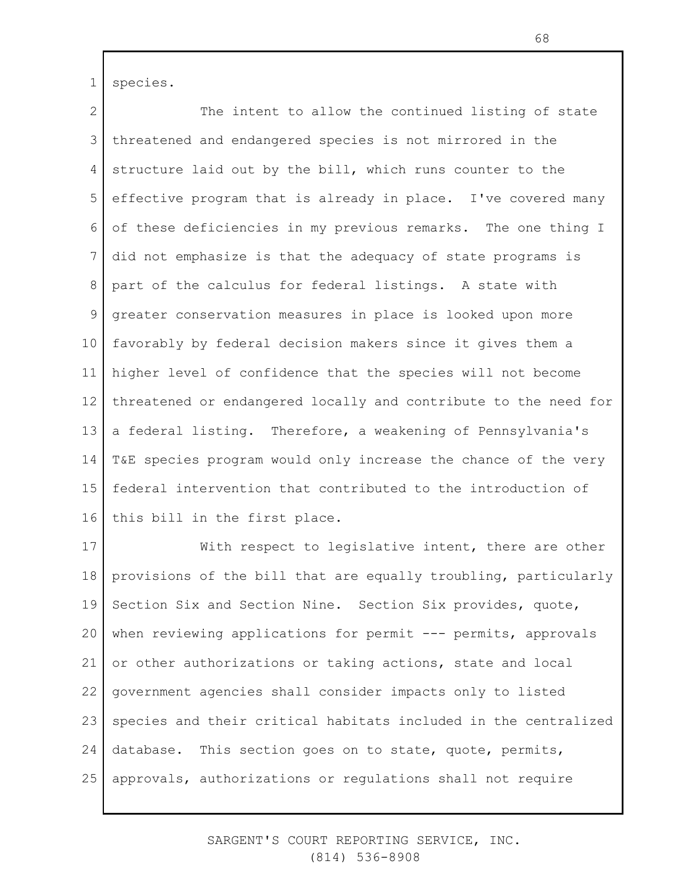1 species.

2 3 4 5 6 7 8 9 10 11 12 13 14 15 16 The intent to allow the continued listing of state threatened and endangered species is not mirrored in the structure laid out by the bill, which runs counter to the effective program that is already in place. I've covered many of these deficiencies in my previous remarks. The one thing I did not emphasize is that the adequacy of state programs is part of the calculus for federal listings. A state with greater conservation measures in place is looked upon more favorably by federal decision makers since it gives them a higher level of confidence that the species will not become threatened or endangered locally and contribute to the need for a federal listing. Therefore, a weakening of Pennsylvania's T&E species program would only increase the chance of the very federal intervention that contributed to the introduction of this bill in the first place.

17 18 19 20 21 22 23 24 25 With respect to legislative intent, there are other provisions of the bill that are equally troubling, particularly Section Six and Section Nine. Section Six provides, quote, when reviewing applications for permit --- permits, approvals or other authorizations or taking actions, state and local government agencies shall consider impacts only to listed species and their critical habitats included in the centralized database. This section goes on to state, quote, permits, approvals, authorizations or regulations shall not require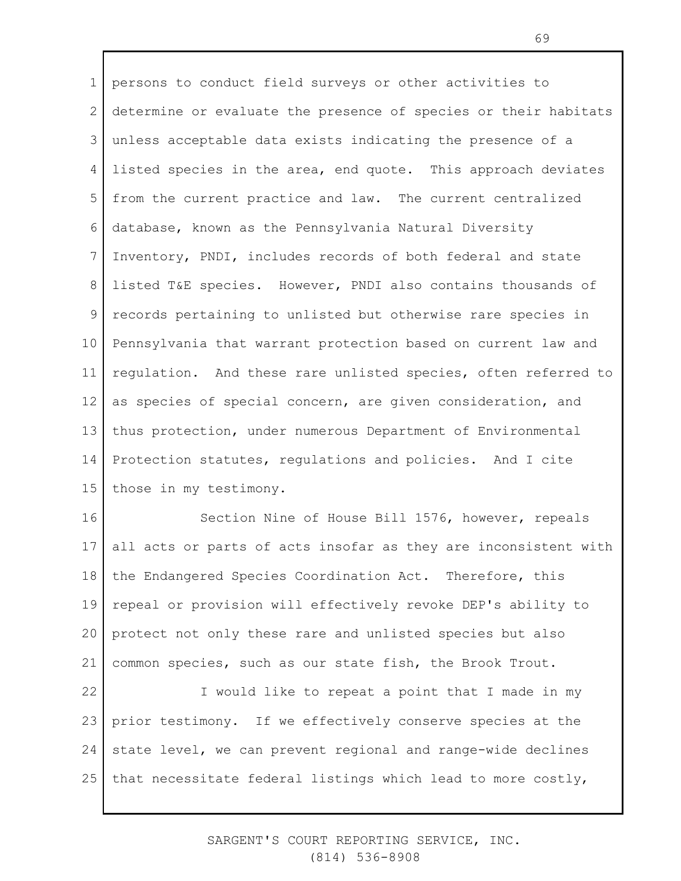1 2 3 4 5 6 7 8 9 10 11 12 13 14 15 persons to conduct field surveys or other activities to determine or evaluate the presence of species or their habitats unless acceptable data exists indicating the presence of a listed species in the area, end quote. This approach deviates from the current practice and law. The current centralized database, known as the Pennsylvania Natural Diversity Inventory, PNDI, includes records of both federal and state listed T&E species. However, PNDI also contains thousands of records pertaining to unlisted but otherwise rare species in Pennsylvania that warrant protection based on current law and regulation. And these rare unlisted species, often referred to as species of special concern, are given consideration, and thus protection, under numerous Department of Environmental Protection statutes, regulations and policies. And I cite those in my testimony.

16 17 18 19 20 21 Section Nine of House Bill 1576, however, repeals all acts or parts of acts insofar as they are inconsistent with the Endangered Species Coordination Act. Therefore, this repeal or provision will effectively revoke DEP's ability to protect not only these rare and unlisted species but also common species, such as our state fish, the Brook Trout.

22 23 24 25 I would like to repeat a point that I made in my prior testimony. If we effectively conserve species at the state level, we can prevent regional and range-wide declines that necessitate federal listings which lead to more costly,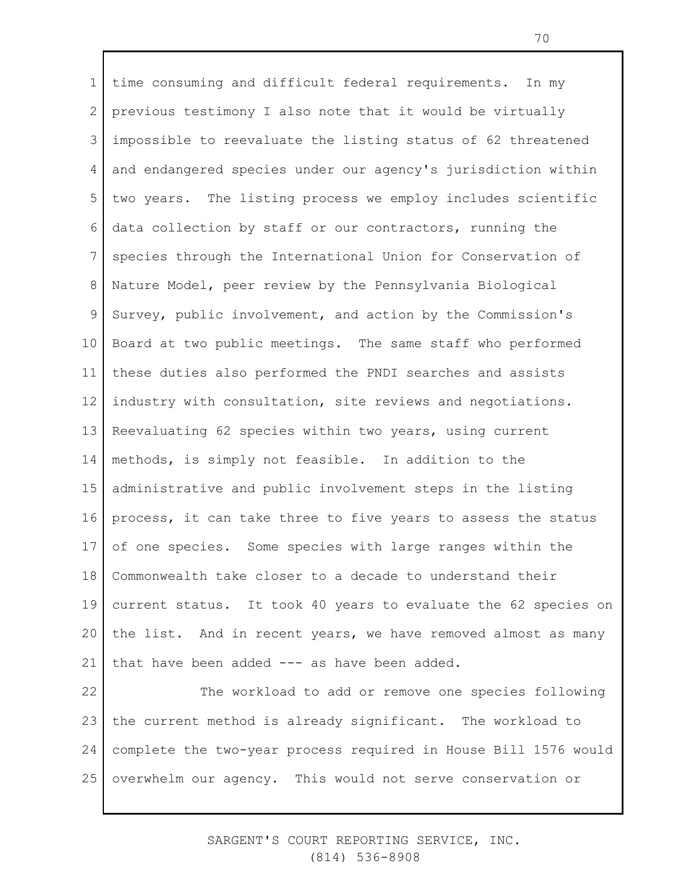1 2 3 4 5 6 7 8 9 10 11 12 13 14 15 16 17 18 19 20 21 22 23 time consuming and difficult federal requirements. In my previous testimony I also note that it would be virtually impossible to reevaluate the listing status of 62 threatened and endangered species under our agency's jurisdiction within two years. The listing process we employ includes scientific data collection by staff or our contractors, running the species through the International Union for Conservation of Nature Model, peer review by the Pennsylvania Biological Survey, public involvement, and action by the Commission's Board at two public meetings. The same staff who performed these duties also performed the PNDI searches and assists industry with consultation, site reviews and negotiations. Reevaluating 62 species within two years, using current methods, is simply not feasible. In addition to the administrative and public involvement steps in the listing process, it can take three to five years to assess the status of one species. Some species with large ranges within the Commonwealth take closer to a decade to understand their current status. It took 40 years to evaluate the 62 species on the list. And in recent years, we have removed almost as many that have been added --- as have been added. The workload to add or remove one species following the current method is already significant. The workload to

25 overwhelm our agency. This would not serve conservation or

24

## SARGENT'S COURT REPORTING SERVICE, INC. (814) 536-8908

complete the two-year process required in House Bill 1576 would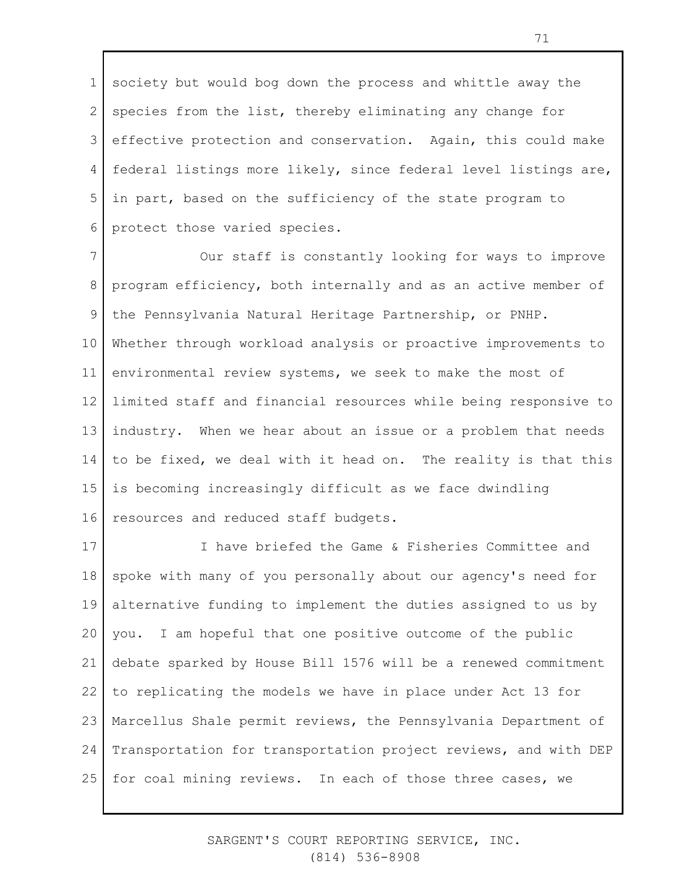1 2 3 4 5 6 society but would bog down the process and whittle away the species from the list, thereby eliminating any change for effective protection and conservation. Again, this could make federal listings more likely, since federal level listings are, in part, based on the sufficiency of the state program to protect those varied species.

7 8 9 10 11 12 13 14 15 16 Our staff is constantly looking for ways to improve program efficiency, both internally and as an active member of the Pennsylvania Natural Heritage Partnership, or PNHP. Whether through workload analysis or proactive improvements to environmental review systems, we seek to make the most of limited staff and financial resources while being responsive to industry. When we hear about an issue or a problem that needs to be fixed, we deal with it head on. The reality is that this is becoming increasingly difficult as we face dwindling resources and reduced staff budgets.

17 18 19 20 21 22 23 24 25 I have briefed the Game & Fisheries Committee and spoke with many of you personally about our agency's need for alternative funding to implement the duties assigned to us by you. I am hopeful that one positive outcome of the public debate sparked by House Bill 1576 will be a renewed commitment to replicating the models we have in place under Act 13 for Marcellus Shale permit reviews, the Pennsylvania Department of Transportation for transportation project reviews, and with DEP for coal mining reviews. In each of those three cases, we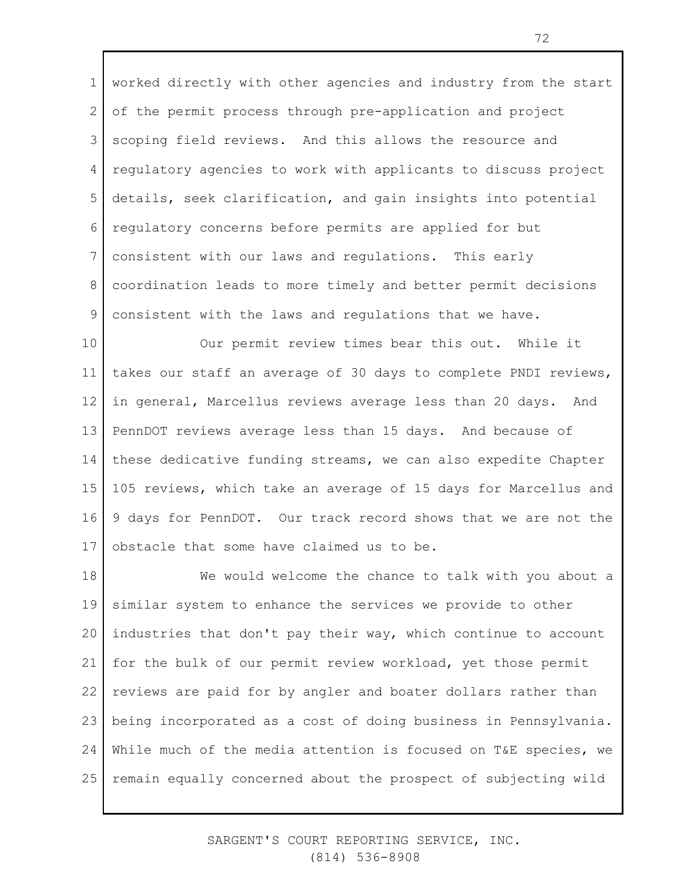1 2 3 4 5 6 7 8 9 worked directly with other agencies and industry from the start of the permit process through pre-application and project scoping field reviews. And this allows the resource and regulatory agencies to work with applicants to discuss project details, seek clarification, and gain insights into potential regulatory concerns before permits are applied for but consistent with our laws and regulations. This early coordination leads to more timely and better permit decisions consistent with the laws and regulations that we have.

10 11 12 13 14 15 16 17 Our permit review times bear this out. While it takes our staff an average of 30 days to complete PNDI reviews, in general, Marcellus reviews average less than 20 days. And PennDOT reviews average less than 15 days. And because of these dedicative funding streams, we can also expedite Chapter 105 reviews, which take an average of 15 days for Marcellus and 9 days for PennDOT. Our track record shows that we are not the obstacle that some have claimed us to be.

18 19 20 21 22 23 24 25 We would welcome the chance to talk with you about a similar system to enhance the services we provide to other industries that don't pay their way, which continue to account for the bulk of our permit review workload, yet those permit reviews are paid for by angler and boater dollars rather than being incorporated as a cost of doing business in Pennsylvania. While much of the media attention is focused on T&E species, we remain equally concerned about the prospect of subjecting wild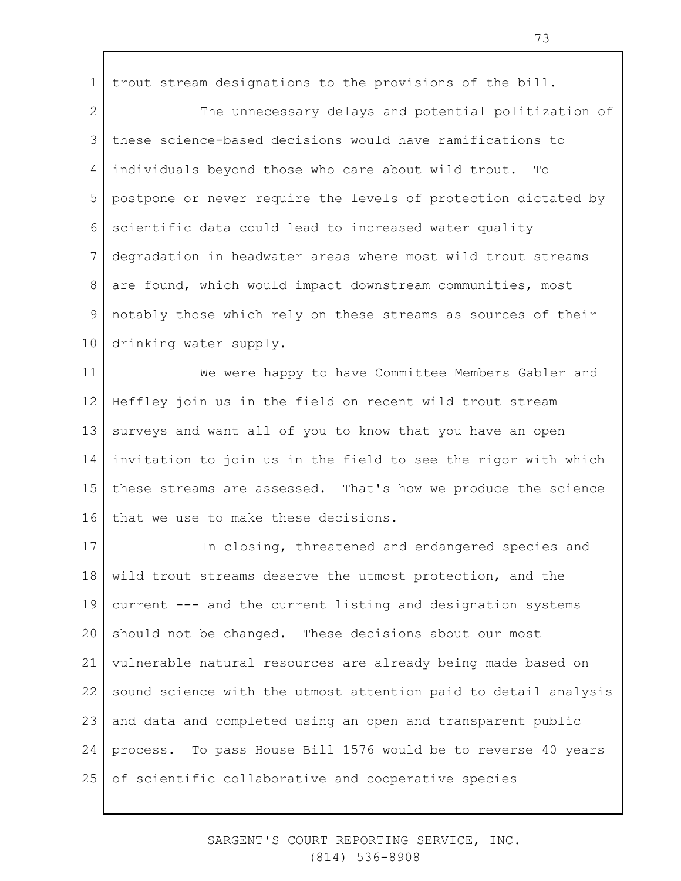1 trout stream designations to the provisions of the bill.

2 3 4 5 6 7 8 9 10 The unnecessary delays and potential politization of these science-based decisions would have ramifications to individuals beyond those who care about wild trout. To postpone or never require the levels of protection dictated by scientific data could lead to increased water quality degradation in headwater areas where most wild trout streams are found, which would impact downstream communities, most notably those which rely on these streams as sources of their drinking water supply.

11 12 13 14 15 16 We were happy to have Committee Members Gabler and Heffley join us in the field on recent wild trout stream surveys and want all of you to know that you have an open invitation to join us in the field to see the rigor with which these streams are assessed. That's how we produce the science that we use to make these decisions.

17 18 19 20 21 22 23 24 25 In closing, threatened and endangered species and wild trout streams deserve the utmost protection, and the current --- and the current listing and designation systems should not be changed. These decisions about our most vulnerable natural resources are already being made based on sound science with the utmost attention paid to detail analysis and data and completed using an open and transparent public process. To pass House Bill 1576 would be to reverse 40 years of scientific collaborative and cooperative species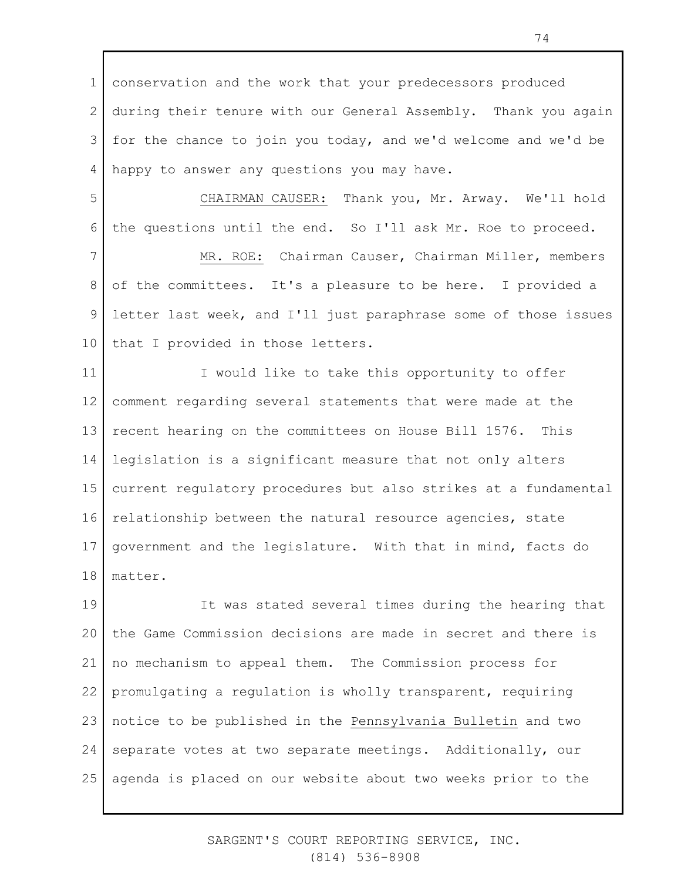1 2 3 4 conservation and the work that your predecessors produced during their tenure with our General Assembly. Thank you again for the chance to join you today, and we'd welcome and we'd be happy to answer any questions you may have.

5 6 CHAIRMAN CAUSER: Thank you, Mr. Arway. We'll hold the questions until the end. So I'll ask Mr. Roe to proceed.

7 8 9 10 MR. ROE: Chairman Causer, Chairman Miller, members of the committees. It's a pleasure to be here. I provided a letter last week, and I'll just paraphrase some of those issues that I provided in those letters.

11 12 13 14 15 16 17 18 I would like to take this opportunity to offer comment regarding several statements that were made at the recent hearing on the committees on House Bill 1576. This legislation is a significant measure that not only alters current regulatory procedures but also strikes at a fundamental relationship between the natural resource agencies, state government and the legislature. With that in mind, facts do matter.

19 20 21 22 23 24 25 It was stated several times during the hearing that the Game Commission decisions are made in secret and there is no mechanism to appeal them. The Commission process for promulgating a regulation is wholly transparent, requiring notice to be published in the Pennsylvania Bulletin and two separate votes at two separate meetings. Additionally, our agenda is placed on our website about two weeks prior to the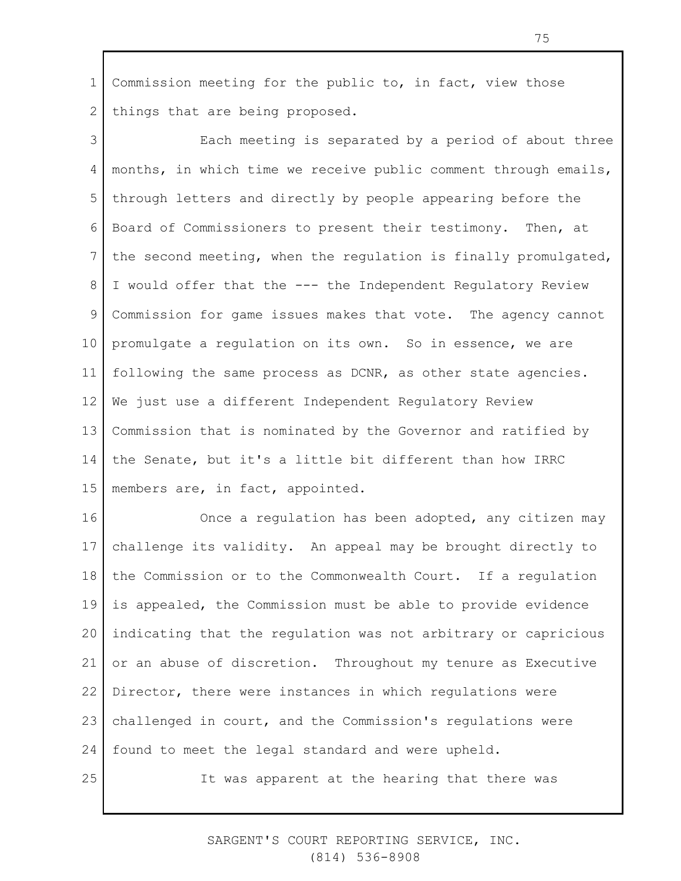1 2 Commission meeting for the public to, in fact, view those things that are being proposed.

3 4 5 6 7 8 9 10 11 12 13 14 15 Each meeting is separated by a period of about three months, in which time we receive public comment through emails, through letters and directly by people appearing before the Board of Commissioners to present their testimony. Then, at the second meeting, when the regulation is finally promulgated, I would offer that the --- the Independent Regulatory Review Commission for game issues makes that vote. The agency cannot promulgate a regulation on its own. So in essence, we are following the same process as DCNR, as other state agencies. We just use a different Independent Regulatory Review Commission that is nominated by the Governor and ratified by the Senate, but it's a little bit different than how IRRC members are, in fact, appointed.

16 17 18 19 20 21 22 23 24 25 Once a regulation has been adopted, any citizen may challenge its validity. An appeal may be brought directly to the Commission or to the Commonwealth Court. If a regulation is appealed, the Commission must be able to provide evidence indicating that the regulation was not arbitrary or capricious or an abuse of discretion. Throughout my tenure as Executive Director, there were instances in which regulations were challenged in court, and the Commission's regulations were found to meet the legal standard and were upheld.

It was apparent at the hearing that there was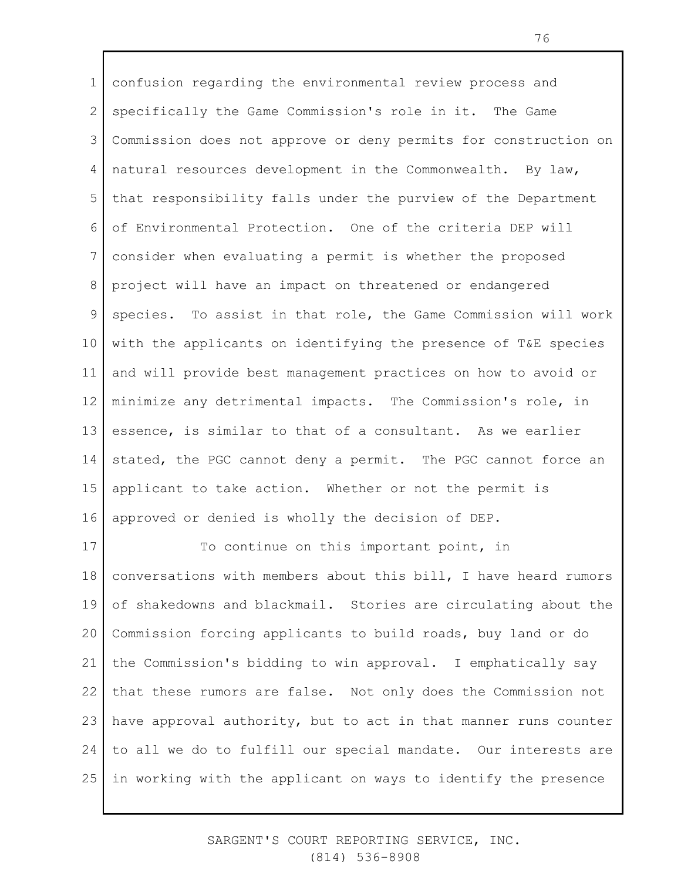1 2 3 4 5 6 7 8 9 10 11 12 13 14 15 16 confusion regarding the environmental review process and specifically the Game Commission's role in it. The Game Commission does not approve or deny permits for construction on natural resources development in the Commonwealth. By law, that responsibility falls under the purview of the Department of Environmental Protection. One of the criteria DEP will consider when evaluating a permit is whether the proposed project will have an impact on threatened or endangered species. To assist in that role, the Game Commission will work with the applicants on identifying the presence of T&E species and will provide best management practices on how to avoid or minimize any detrimental impacts. The Commission's role, in essence, is similar to that of a consultant. As we earlier stated, the PGC cannot deny a permit. The PGC cannot force an applicant to take action. Whether or not the permit is approved or denied is wholly the decision of DEP.

17 18 19 20 21 22 23 24 25 To continue on this important point, in conversations with members about this bill, I have heard rumors of shakedowns and blackmail. Stories are circulating about the Commission forcing applicants to build roads, buy land or do the Commission's bidding to win approval. I emphatically say that these rumors are false. Not only does the Commission not have approval authority, but to act in that manner runs counter to all we do to fulfill our special mandate. Our interests are in working with the applicant on ways to identify the presence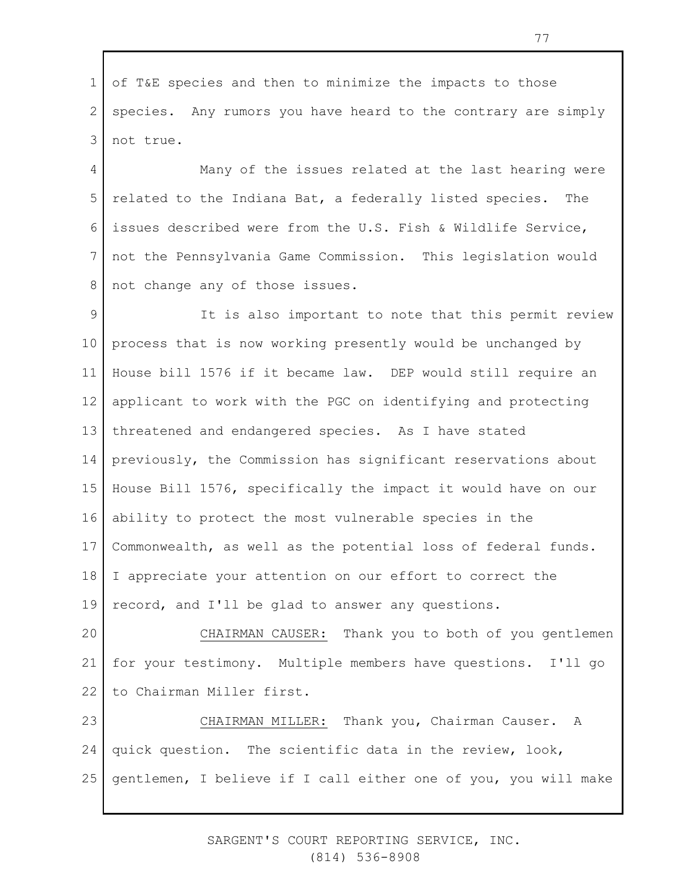1 2 3 of T&E species and then to minimize the impacts to those species. Any rumors you have heard to the contrary are simply not true.

4 5 6 7 8 Many of the issues related at the last hearing were related to the Indiana Bat, a federally listed species. The issues described were from the U.S. Fish & Wildlife Service, not the Pennsylvania Game Commission. This legislation would not change any of those issues.

9 10 11 12 13 14 15 16 17 18 19 It is also important to note that this permit review process that is now working presently would be unchanged by House bill 1576 if it became law. DEP would still require an applicant to work with the PGC on identifying and protecting threatened and endangered species. As I have stated previously, the Commission has significant reservations about House Bill 1576, specifically the impact it would have on our ability to protect the most vulnerable species in the Commonwealth, as well as the potential loss of federal funds. I appreciate your attention on our effort to correct the record, and I'll be glad to answer any questions.

20 21 22 CHAIRMAN CAUSER: Thank you to both of you gentlemen for your testimony. Multiple members have questions. I'll go to Chairman Miller first.

23 24 25 CHAIRMAN MILLER: Thank you, Chairman Causer. A quick question. The scientific data in the review, look, gentlemen, I believe if I call either one of you, you will make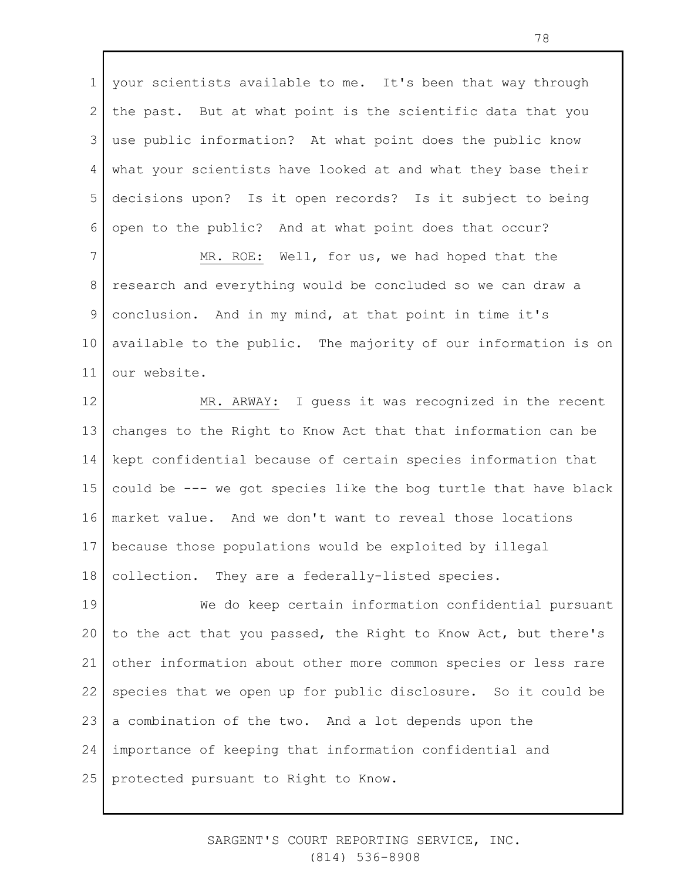1 2 3 4 5 6 your scientists available to me. It's been that way through the past. But at what point is the scientific data that you use public information? At what point does the public know what your scientists have looked at and what they base their decisions upon? Is it open records? Is it subject to being open to the public? And at what point does that occur?

7 8 9 10 11 MR. ROE: Well, for us, we had hoped that the research and everything would be concluded so we can draw a conclusion. And in my mind, at that point in time it's available to the public. The majority of our information is on our website.

12 13 14 15 16 17 18 MR. ARWAY: I guess it was recognized in the recent changes to the Right to Know Act that that information can be kept confidential because of certain species information that could be --- we got species like the bog turtle that have black market value. And we don't want to reveal those locations because those populations would be exploited by illegal collection. They are a federally-listed species.

19 20 21 22 23 24 25 We do keep certain information confidential pursuant to the act that you passed, the Right to Know Act, but there's other information about other more common species or less rare species that we open up for public disclosure. So it could be a combination of the two. And a lot depends upon the importance of keeping that information confidential and protected pursuant to Right to Know.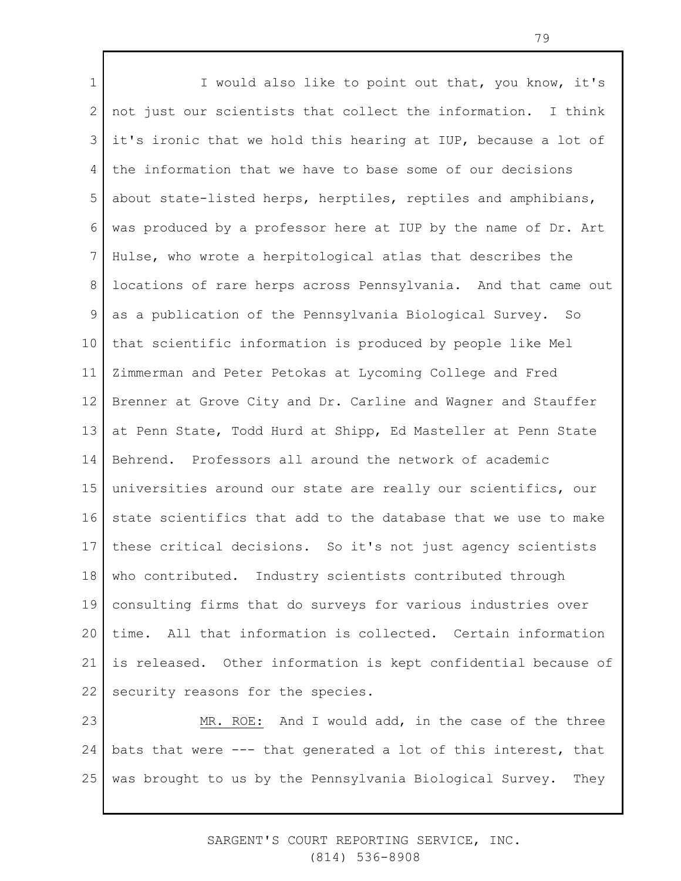1 2 3 4 5 6 7 8 9 10 11 12 13 14 15 16 17 18 19 20 21 22 I would also like to point out that, you know, it's not just our scientists that collect the information. I think it's ironic that we hold this hearing at IUP, because a lot of the information that we have to base some of our decisions about state-listed herps, herptiles, reptiles and amphibians, was produced by a professor here at IUP by the name of Dr. Art Hulse, who wrote a herpitological atlas that describes the locations of rare herps across Pennsylvania. And that came out as a publication of the Pennsylvania Biological Survey. So that scientific information is produced by people like Mel Zimmerman and Peter Petokas at Lycoming College and Fred Brenner at Grove City and Dr. Carline and Wagner and Stauffer at Penn State, Todd Hurd at Shipp, Ed Masteller at Penn State Behrend. Professors all around the network of academic universities around our state are really our scientifics, our state scientifics that add to the database that we use to make these critical decisions. So it's not just agency scientists who contributed. Industry scientists contributed through consulting firms that do surveys for various industries over time. All that information is collected. Certain information is released. Other information is kept confidential because of security reasons for the species.

23 24 25 MR. ROE: And I would add, in the case of the three bats that were --- that generated a lot of this interest, that was brought to us by the Pennsylvania Biological Survey. They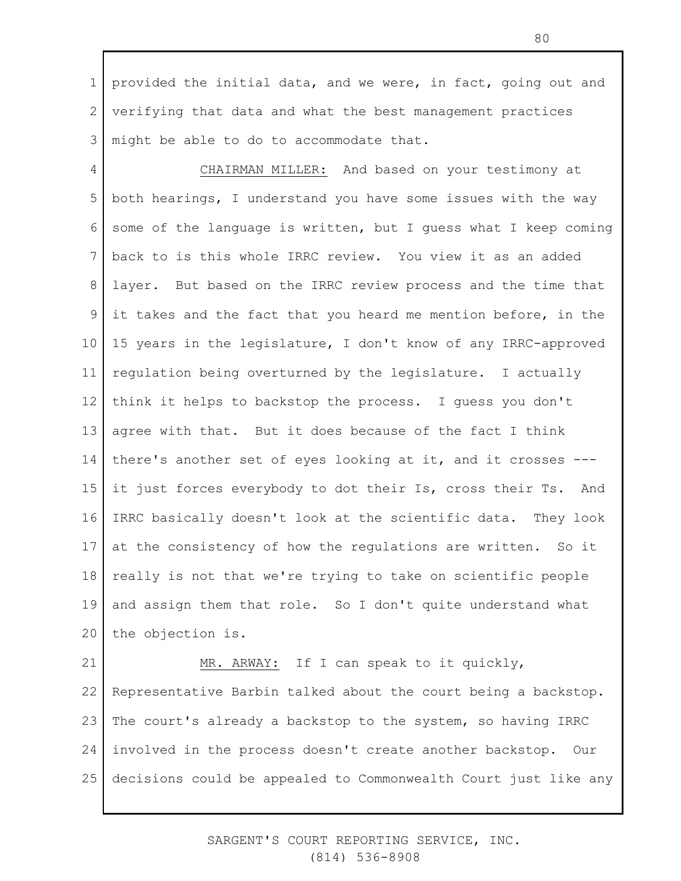1 2 3 provided the initial data, and we were, in fact, going out and verifying that data and what the best management practices might be able to do to accommodate that.

4 5 6 7 8 9 10 11 12 13 14 15 16 17 18 19 20 CHAIRMAN MILLER: And based on your testimony at both hearings, I understand you have some issues with the way some of the language is written, but I guess what I keep coming back to is this whole IRRC review. You view it as an added layer. But based on the IRRC review process and the time that it takes and the fact that you heard me mention before, in the 15 years in the legislature, I don't know of any IRRC-approved regulation being overturned by the legislature. I actually think it helps to backstop the process. I guess you don't agree with that. But it does because of the fact I think there's another set of eyes looking at it, and it crosses -- it just forces everybody to dot their Is, cross their Ts. And IRRC basically doesn't look at the scientific data. They look at the consistency of how the regulations are written. So it really is not that we're trying to take on scientific people and assign them that role. So I don't quite understand what the objection is.

21 22 23 24 25 MR. ARWAY: If I can speak to it quickly, Representative Barbin talked about the court being a backstop. The court's already a backstop to the system, so having IRRC involved in the process doesn't create another backstop. Our decisions could be appealed to Commonwealth Court just like any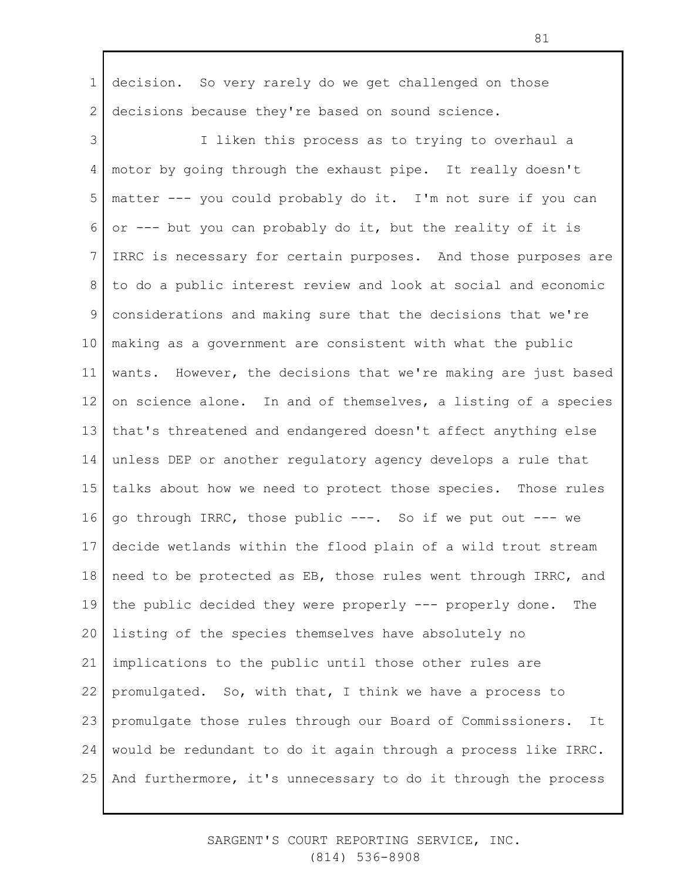1 2 decision. So very rarely do we get challenged on those decisions because they're based on sound science.

3 4 5 6 7 8 9 10 11 12 13 14 15 16 17 18 19 20 21 22 23 24 25 I liken this process as to trying to overhaul a motor by going through the exhaust pipe. It really doesn't matter --- you could probably do it. I'm not sure if you can or --- but you can probably do it, but the reality of it is IRRC is necessary for certain purposes. And those purposes are to do a public interest review and look at social and economic considerations and making sure that the decisions that we're making as a government are consistent with what the public wants. However, the decisions that we're making are just based on science alone. In and of themselves, a listing of a species that's threatened and endangered doesn't affect anything else unless DEP or another regulatory agency develops a rule that talks about how we need to protect those species. Those rules go through IRRC, those public ---. So if we put out --- we decide wetlands within the flood plain of a wild trout stream need to be protected as EB, those rules went through IRRC, and the public decided they were properly --- properly done. The listing of the species themselves have absolutely no implications to the public until those other rules are promulgated. So, with that, I think we have a process to promulgate those rules through our Board of Commissioners. It would be redundant to do it again through a process like IRRC. And furthermore, it's unnecessary to do it through the process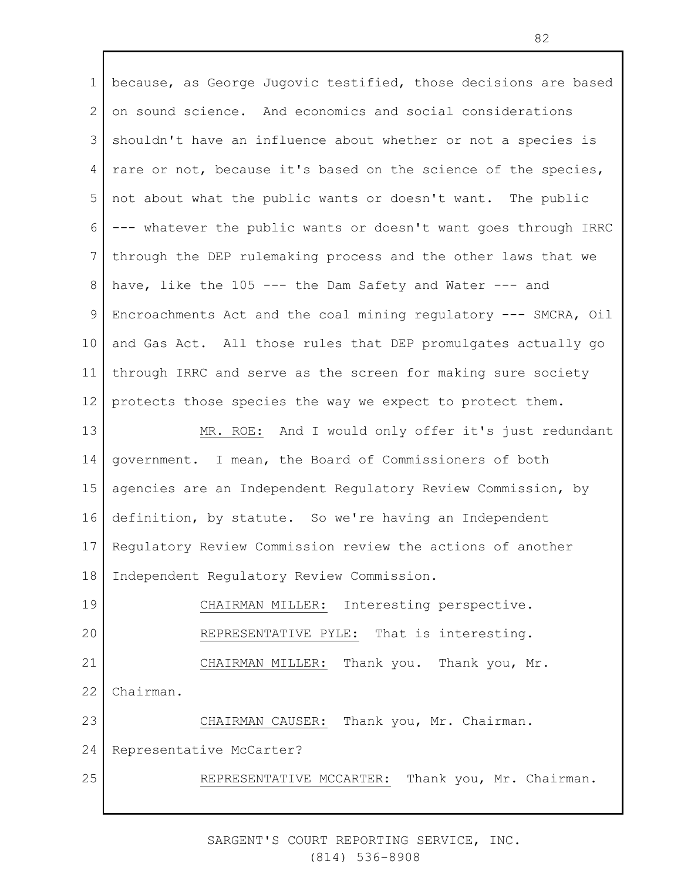1 2 3 4 5 6 7 8 9 10 11 12 13 14 15 16 17 18 19 20 21 22 23 24 25 because, as George Jugovic testified, those decisions are based on sound science. And economics and social considerations shouldn't have an influence about whether or not a species is rare or not, because it's based on the science of the species, not about what the public wants or doesn't want. The public --- whatever the public wants or doesn't want goes through IRRC through the DEP rulemaking process and the other laws that we have, like the 105 --- the Dam Safety and Water --- and Encroachments Act and the coal mining regulatory --- SMCRA, Oil and Gas Act. All those rules that DEP promulgates actually go through IRRC and serve as the screen for making sure society protects those species the way we expect to protect them. MR. ROE: And I would only offer it's just redundant government. I mean, the Board of Commissioners of both agencies are an Independent Regulatory Review Commission, by definition, by statute. So we're having an Independent Regulatory Review Commission review the actions of another Independent Regulatory Review Commission. CHAIRMAN MILLER: Interesting perspective. REPRESENTATIVE PYLE: That is interesting. CHAIRMAN MILLER: Thank you. Thank you, Mr. Chairman. CHAIRMAN CAUSER: Thank you, Mr. Chairman. Representative McCarter? REPRESENTATIVE MCCARTER: Thank you, Mr. Chairman.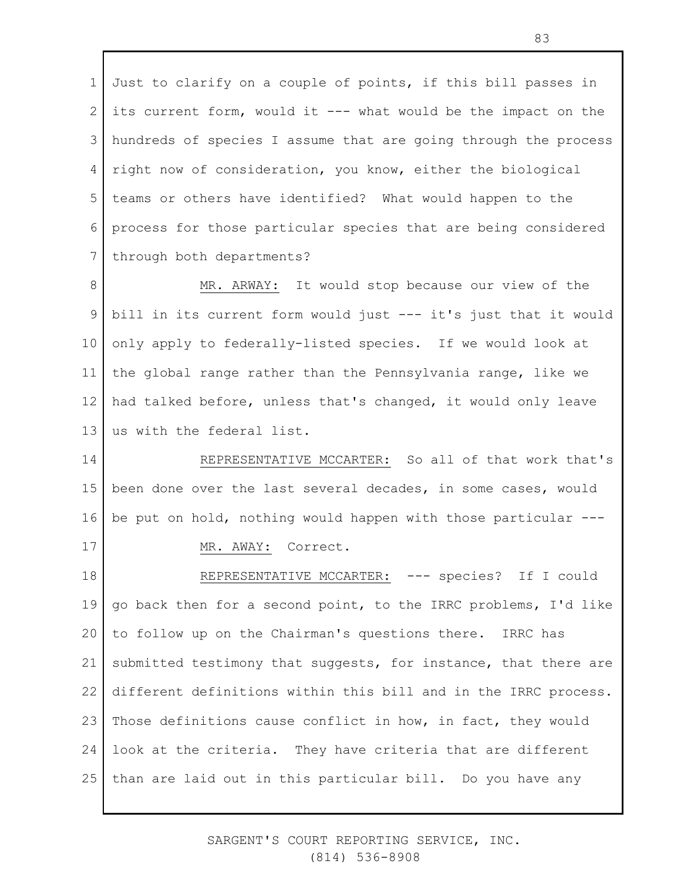1 2 3 4 5 6 7 Just to clarify on a couple of points, if this bill passes in its current form, would it --- what would be the impact on the hundreds of species I assume that are going through the process right now of consideration, you know, either the biological teams or others have identified? What would happen to the process for those particular species that are being considered through both departments?

8 9 10 11 12 13 MR. ARWAY: It would stop because our view of the bill in its current form would just --- it's just that it would only apply to federally-listed species. If we would look at the global range rather than the Pennsylvania range, like we had talked before, unless that's changed, it would only leave us with the federal list.

14 15 16 17 REPRESENTATIVE MCCARTER: So all of that work that's been done over the last several decades, in some cases, would be put on hold, nothing would happen with those particular --- MR. AWAY: Correct.

18 19 20 21 22 23 24 25 REPRESENTATIVE MCCARTER: --- species? If I could go back then for a second point, to the IRRC problems, I'd like to follow up on the Chairman's questions there. IRRC has submitted testimony that suggests, for instance, that there are different definitions within this bill and in the IRRC process. Those definitions cause conflict in how, in fact, they would look at the criteria. They have criteria that are different than are laid out in this particular bill. Do you have any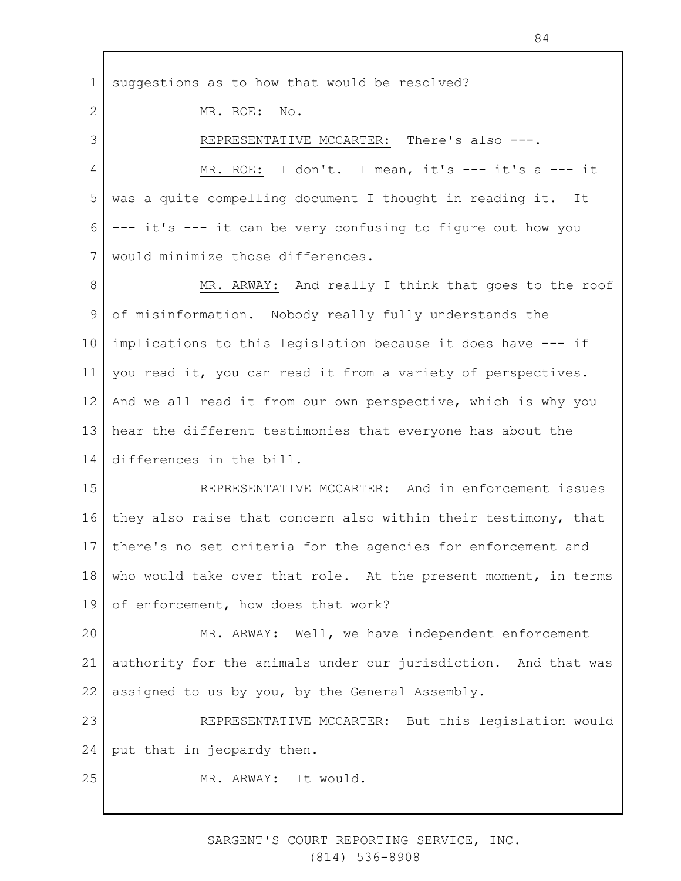1 suggestions as to how that would be resolved?

MR. ROE: No.

2

3

REPRESENTATIVE MCCARTER: There's also ---.

4 5 6 7 MR. ROE: I don't. I mean, it's --- it's a --- it was a quite compelling document I thought in reading it. It --- it's --- it can be very confusing to figure out how you would minimize those differences.

8 9 10 11 12 13 14 MR. ARWAY: And really I think that goes to the roof of misinformation. Nobody really fully understands the implications to this legislation because it does have --- if you read it, you can read it from a variety of perspectives. And we all read it from our own perspective, which is why you hear the different testimonies that everyone has about the differences in the bill.

15 16 17 18 19 REPRESENTATIVE MCCARTER: And in enforcement issues they also raise that concern also within their testimony, that there's no set criteria for the agencies for enforcement and who would take over that role. At the present moment, in terms of enforcement, how does that work?

20 21 22 MR. ARWAY: Well, we have independent enforcement authority for the animals under our jurisdiction. And that was assigned to us by you, by the General Assembly.

23 24 REPRESENTATIVE MCCARTER: But this legislation would put that in jeopardy then.

25 MR. ARWAY: It would.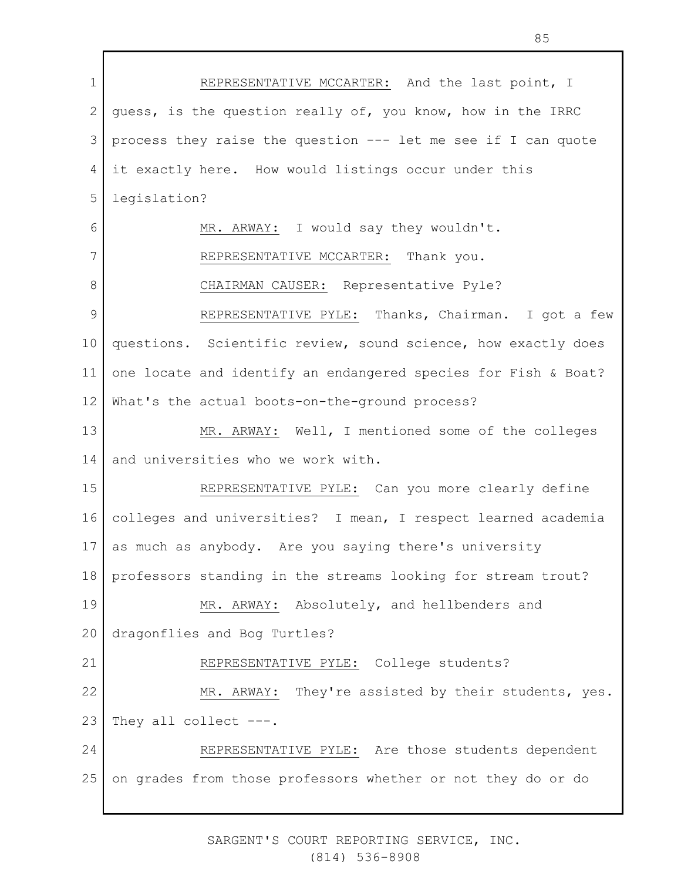1 2 3 4 5 6 7 8 9 10 11 12 13 14 15 16 17 18 19 20 21 22 23 24 25 REPRESENTATIVE MCCARTER: And the last point, I guess, is the question really of, you know, how in the IRRC process they raise the question --- let me see if I can quote it exactly here. How would listings occur under this legislation? MR. ARWAY: I would say they wouldn't. REPRESENTATIVE MCCARTER: Thank you. CHAIRMAN CAUSER: Representative Pyle? REPRESENTATIVE PYLE: Thanks, Chairman. I got a few questions. Scientific review, sound science, how exactly does one locate and identify an endangered species for Fish & Boat? What's the actual boots-on-the-ground process? MR. ARWAY: Well, I mentioned some of the colleges and universities who we work with. REPRESENTATIVE PYLE: Can you more clearly define colleges and universities? I mean, I respect learned academia as much as anybody. Are you saying there's university professors standing in the streams looking for stream trout? MR. ARWAY: Absolutely, and hellbenders and dragonflies and Bog Turtles? REPRESENTATIVE PYLE: College students? MR. ARWAY: They're assisted by their students, yes. They all collect ---. REPRESENTATIVE PYLE: Are those students dependent on grades from those professors whether or not they do or do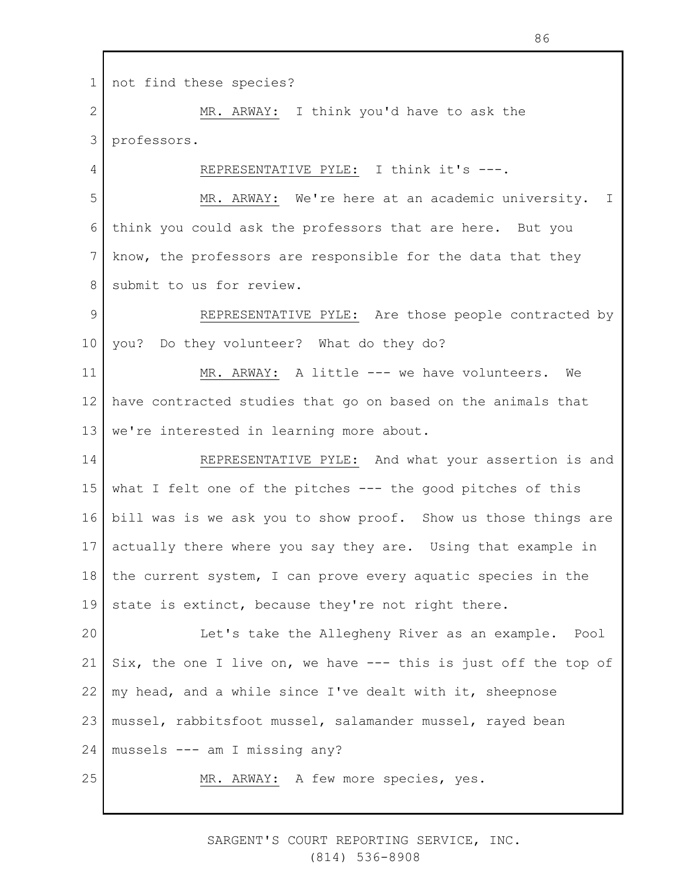1 2 3 4 5 6 7 8 9 10 11 12 13 14 15 16 17 18 19 20 21 22 23 not find these species? MR. ARWAY: I think you'd have to ask the professors. REPRESENTATIVE PYLE: I think it's ---. MR. ARWAY: We're here at an academic university. I think you could ask the professors that are here. But you know, the professors are responsible for the data that they submit to us for review. REPRESENTATIVE PYLE: Are those people contracted by you? Do they volunteer? What do they do? MR. ARWAY: A little --- we have volunteers. We have contracted studies that go on based on the animals that we're interested in learning more about. REPRESENTATIVE PYLE: And what your assertion is and what I felt one of the pitches --- the good pitches of this bill was is we ask you to show proof. Show us those things are actually there where you say they are. Using that example in the current system, I can prove every aquatic species in the state is extinct, because they're not right there. Let's take the Allegheny River as an example. Pool Six, the one I live on, we have --- this is just off the top of my head, and a while since I've dealt with it, sheepnose mussel, rabbitsfoot mussel, salamander mussel, rayed bean

24 mussels --- am I missing any?

25

MR. ARWAY: A few more species, yes.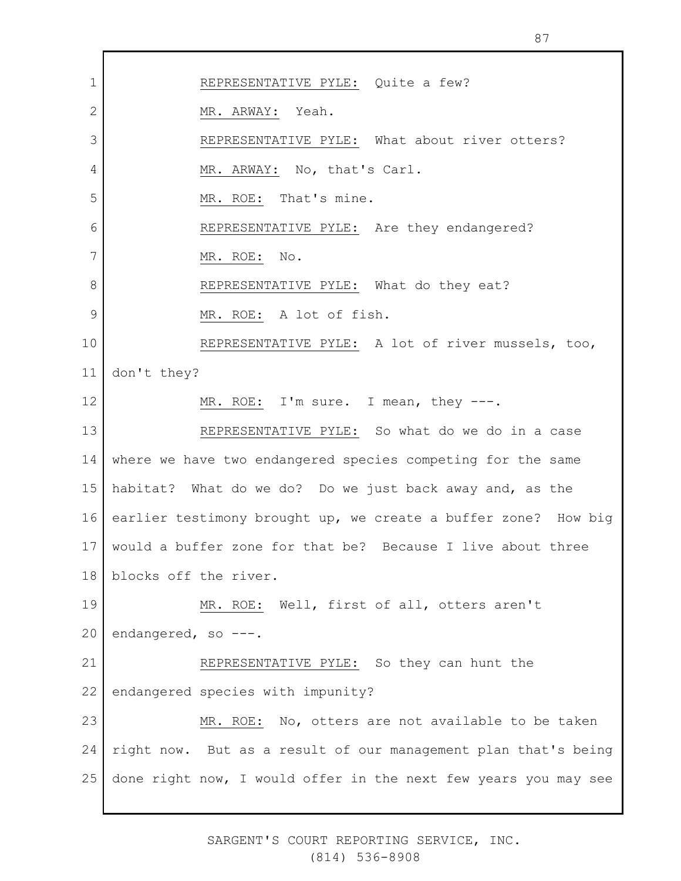1 2 3 4 5 6 7 8 9 10 11 12 13 14 15 16 17 18 19 20 21 22 23 24 25 REPRESENTATIVE PYLE: Quite a few? MR. ARWAY: Yeah. REPRESENTATIVE PYLE: What about river otters? MR. ARWAY: No, that's Carl. MR. ROE: That's mine. REPRESENTATIVE PYLE: Are they endangered? MR. ROE: No. REPRESENTATIVE PYLE: What do they eat? MR. ROE: A lot of fish. REPRESENTATIVE PYLE: A lot of river mussels, too, don't they? MR. ROE: I'm sure. I mean, they ---. REPRESENTATIVE PYLE: So what do we do in a case where we have two endangered species competing for the same habitat? What do we do? Do we just back away and, as the earlier testimony brought up, we create a buffer zone? How big would a buffer zone for that be? Because I live about three blocks off the river. MR. ROE: Well, first of all, otters aren't endangered, so ---. REPRESENTATIVE PYLE: So they can hunt the endangered species with impunity? MR. ROE: No, otters are not available to be taken right now. But as a result of our management plan that's being done right now, I would offer in the next few years you may see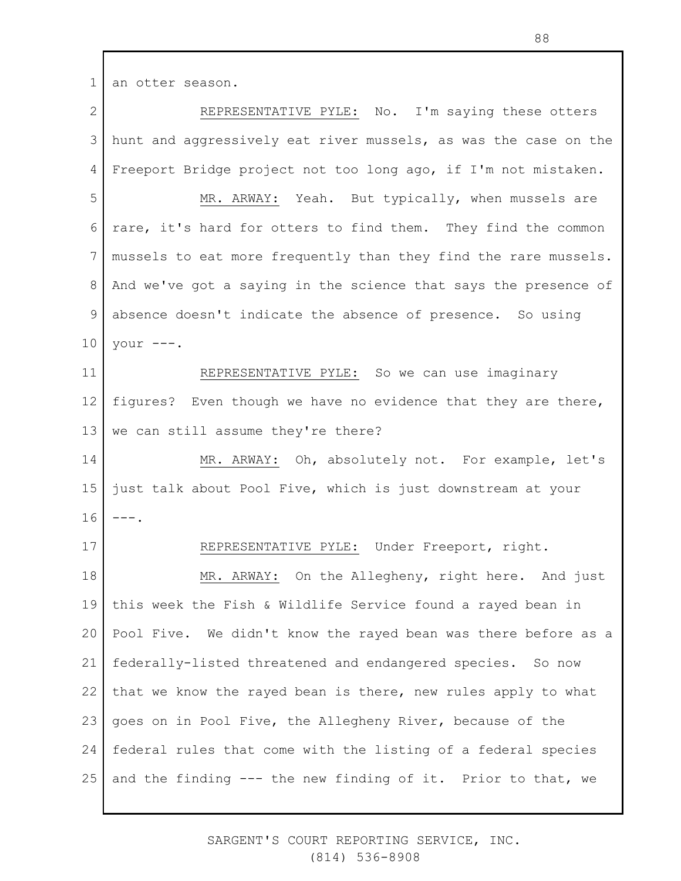2 3 4 5 6 7 8 9 10 11 12 13 14 15 16 17 18 19 20 21 22 23 24 25 REPRESENTATIVE PYLE: No. I'm saying these otters hunt and aggressively eat river mussels, as was the case on the Freeport Bridge project not too long ago, if I'm not mistaken. MR. ARWAY: Yeah. But typically, when mussels are rare, it's hard for otters to find them. They find the common mussels to eat more frequently than they find the rare mussels. And we've got a saying in the science that says the presence of absence doesn't indicate the absence of presence. So using your ---. REPRESENTATIVE PYLE: So we can use imaginary figures? Even though we have no evidence that they are there, we can still assume they're there? MR. ARWAY: Oh, absolutely not. For example, let's just talk about Pool Five, which is just downstream at your  $---$ . REPRESENTATIVE PYLE: Under Freeport, right. MR. ARWAY: On the Allegheny, right here. And just this week the Fish & Wildlife Service found a rayed bean in Pool Five. We didn't know the rayed bean was there before as a federally-listed threatened and endangered species. So now that we know the rayed bean is there, new rules apply to what goes on in Pool Five, the Allegheny River, because of the federal rules that come with the listing of a federal species and the finding --- the new finding of it. Prior to that, we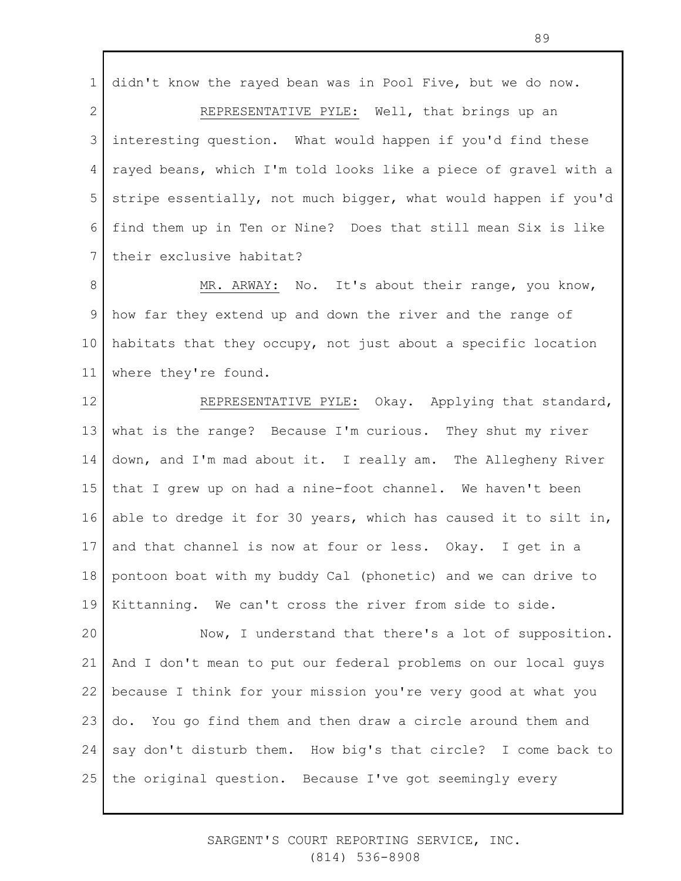1 2 3 4 5 6 7 didn't know the rayed bean was in Pool Five, but we do now. REPRESENTATIVE PYLE: Well, that brings up an interesting question. What would happen if you'd find these rayed beans, which I'm told looks like a piece of gravel with a stripe essentially, not much bigger, what would happen if you'd find them up in Ten or Nine? Does that still mean Six is like their exclusive habitat?

8 9 10 11 MR. ARWAY: No. It's about their range, you know, how far they extend up and down the river and the range of habitats that they occupy, not just about a specific location where they're found.

12 13 14 15 16 17 18 19 REPRESENTATIVE PYLE: Okay. Applying that standard, what is the range? Because I'm curious. They shut my river down, and I'm mad about it. I really am. The Allegheny River that I grew up on had a nine-foot channel. We haven't been able to dredge it for 30 years, which has caused it to silt in, and that channel is now at four or less. Okay. I get in a pontoon boat with my buddy Cal (phonetic) and we can drive to Kittanning. We can't cross the river from side to side.

20 21 22 23 24 25 Now, I understand that there's a lot of supposition. And I don't mean to put our federal problems on our local guys because I think for your mission you're very good at what you do. You go find them and then draw a circle around them and say don't disturb them. How big's that circle? I come back to the original question. Because I've got seemingly every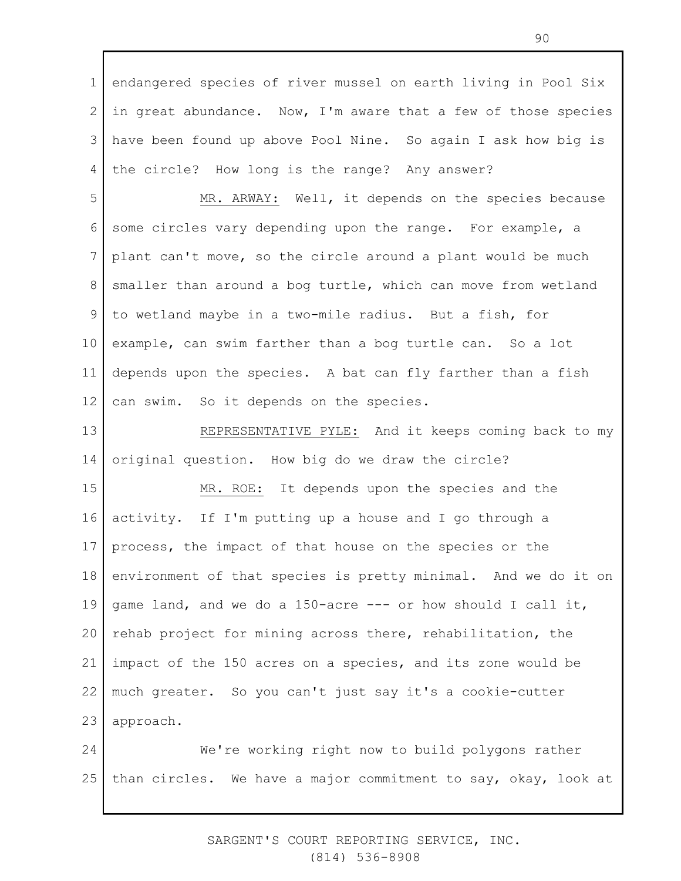1 2 3 4 endangered species of river mussel on earth living in Pool Six in great abundance. Now, I'm aware that a few of those species have been found up above Pool Nine. So again I ask how big is the circle? How long is the range? Any answer?

5 6 7 8 9 10 11 12 MR. ARWAY: Well, it depends on the species because some circles vary depending upon the range. For example, a plant can't move, so the circle around a plant would be much smaller than around a bog turtle, which can move from wetland to wetland maybe in a two-mile radius. But a fish, for example, can swim farther than a bog turtle can. So a lot depends upon the species. A bat can fly farther than a fish can swim. So it depends on the species.

13 14 REPRESENTATIVE PYLE: And it keeps coming back to my original question. How big do we draw the circle?

15 16 17 18 19 20 21 22 23 MR. ROE: It depends upon the species and the activity. If I'm putting up a house and I go through a process, the impact of that house on the species or the environment of that species is pretty minimal. And we do it on game land, and we do a 150-acre --- or how should I call it, rehab project for mining across there, rehabilitation, the impact of the 150 acres on a species, and its zone would be much greater. So you can't just say it's a cookie-cutter approach.

24 25 We're working right now to build polygons rather than circles. We have a major commitment to say, okay, look at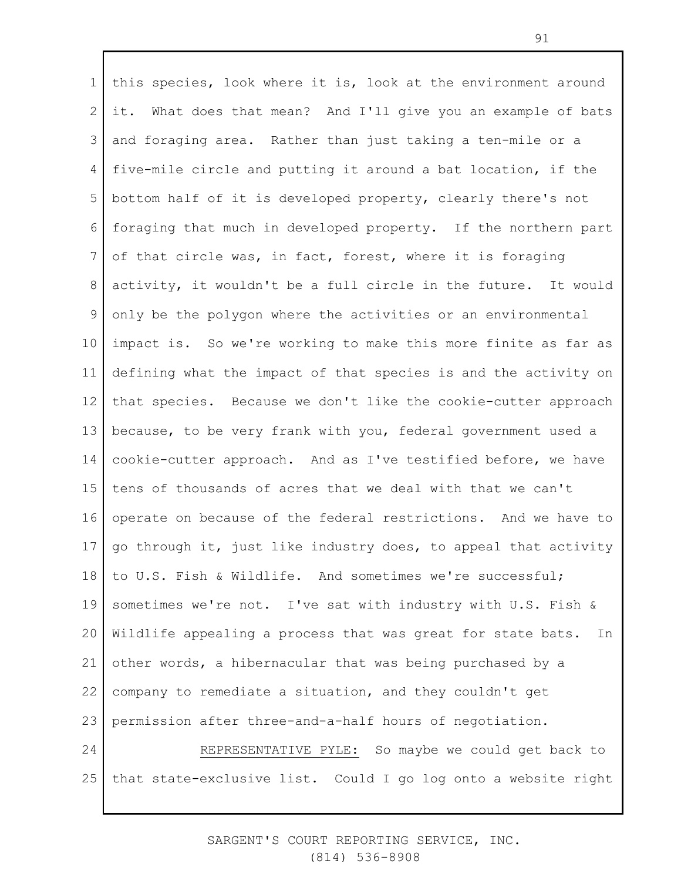1 2 3 4 5 6 7 8 9 10 11 12 13 14 15 16 17 18 19 20 21 22 23 24 25 this species, look where it is, look at the environment around it. What does that mean? And I'll give you an example of bats and foraging area. Rather than just taking a ten-mile or a five-mile circle and putting it around a bat location, if the bottom half of it is developed property, clearly there's not foraging that much in developed property. If the northern part of that circle was, in fact, forest, where it is foraging activity, it wouldn't be a full circle in the future. It would only be the polygon where the activities or an environmental impact is. So we're working to make this more finite as far as defining what the impact of that species is and the activity on that species. Because we don't like the cookie-cutter approach because, to be very frank with you, federal government used a cookie-cutter approach. And as I've testified before, we have tens of thousands of acres that we deal with that we can't operate on because of the federal restrictions. And we have to go through it, just like industry does, to appeal that activity to U.S. Fish & Wildlife. And sometimes we're successful; sometimes we're not. I've sat with industry with U.S. Fish & Wildlife appealing a process that was great for state bats. In other words, a hibernacular that was being purchased by a company to remediate a situation, and they couldn't get permission after three-and-a-half hours of negotiation. REPRESENTATIVE PYLE: So maybe we could get back to that state-exclusive list. Could I go log onto a website right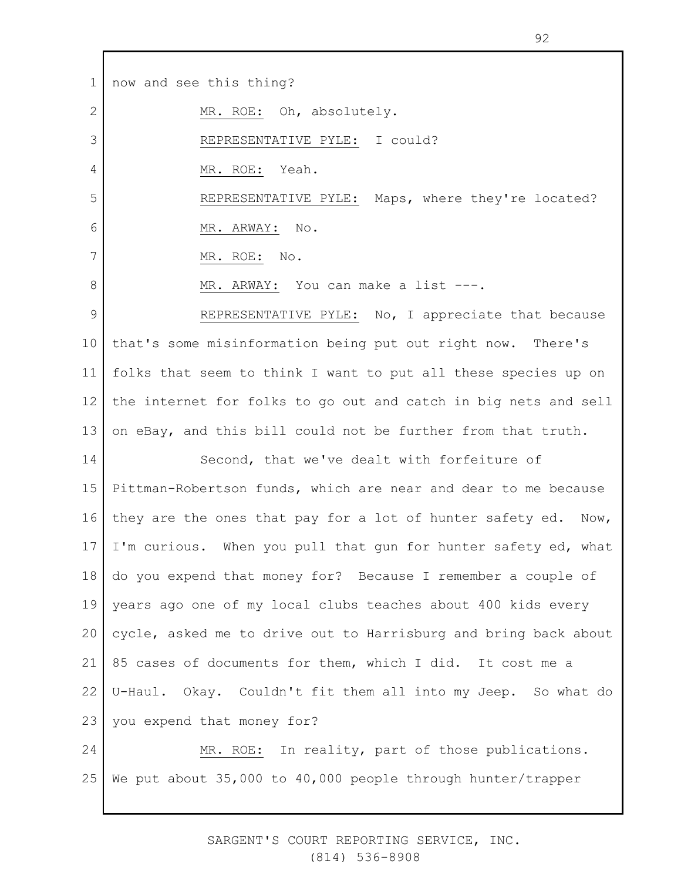1 2 3 4 5 6 7 8 9 10 11 12 13 14 15 16 17 18 19 20 21 22 23 24 25 now and see this thing? MR. ROE: Oh, absolutely. REPRESENTATIVE PYLE: I could? MR. ROE: Yeah. REPRESENTATIVE PYLE: Maps, where they're located? MR. ARWAY: No. MR. ROE: No. MR. ARWAY: You can make a list ---. REPRESENTATIVE PYLE: No, I appreciate that because that's some misinformation being put out right now. There's folks that seem to think I want to put all these species up on the internet for folks to go out and catch in big nets and sell on eBay, and this bill could not be further from that truth. Second, that we've dealt with forfeiture of Pittman-Robertson funds, which are near and dear to me because they are the ones that pay for a lot of hunter safety ed. Now, I'm curious. When you pull that gun for hunter safety ed, what do you expend that money for? Because I remember a couple of years ago one of my local clubs teaches about 400 kids every cycle, asked me to drive out to Harrisburg and bring back about 85 cases of documents for them, which I did. It cost me a U-Haul. Okay. Couldn't fit them all into my Jeep. So what do you expend that money for? MR. ROE: In reality, part of those publications. We put about 35,000 to 40,000 people through hunter/trapper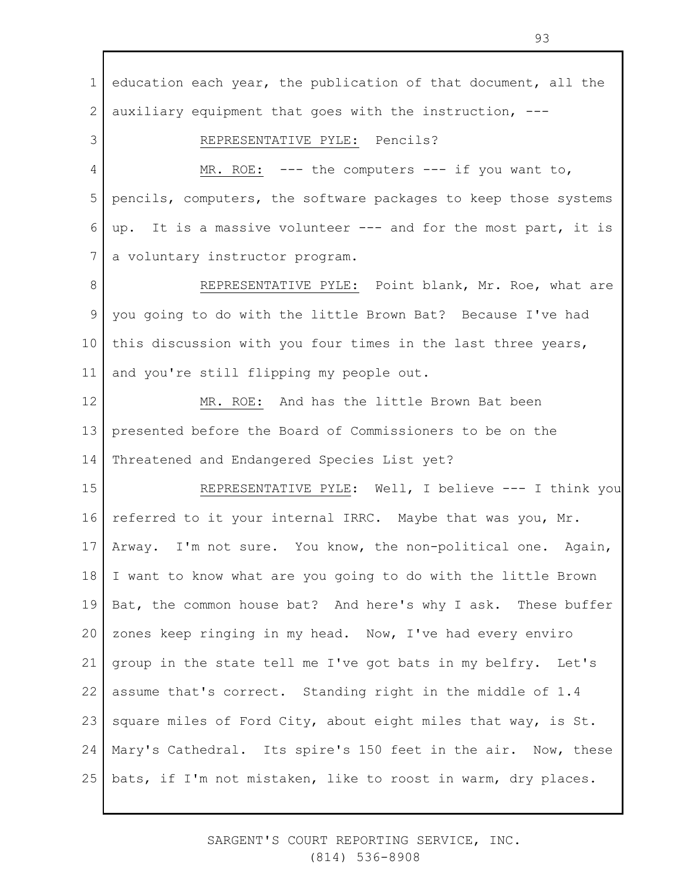1 2 3 4 5 6 7 8 9 10 11 12 13 14 15 16 17 18 19 20 21 22 23 24 25 education each year, the publication of that document, all the auxiliary equipment that goes with the instruction, --- REPRESENTATIVE PYLE: Pencils? MR. ROE:  $---$  the computers  $---$  if you want to, pencils, computers, the software packages to keep those systems up. It is a massive volunteer --- and for the most part, it is a voluntary instructor program. REPRESENTATIVE PYLE: Point blank, Mr. Roe, what are you going to do with the little Brown Bat? Because I've had this discussion with you four times in the last three years, and you're still flipping my people out. MR. ROE: And has the little Brown Bat been presented before the Board of Commissioners to be on the Threatened and Endangered Species List yet? REPRESENTATIVE PYLE: Well, I believe --- I think you referred to it your internal IRRC. Maybe that was you, Mr. Arway. I'm not sure. You know, the non-political one. Again, I want to know what are you going to do with the little Brown Bat, the common house bat? And here's why I ask. These buffer zones keep ringing in my head. Now, I've had every enviro group in the state tell me I've got bats in my belfry. Let's assume that's correct. Standing right in the middle of 1.4 square miles of Ford City, about eight miles that way, is St. Mary's Cathedral. Its spire's 150 feet in the air. Now, these bats, if I'm not mistaken, like to roost in warm, dry places.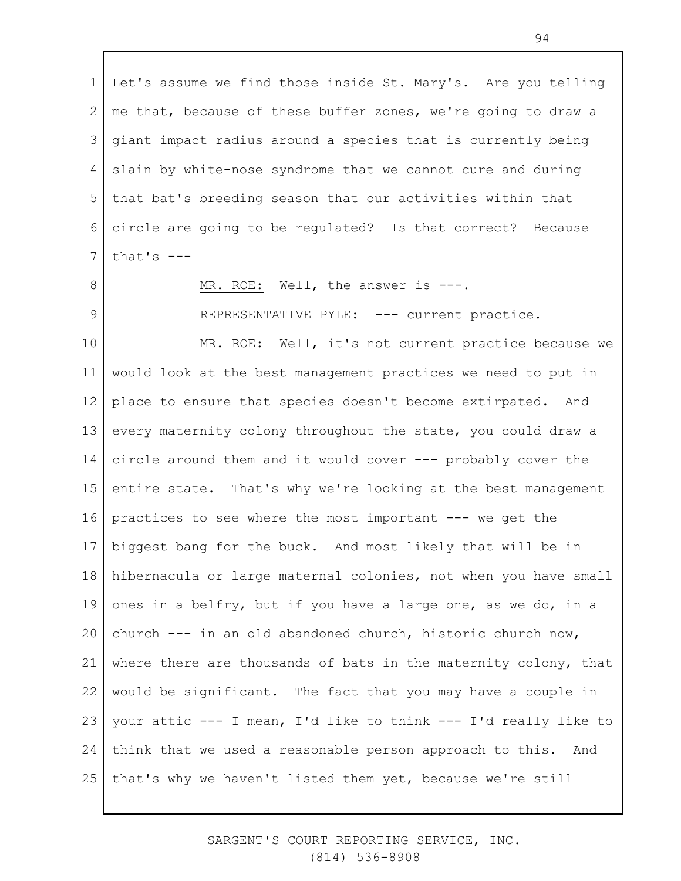1 2 3 4 5 6 7 8 9 10 Let's assume we find those inside St. Mary's. Are you telling me that, because of these buffer zones, we're going to draw a giant impact radius around a species that is currently being slain by white-nose syndrome that we cannot cure and during that bat's breeding season that our activities within that circle are going to be regulated? Is that correct? Because that's  $---$ MR. ROE: Well, the answer is ---. REPRESENTATIVE PYLE: --- current practice. MR. ROE: Well, it's not current practice because we would look at the best management practices we need to put in

11 12 13 14 15 16 17 18 19 20 21 22 23 24 25 place to ensure that species doesn't become extirpated. And every maternity colony throughout the state, you could draw a circle around them and it would cover --- probably cover the entire state. That's why we're looking at the best management practices to see where the most important --- we get the biggest bang for the buck. And most likely that will be in hibernacula or large maternal colonies, not when you have small ones in a belfry, but if you have a large one, as we do, in a church --- in an old abandoned church, historic church now, where there are thousands of bats in the maternity colony, that would be significant. The fact that you may have a couple in your attic --- I mean, I'd like to think --- I'd really like to think that we used a reasonable person approach to this. And that's why we haven't listed them yet, because we're still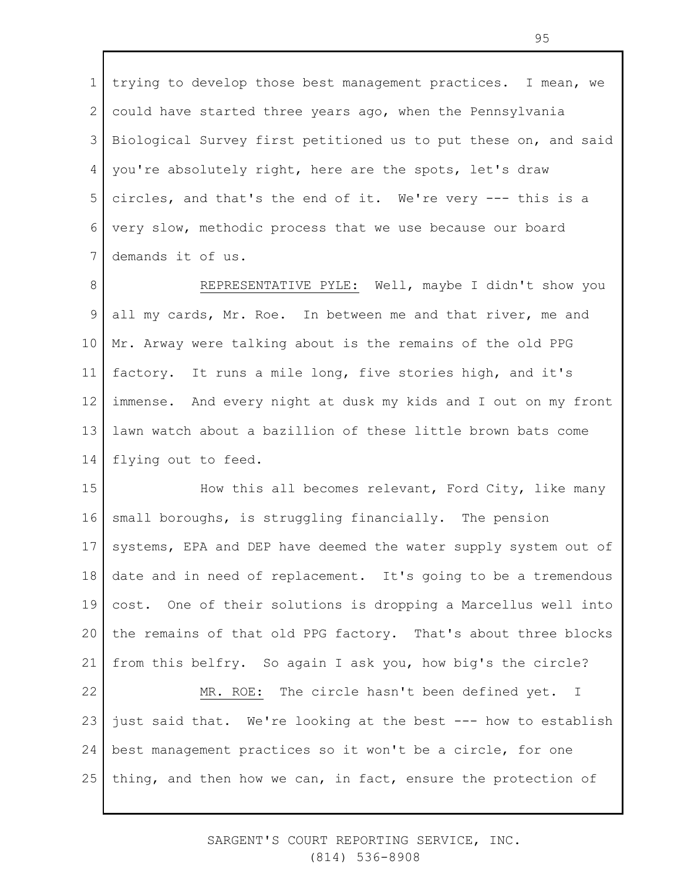1 2 3 4 5 6 7 trying to develop those best management practices. I mean, we could have started three years ago, when the Pennsylvania Biological Survey first petitioned us to put these on, and said you're absolutely right, here are the spots, let's draw circles, and that's the end of it. We're very --- this is a very slow, methodic process that we use because our board demands it of us.

8 9 10 11 12 13 14 REPRESENTATIVE PYLE: Well, maybe I didn't show you all my cards, Mr. Roe. In between me and that river, me and Mr. Arway were talking about is the remains of the old PPG factory. It runs a mile long, five stories high, and it's immense. And every night at dusk my kids and I out on my front lawn watch about a bazillion of these little brown bats come flying out to feed.

15 16 17 18 19 20 21 How this all becomes relevant, Ford City, like many small boroughs, is struggling financially. The pension systems, EPA and DEP have deemed the water supply system out of date and in need of replacement. It's going to be a tremendous cost. One of their solutions is dropping a Marcellus well into the remains of that old PPG factory. That's about three blocks from this belfry. So again I ask you, how big's the circle?

22 23 24 25 MR. ROE: The circle hasn't been defined yet. I just said that. We're looking at the best --- how to establish best management practices so it won't be a circle, for one thing, and then how we can, in fact, ensure the protection of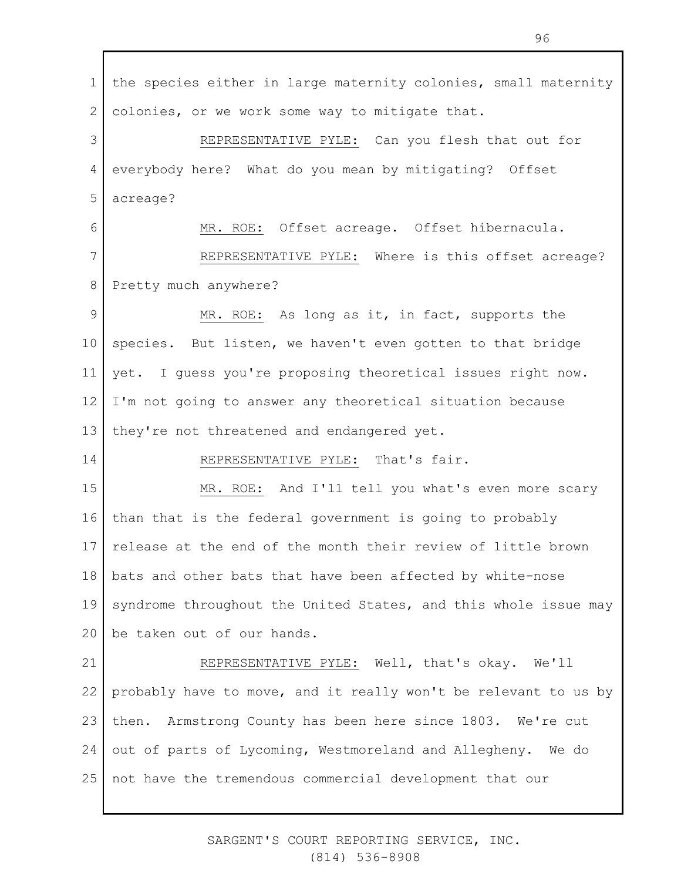1 2 3 4 5 6 7 8 9 10 11 12 13 14 15 16 17 18 19 20 21 22 23 24 25 the species either in large maternity colonies, small maternity colonies, or we work some way to mitigate that. REPRESENTATIVE PYLE: Can you flesh that out for everybody here? What do you mean by mitigating? Offset acreage? MR. ROE: Offset acreage. Offset hibernacula. REPRESENTATIVE PYLE: Where is this offset acreage? Pretty much anywhere? MR. ROE: As long as it, in fact, supports the species. But listen, we haven't even gotten to that bridge yet. I guess you're proposing theoretical issues right now. I'm not going to answer any theoretical situation because they're not threatened and endangered yet. REPRESENTATIVE PYLE: That's fair. MR. ROE: And I'll tell you what's even more scary than that is the federal government is going to probably release at the end of the month their review of little brown bats and other bats that have been affected by white-nose syndrome throughout the United States, and this whole issue may be taken out of our hands. REPRESENTATIVE PYLE: Well, that's okay. We'll probably have to move, and it really won't be relevant to us by then. Armstrong County has been here since 1803. We're cut out of parts of Lycoming, Westmoreland and Allegheny. We do not have the tremendous commercial development that our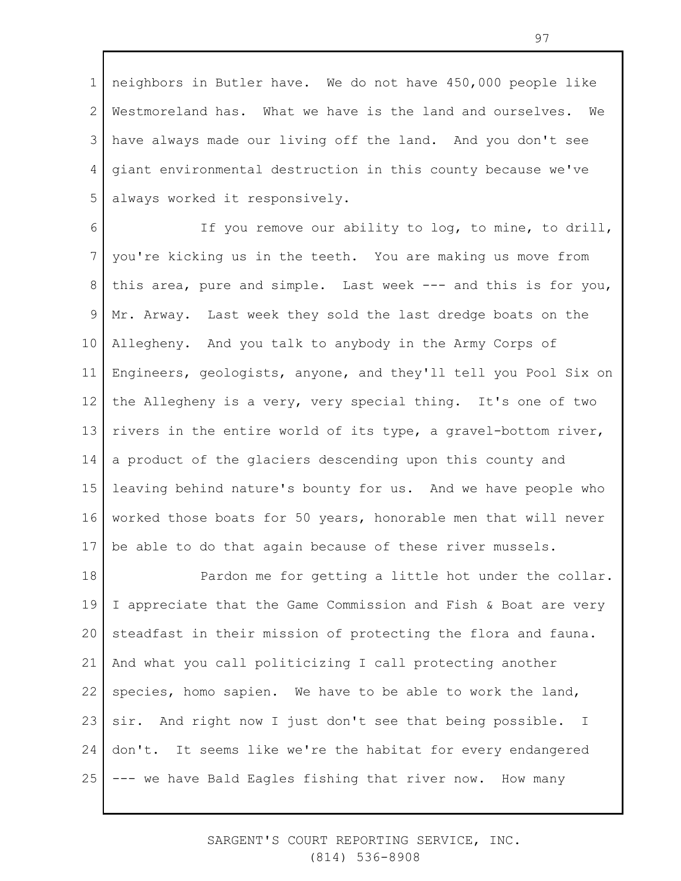1 2 3 4 5 neighbors in Butler have. We do not have 450,000 people like Westmoreland has. What we have is the land and ourselves. We have always made our living off the land. And you don't see giant environmental destruction in this county because we've always worked it responsively.

6 7 8 9 10 11 12 13 14 15 16 17 If you remove our ability to log, to mine, to drill, you're kicking us in the teeth. You are making us move from this area, pure and simple. Last week --- and this is for you, Mr. Arway. Last week they sold the last dredge boats on the Allegheny. And you talk to anybody in the Army Corps of Engineers, geologists, anyone, and they'll tell you Pool Six on the Allegheny is a very, very special thing. It's one of two rivers in the entire world of its type, a gravel-bottom river, a product of the glaciers descending upon this county and leaving behind nature's bounty for us. And we have people who worked those boats for 50 years, honorable men that will never be able to do that again because of these river mussels.

18 19 20 21 22 23 24 25 Pardon me for getting a little hot under the collar. I appreciate that the Game Commission and Fish & Boat are very steadfast in their mission of protecting the flora and fauna. And what you call politicizing I call protecting another species, homo sapien. We have to be able to work the land, sir. And right now I just don't see that being possible. I don't. It seems like we're the habitat for every endangered --- we have Bald Eagles fishing that river now. How many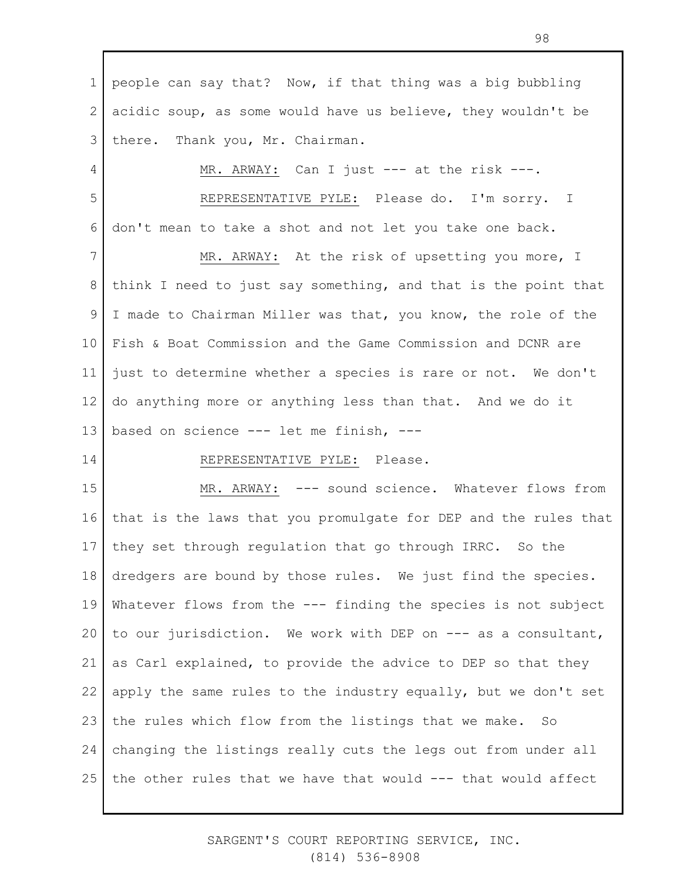1 2 3 people can say that? Now, if that thing was a big bubbling acidic soup, as some would have us believe, they wouldn't be there. Thank you, Mr. Chairman.

MR. ARWAY: Can I just --- at the risk ---.

5 6 REPRESENTATIVE PYLE: Please do. I'm sorry. I don't mean to take a shot and not let you take one back.

7 8 9 10 11 12 13 MR. ARWAY: At the risk of upsetting you more, I think I need to just say something, and that is the point that I made to Chairman Miller was that, you know, the role of the Fish & Boat Commission and the Game Commission and DCNR are just to determine whether a species is rare or not. We don't do anything more or anything less than that. And we do it based on science --- let me finish, ---

#### 14

4

### REPRESENTATIVE PYLE: Please.

15 16 17 18 19 20 21 22 23 24 25 MR. ARWAY: --- sound science. Whatever flows from that is the laws that you promulgate for DEP and the rules that they set through regulation that go through IRRC. So the dredgers are bound by those rules. We just find the species. Whatever flows from the --- finding the species is not subject to our jurisdiction. We work with DEP on --- as a consultant, as Carl explained, to provide the advice to DEP so that they apply the same rules to the industry equally, but we don't set the rules which flow from the listings that we make. So changing the listings really cuts the legs out from under all the other rules that we have that would --- that would affect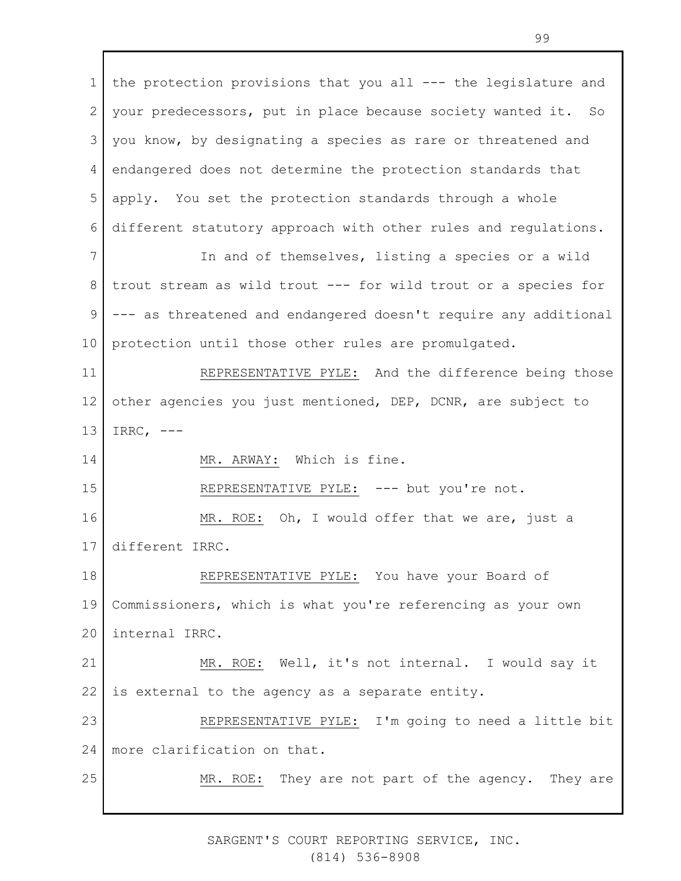1 2 3 4 5 6 7 8 9 10 11 12 13 14 15 16 17 18 19 20 21 22 23 24 25 the protection provisions that you all --- the legislature and your predecessors, put in place because society wanted it. So you know, by designating a species as rare or threatened and endangered does not determine the protection standards that apply. You set the protection standards through a whole different statutory approach with other rules and regulations. In and of themselves, listing a species or a wild trout stream as wild trout --- for wild trout or a species for --- as threatened and endangered doesn't require any additional protection until those other rules are promulgated. REPRESENTATIVE PYLE: And the difference being those other agencies you just mentioned, DEP, DCNR, are subject to IRRC,  $---$ MR. ARWAY: Which is fine. REPRESENTATIVE PYLE: --- but you're not. MR. ROE: Oh, I would offer that we are, just a different IRRC. REPRESENTATIVE PYLE: You have your Board of Commissioners, which is what you're referencing as your own internal IRRC. MR. ROE: Well, it's not internal. I would say it is external to the agency as a separate entity. REPRESENTATIVE PYLE: I'm going to need a little bit more clarification on that. MR. ROE: They are not part of the agency. They are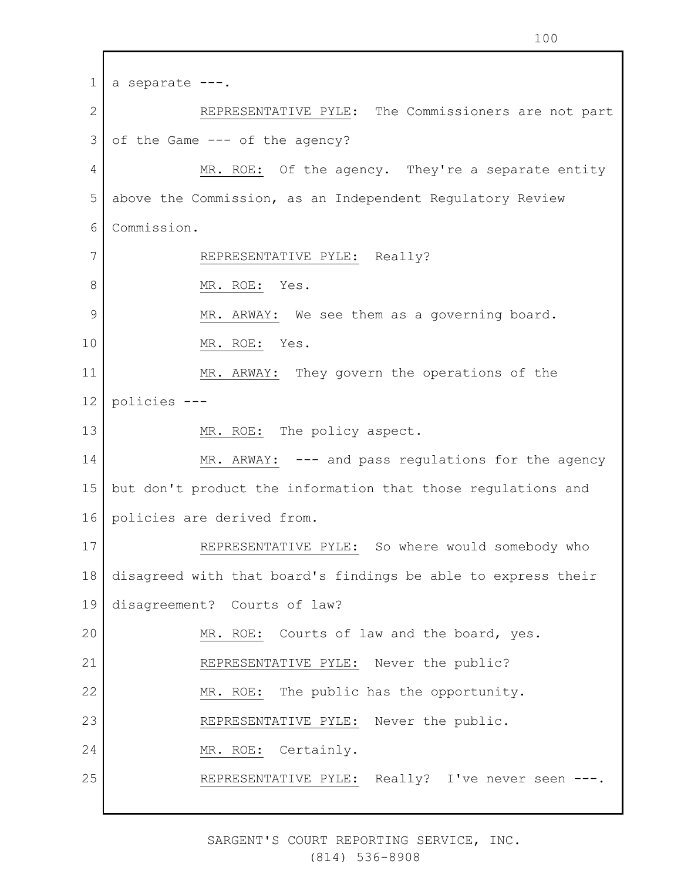1 2 3 4 5 6 7 8 9 10 11 12 13 14 15 16 17 18 19 20 21 22 23 24 25 a separate ---. REPRESENTATIVE PYLE: The Commissioners are not part of the Game --- of the agency? MR. ROE: Of the agency. They're a separate entity above the Commission, as an Independent Regulatory Review Commission. REPRESENTATIVE PYLE: Really? MR. ROE: Yes. MR. ARWAY: We see them as a governing board. MR. ROE: Yes. MR. ARWAY: They govern the operations of the policies --- MR. ROE: The policy aspect. MR. ARWAY: --- and pass regulations for the agency but don't product the information that those regulations and policies are derived from. REPRESENTATIVE PYLE: So where would somebody who disagreed with that board's findings be able to express their disagreement? Courts of law? MR. ROE: Courts of law and the board, yes. REPRESENTATIVE PYLE: Never the public? MR. ROE: The public has the opportunity. REPRESENTATIVE PYLE: Never the public. MR. ROE: Certainly. REPRESENTATIVE PYLE: Really? I've never seen ---.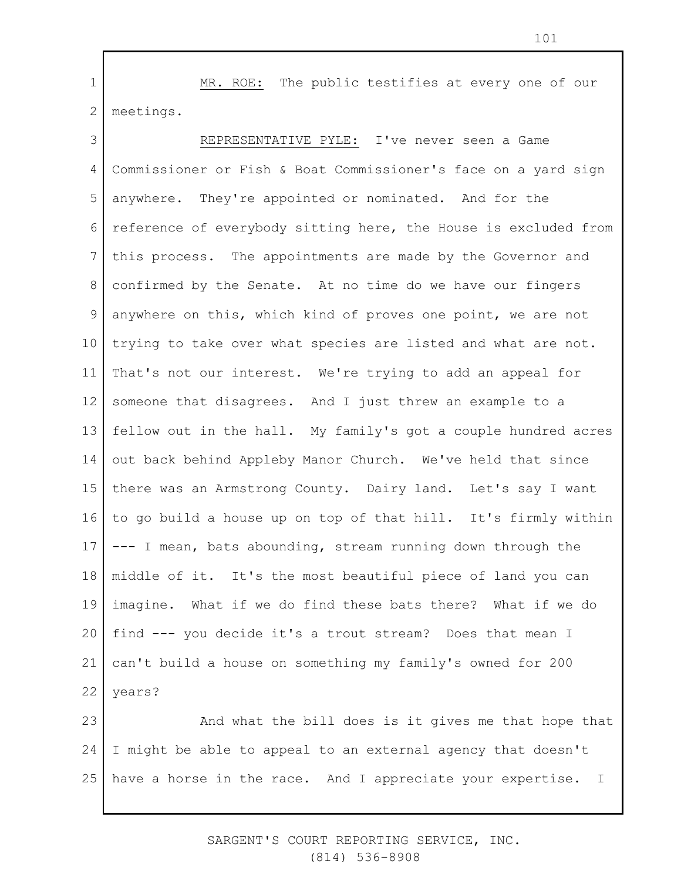1 2 MR. ROE: The public testifies at every one of our meetings.

3 4 5 6 7 8 9 10 11 12 13 14 15 16 17 18 19 20 21 22 REPRESENTATIVE PYLE: I've never seen a Game Commissioner or Fish & Boat Commissioner's face on a yard sign anywhere. They're appointed or nominated. And for the reference of everybody sitting here, the House is excluded from this process. The appointments are made by the Governor and confirmed by the Senate. At no time do we have our fingers anywhere on this, which kind of proves one point, we are not trying to take over what species are listed and what are not. That's not our interest. We're trying to add an appeal for someone that disagrees. And I just threw an example to a fellow out in the hall. My family's got a couple hundred acres out back behind Appleby Manor Church. We've held that since there was an Armstrong County. Dairy land. Let's say I want to go build a house up on top of that hill. It's firmly within --- I mean, bats abounding, stream running down through the middle of it. It's the most beautiful piece of land you can imagine. What if we do find these bats there? What if we do find --- you decide it's a trout stream? Does that mean I can't build a house on something my family's owned for 200 years?

23 24 25 And what the bill does is it gives me that hope that I might be able to appeal to an external agency that doesn't have a horse in the race. And I appreciate your expertise. I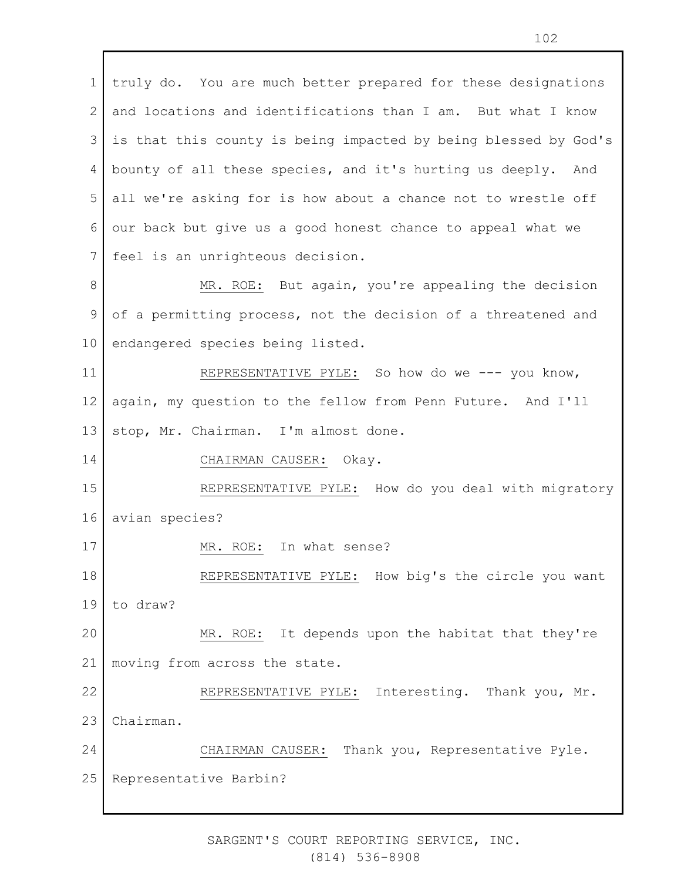1 2 3 4 5 6 7 truly do. You are much better prepared for these designations and locations and identifications than I am. But what I know is that this county is being impacted by being blessed by God's bounty of all these species, and it's hurting us deeply. And all we're asking for is how about a chance not to wrestle off our back but give us a good honest chance to appeal what we feel is an unrighteous decision.

8 9 10 MR. ROE: But again, you're appealing the decision of a permitting process, not the decision of a threatened and endangered species being listed.

11 12 13 REPRESENTATIVE PYLE: So how do we --- you know, again, my question to the fellow from Penn Future. And I'll stop, Mr. Chairman. I'm almost done.

CHAIRMAN CAUSER: Okay.

15 16 REPRESENTATIVE PYLE: How do you deal with migratory avian species?

17 MR. ROE: In what sense?

18 19 REPRESENTATIVE PYLE: How big's the circle you want to draw?

20 21 MR. ROE: It depends upon the habitat that they're moving from across the state.

22 23 24 REPRESENTATIVE PYLE: Interesting. Thank you, Mr. Chairman. CHAIRMAN CAUSER: Thank you, Representative Pyle.

25 Representative Barbin?

14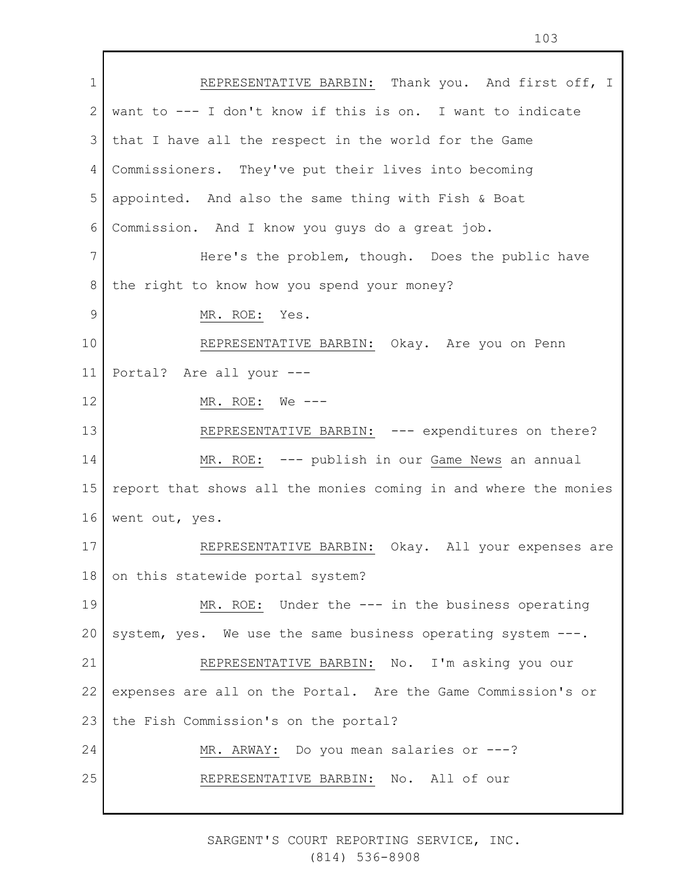1 2 3 4 5 6 7 8 9 10 11 12 13 14 15 16 17 18 19 20 21 22 23 24 25 REPRESENTATIVE BARBIN: Thank you. And first off, I want to --- I don't know if this is on. I want to indicate that I have all the respect in the world for the Game Commissioners. They've put their lives into becoming appointed. And also the same thing with Fish & Boat Commission. And I know you guys do a great job. Here's the problem, though. Does the public have the right to know how you spend your money? MR. ROE: Yes. REPRESENTATIVE BARBIN: Okay. Are you on Penn Portal? Are all your --- MR. ROE: We --- REPRESENTATIVE BARBIN: --- expenditures on there? MR. ROE: --- publish in our Game News an annual report that shows all the monies coming in and where the monies went out, yes. REPRESENTATIVE BARBIN: Okay. All your expenses are on this statewide portal system? MR. ROE: Under the --- in the business operating system, yes. We use the same business operating system ---. REPRESENTATIVE BARBIN: No. I'm asking you our expenses are all on the Portal. Are the Game Commission's or the Fish Commission's on the portal? MR. ARWAY: Do you mean salaries or ---? REPRESENTATIVE BARBIN: No. All of our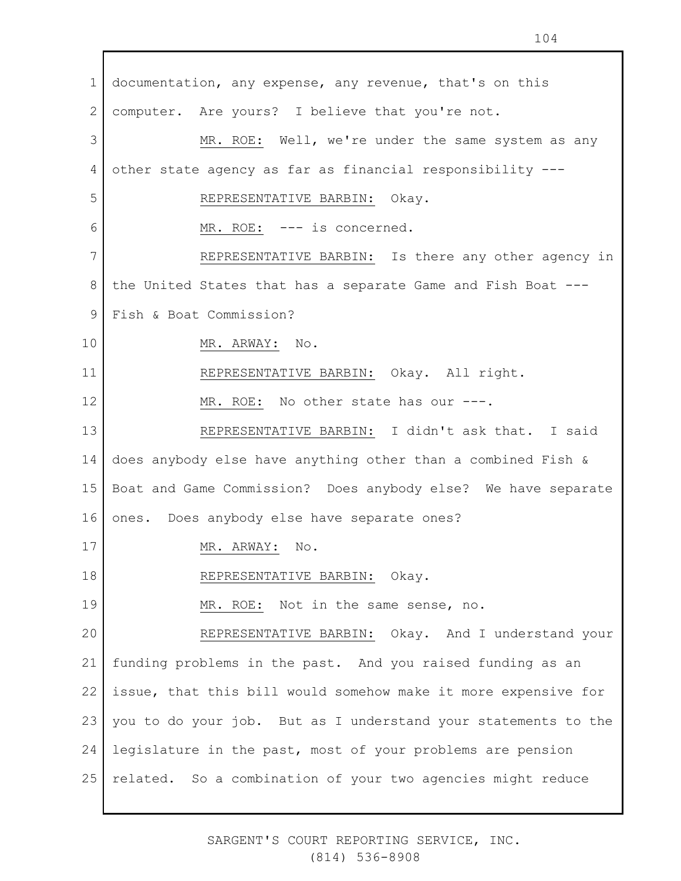1 2 3 4 5 6 7 8 9 10 11 12 13 14 15 16 17 18 19 20 21 22 23 24 25 documentation, any expense, any revenue, that's on this computer. Are yours? I believe that you're not. MR. ROE: Well, we're under the same system as any other state agency as far as financial responsibility --- REPRESENTATIVE BARBIN: Okay. MR. ROE: --- is concerned. REPRESENTATIVE BARBIN: Is there any other agency in the United States that has a separate Game and Fish Boat --- Fish & Boat Commission? MR. ARWAY: No. REPRESENTATIVE BARBIN: Okay. All right. MR. ROE: No other state has our ---. REPRESENTATIVE BARBIN: I didn't ask that. I said does anybody else have anything other than a combined Fish & Boat and Game Commission? Does anybody else? We have separate ones. Does anybody else have separate ones? MR. ARWAY: No. REPRESENTATIVE BARBIN: Okay. MR. ROE: Not in the same sense, no. REPRESENTATIVE BARBIN: Okay. And I understand your funding problems in the past. And you raised funding as an issue, that this bill would somehow make it more expensive for you to do your job. But as I understand your statements to the legislature in the past, most of your problems are pension related. So a combination of your two agencies might reduce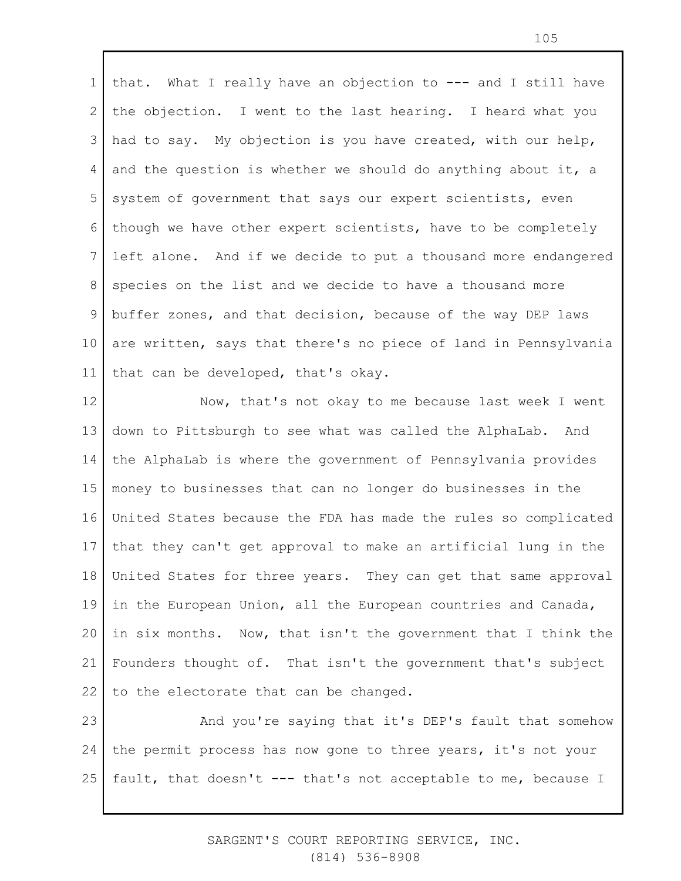1 2 3 4 5 6 7 8 9 10 11 that. What I really have an objection to --- and I still have the objection. I went to the last hearing. I heard what you had to say. My objection is you have created, with our help, and the question is whether we should do anything about it, a system of government that says our expert scientists, even though we have other expert scientists, have to be completely left alone. And if we decide to put a thousand more endangered species on the list and we decide to have a thousand more buffer zones, and that decision, because of the way DEP laws are written, says that there's no piece of land in Pennsylvania that can be developed, that's okay.

12 13 14 15 16 17 18 19 20 21 22 Now, that's not okay to me because last week I went down to Pittsburgh to see what was called the AlphaLab. And the AlphaLab is where the government of Pennsylvania provides money to businesses that can no longer do businesses in the United States because the FDA has made the rules so complicated that they can't get approval to make an artificial lung in the United States for three years. They can get that same approval in the European Union, all the European countries and Canada, in six months. Now, that isn't the government that I think the Founders thought of. That isn't the government that's subject to the electorate that can be changed.

23 24 25 And you're saying that it's DEP's fault that somehow the permit process has now gone to three years, it's not your fault, that doesn't --- that's not acceptable to me, because I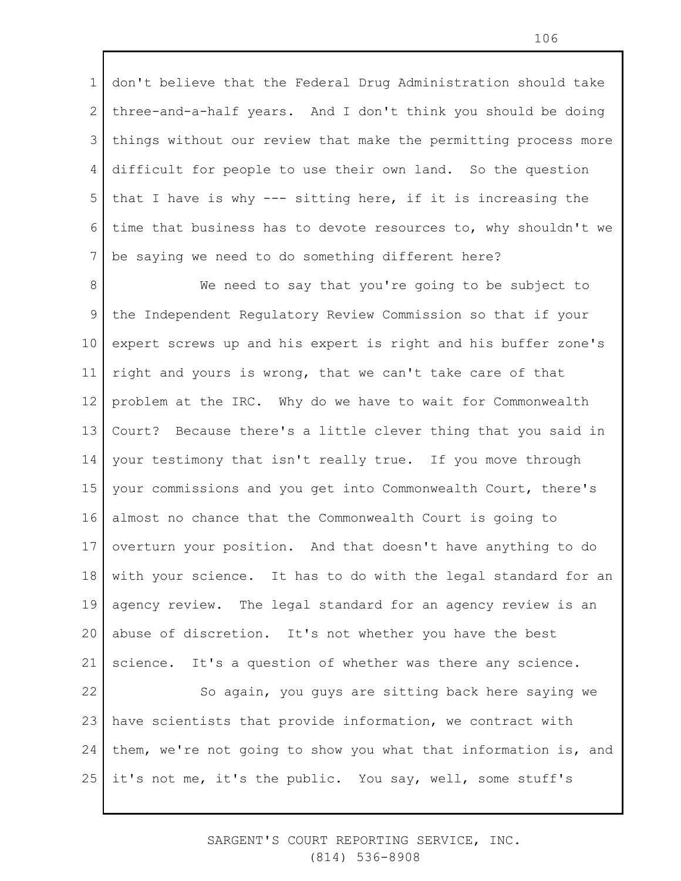1 2 3 4 5 6 7 don't believe that the Federal Drug Administration should take three-and-a-half years. And I don't think you should be doing things without our review that make the permitting process more difficult for people to use their own land. So the question that I have is why --- sitting here, if it is increasing the time that business has to devote resources to, why shouldn't we be saying we need to do something different here?

8 9 10 11 12 13 14 15 16 17 18 19 20 21 22 23 We need to say that you're going to be subject to the Independent Regulatory Review Commission so that if your expert screws up and his expert is right and his buffer zone's right and yours is wrong, that we can't take care of that problem at the IRC. Why do we have to wait for Commonwealth Court? Because there's a little clever thing that you said in your testimony that isn't really true. If you move through your commissions and you get into Commonwealth Court, there's almost no chance that the Commonwealth Court is going to overturn your position. And that doesn't have anything to do with your science. It has to do with the legal standard for an agency review. The legal standard for an agency review is an abuse of discretion. It's not whether you have the best science. It's a question of whether was there any science. So again, you guys are sitting back here saying we have scientists that provide information, we contract with

24 25 them, we're not going to show you what that information is, and it's not me, it's the public. You say, well, some stuff's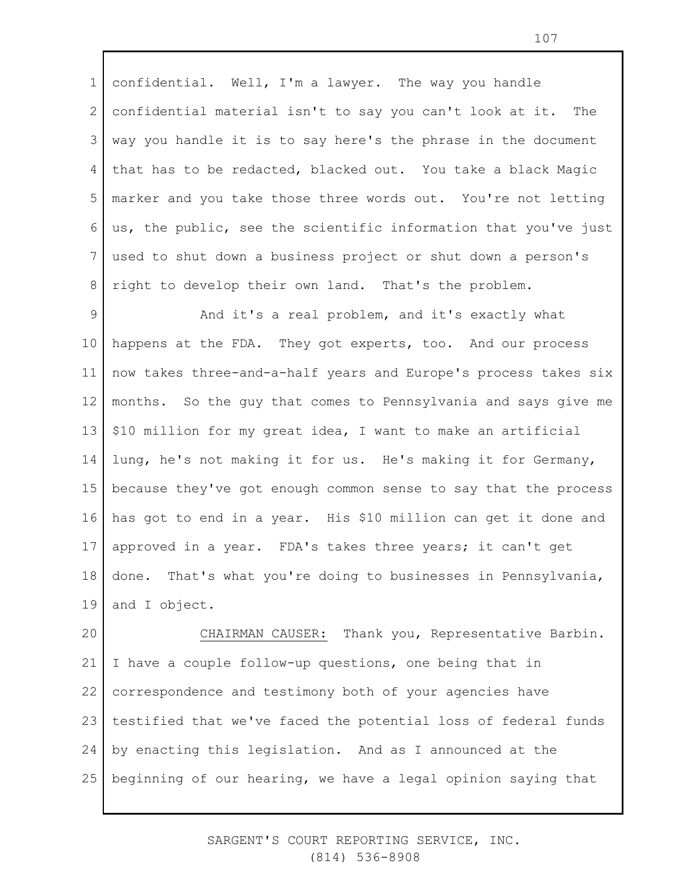1 2 3 4 5 6 7 8 confidential. Well, I'm a lawyer. The way you handle confidential material isn't to say you can't look at it. The way you handle it is to say here's the phrase in the document that has to be redacted, blacked out. You take a black Magic marker and you take those three words out. You're not letting us, the public, see the scientific information that you've just used to shut down a business project or shut down a person's right to develop their own land. That's the problem.

9 10 11 12 13 14 15 16 17 18 19 And it's a real problem, and it's exactly what happens at the FDA. They got experts, too. And our process now takes three-and-a-half years and Europe's process takes six months. So the guy that comes to Pennsylvania and says give me \$10 million for my great idea, I want to make an artificial lung, he's not making it for us. He's making it for Germany, because they've got enough common sense to say that the process has got to end in a year. His \$10 million can get it done and approved in a year. FDA's takes three years; it can't get done. That's what you're doing to businesses in Pennsylvania, and I object.

20 21 22 23 24 25 CHAIRMAN CAUSER: Thank you, Representative Barbin. I have a couple follow-up questions, one being that in correspondence and testimony both of your agencies have testified that we've faced the potential loss of federal funds by enacting this legislation. And as I announced at the beginning of our hearing, we have a legal opinion saying that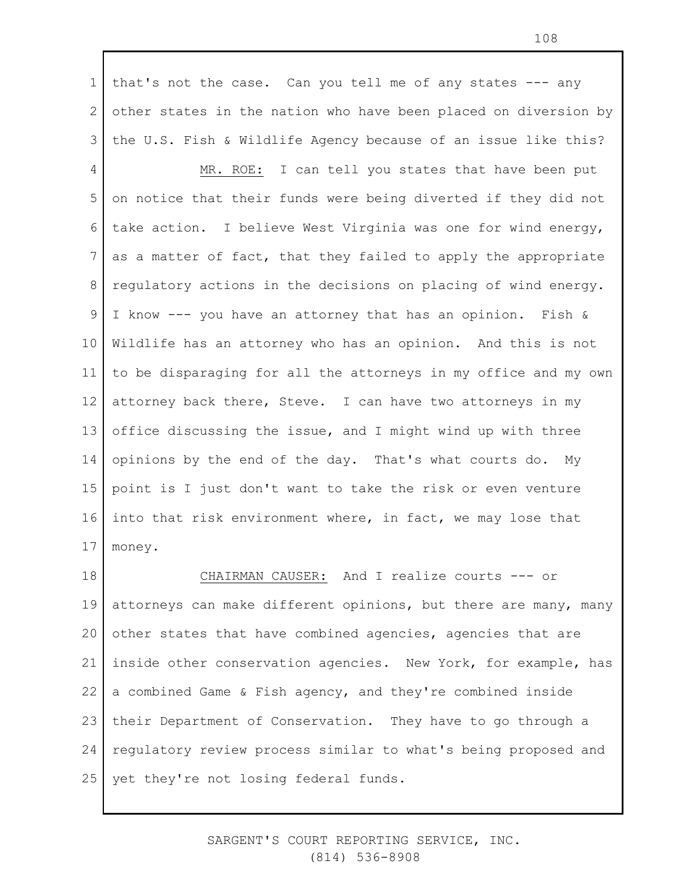1 2 3 that's not the case. Can you tell me of any states --- any other states in the nation who have been placed on diversion by the U.S. Fish & Wildlife Agency because of an issue like this?

4 5 6 7 8 9 10 11 12 13 14 15 16 17 MR. ROE: I can tell you states that have been put on notice that their funds were being diverted if they did not take action. I believe West Virginia was one for wind energy, as a matter of fact, that they failed to apply the appropriate regulatory actions in the decisions on placing of wind energy. I know --- you have an attorney that has an opinion. Fish & Wildlife has an attorney who has an opinion. And this is not to be disparaging for all the attorneys in my office and my own attorney back there, Steve. I can have two attorneys in my office discussing the issue, and I might wind up with three opinions by the end of the day. That's what courts do. My point is I just don't want to take the risk or even venture into that risk environment where, in fact, we may lose that money.

18 19 20 21 22 23 24 25 CHAIRMAN CAUSER: And I realize courts --- or attorneys can make different opinions, but there are many, many other states that have combined agencies, agencies that are inside other conservation agencies. New York, for example, has a combined Game & Fish agency, and they're combined inside their Department of Conservation. They have to go through a regulatory review process similar to what's being proposed and yet they're not losing federal funds.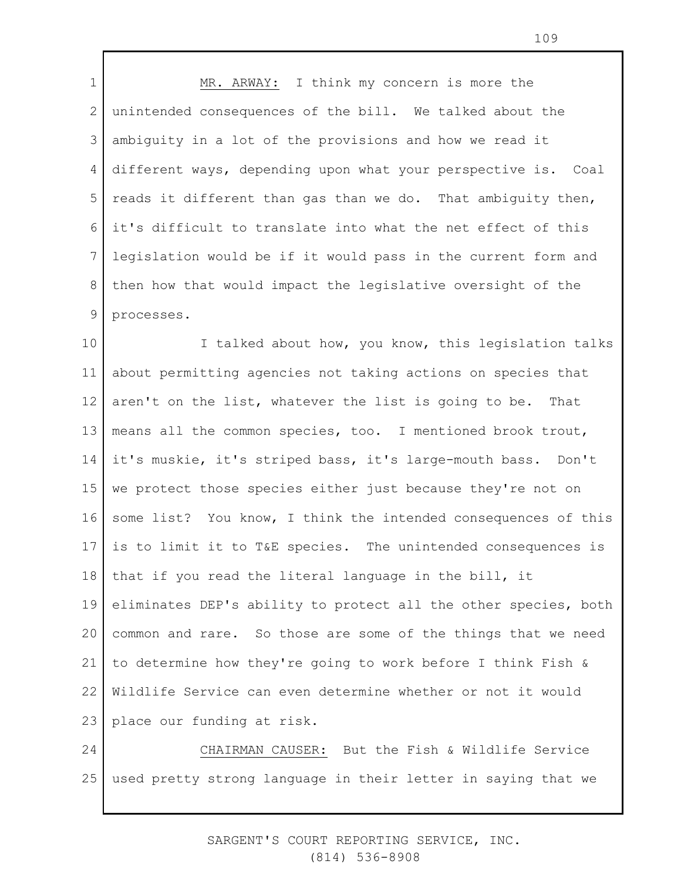1 2 3 4 5 6 7 8 9 MR. ARWAY: I think my concern is more the unintended consequences of the bill. We talked about the ambiguity in a lot of the provisions and how we read it different ways, depending upon what your perspective is. Coal reads it different than gas than we do. That ambiguity then, it's difficult to translate into what the net effect of this legislation would be if it would pass in the current form and then how that would impact the legislative oversight of the processes.

10 11 12 13 14 15 16 17 18 19 20 21 22 23 I talked about how, you know, this legislation talks about permitting agencies not taking actions on species that aren't on the list, whatever the list is going to be. That means all the common species, too. I mentioned brook trout, it's muskie, it's striped bass, it's large-mouth bass. Don't we protect those species either just because they're not on some list? You know, I think the intended consequences of this is to limit it to T&E species. The unintended consequences is that if you read the literal language in the bill, it eliminates DEP's ability to protect all the other species, both common and rare. So those are some of the things that we need to determine how they're going to work before I think Fish & Wildlife Service can even determine whether or not it would place our funding at risk.

24 25 CHAIRMAN CAUSER: But the Fish & Wildlife Service used pretty strong language in their letter in saying that we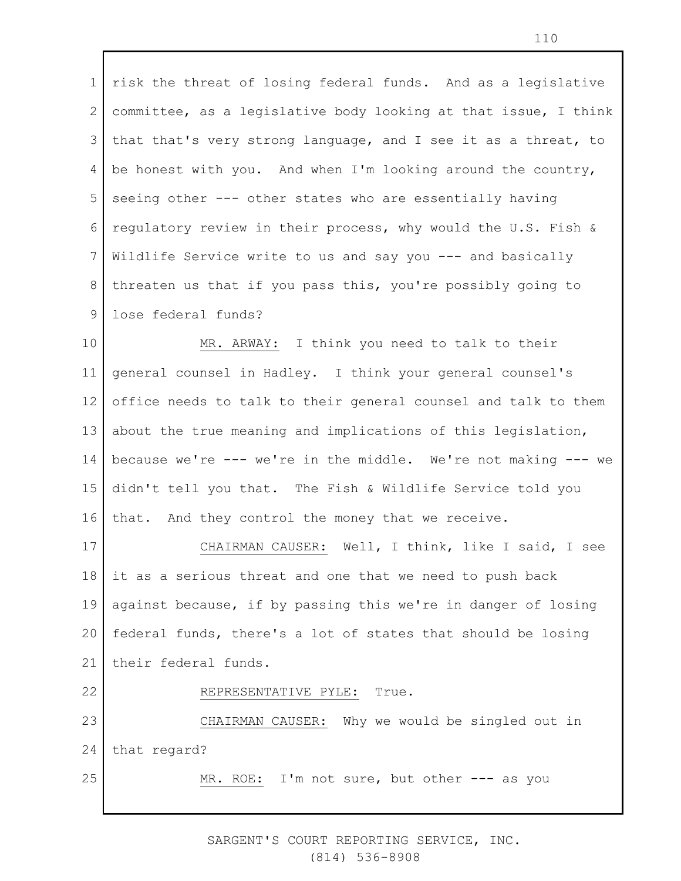1 2 3 4 5 6 7 8 9 risk the threat of losing federal funds. And as a legislative committee, as a legislative body looking at that issue, I think that that's very strong language, and I see it as a threat, to be honest with you. And when I'm looking around the country, seeing other --- other states who are essentially having regulatory review in their process, why would the U.S. Fish & Wildlife Service write to us and say you --- and basically threaten us that if you pass this, you're possibly going to lose federal funds?

10 11 12 13 14 15 16 MR. ARWAY: I think you need to talk to their general counsel in Hadley. I think your general counsel's office needs to talk to their general counsel and talk to them about the true meaning and implications of this legislation, because we're --- we're in the middle. We're not making --- we didn't tell you that. The Fish & Wildlife Service told you that. And they control the money that we receive.

17 18 19 20 21 22 CHAIRMAN CAUSER: Well, I think, like I said, I see it as a serious threat and one that we need to push back against because, if by passing this we're in danger of losing federal funds, there's a lot of states that should be losing their federal funds. REPRESENTATIVE PYLE: True.

23 24 25 CHAIRMAN CAUSER: Why we would be singled out in that regard? MR. ROE: I'm not sure, but other --- as you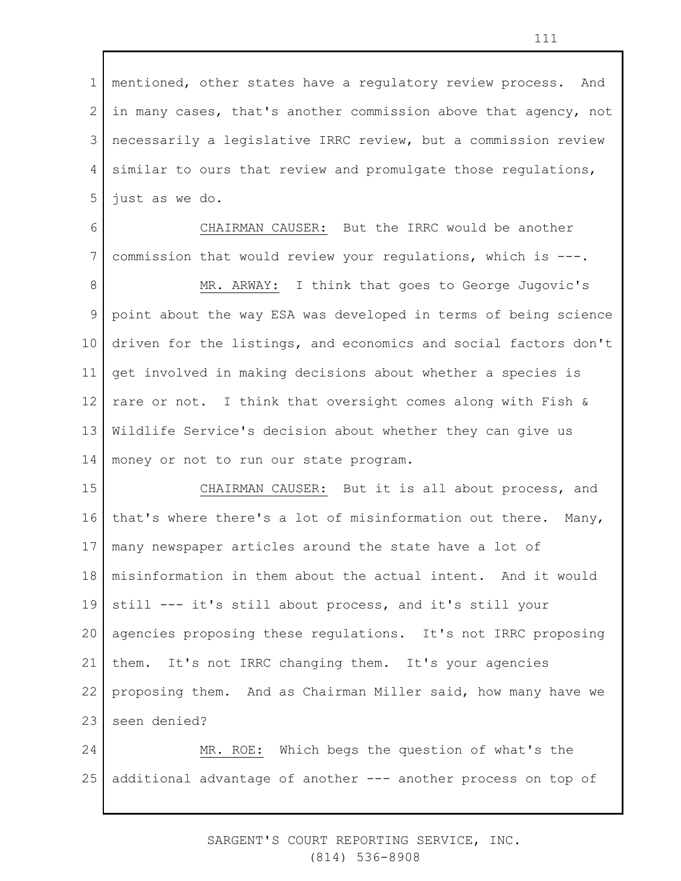1 2 3 4 5 mentioned, other states have a regulatory review process. And in many cases, that's another commission above that agency, not necessarily a legislative IRRC review, but a commission review similar to ours that review and promulgate those regulations, just as we do.

6 7 CHAIRMAN CAUSER: But the IRRC would be another commission that would review your regulations, which is ---.

8 9 10 11 12 13 14 MR. ARWAY: I think that goes to George Jugovic's point about the way ESA was developed in terms of being science driven for the listings, and economics and social factors don't get involved in making decisions about whether a species is rare or not. I think that oversight comes along with Fish & Wildlife Service's decision about whether they can give us money or not to run our state program.

15 16 17 18 19 20 21 22 23 CHAIRMAN CAUSER: But it is all about process, and that's where there's a lot of misinformation out there. Many, many newspaper articles around the state have a lot of misinformation in them about the actual intent. And it would still --- it's still about process, and it's still your agencies proposing these regulations. It's not IRRC proposing them. It's not IRRC changing them. It's your agencies proposing them. And as Chairman Miller said, how many have we seen denied?

24 25 MR. ROE: Which begs the question of what's the additional advantage of another --- another process on top of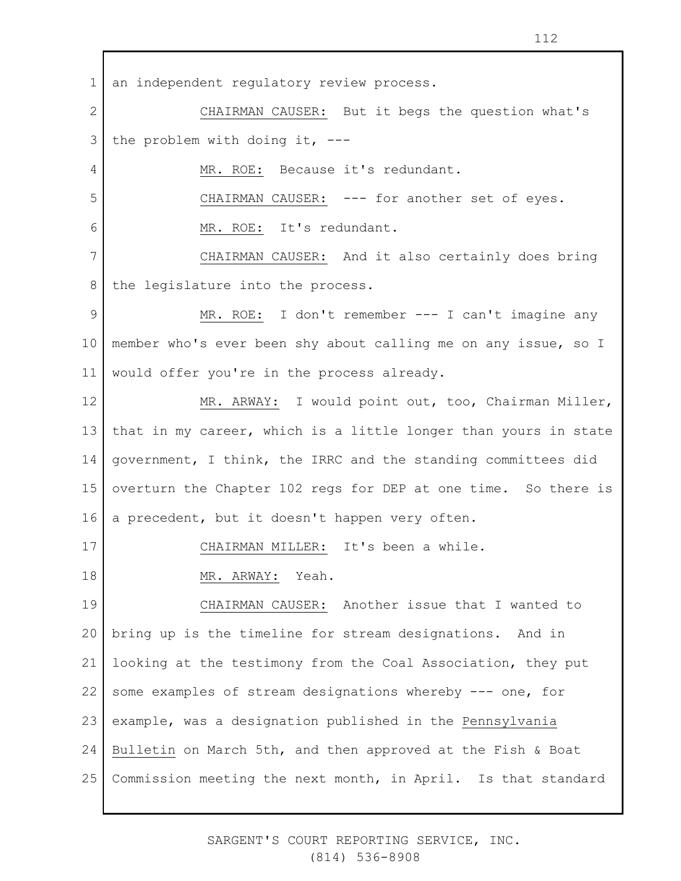4

5

6

17

2 3 CHAIRMAN CAUSER: But it begs the question what's the problem with doing it, ---

MR. ROE: Because it's redundant.

CHAIRMAN CAUSER: --- for another set of eyes.

MR. ROE: It's redundant.

7 8 CHAIRMAN CAUSER: And it also certainly does bring the legislature into the process.

9 10 11 MR. ROE: I don't remember --- I can't imagine any member who's ever been shy about calling me on any issue, so I would offer you're in the process already.

12 13 14 15 16 MR. ARWAY: I would point out, too, Chairman Miller, that in my career, which is a little longer than yours in state government, I think, the IRRC and the standing committees did overturn the Chapter 102 regs for DEP at one time. So there is a precedent, but it doesn't happen very often.

CHAIRMAN MILLER: It's been a while.

18 MR. ARWAY: Yeah.

19 20 21 22 23 24 25 CHAIRMAN CAUSER: Another issue that I wanted to bring up is the timeline for stream designations. And in looking at the testimony from the Coal Association, they put some examples of stream designations whereby --- one, for example, was a designation published in the Pennsylvania Bulletin on March 5th, and then approved at the Fish & Boat Commission meeting the next month, in April. Is that standard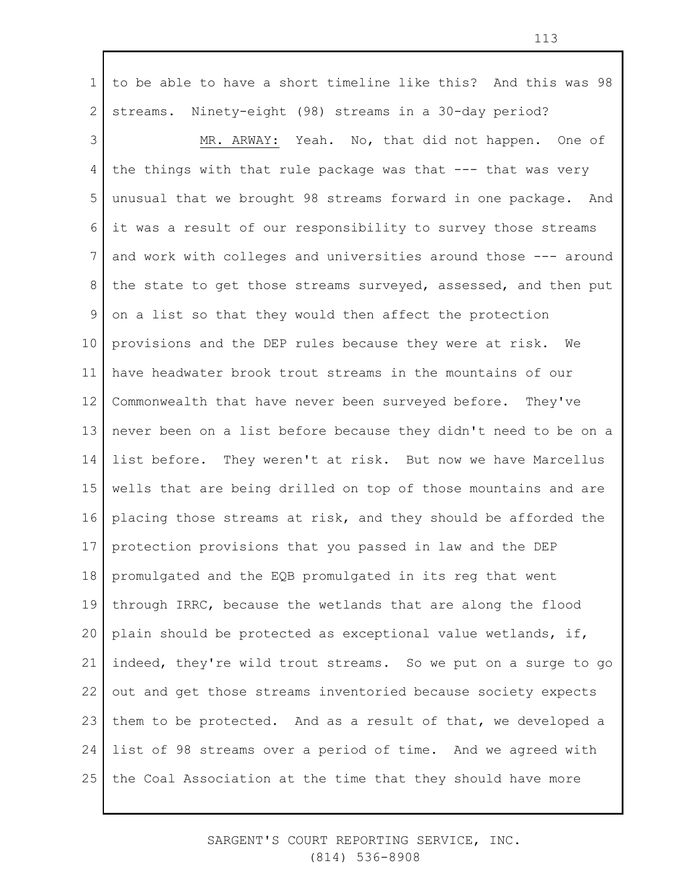1 2 to be able to have a short timeline like this? And this was 98 streams. Ninety-eight (98) streams in a 30-day period?

3 4 5 6 7 8 9 10 11 12 13 14 15 16 17 18 19 20 21 22 23 24 25 MR. ARWAY: Yeah. No, that did not happen. One of the things with that rule package was that  $---$  that was very unusual that we brought 98 streams forward in one package. And it was a result of our responsibility to survey those streams and work with colleges and universities around those --- around the state to get those streams surveyed, assessed, and then put on a list so that they would then affect the protection provisions and the DEP rules because they were at risk. We have headwater brook trout streams in the mountains of our Commonwealth that have never been surveyed before. They've never been on a list before because they didn't need to be on a list before. They weren't at risk. But now we have Marcellus wells that are being drilled on top of those mountains and are placing those streams at risk, and they should be afforded the protection provisions that you passed in law and the DEP promulgated and the EQB promulgated in its reg that went through IRRC, because the wetlands that are along the flood plain should be protected as exceptional value wetlands, if, indeed, they're wild trout streams. So we put on a surge to go out and get those streams inventoried because society expects them to be protected. And as a result of that, we developed a list of 98 streams over a period of time. And we agreed with the Coal Association at the time that they should have more

> SARGENT'S COURT REPORTING SERVICE, INC. (814) 536-8908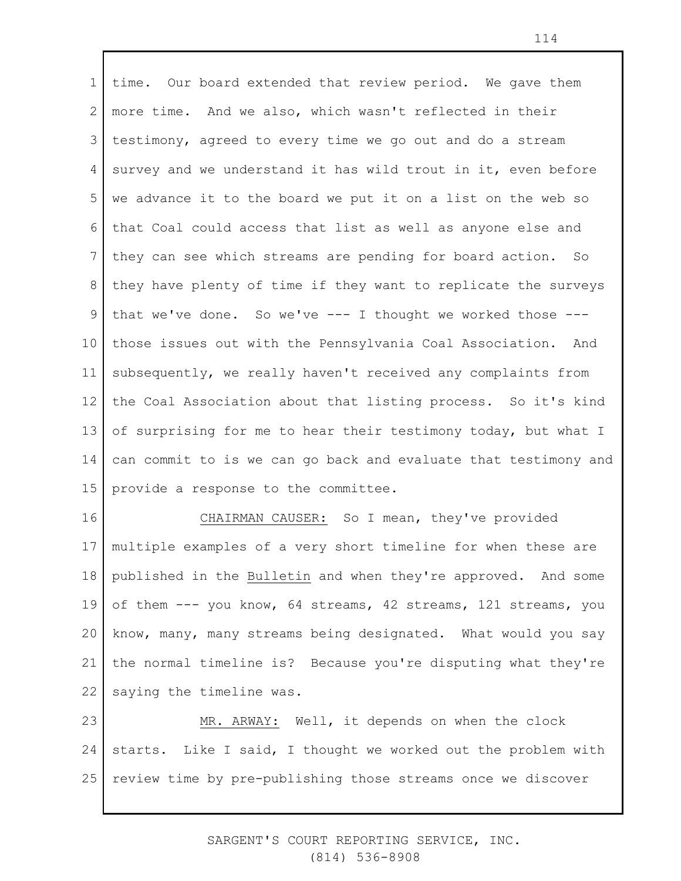1 2 3 4 5 6 7 8 9 10 11 12 13 14 15 time. Our board extended that review period. We gave them more time. And we also, which wasn't reflected in their testimony, agreed to every time we go out and do a stream survey and we understand it has wild trout in it, even before we advance it to the board we put it on a list on the web so that Coal could access that list as well as anyone else and they can see which streams are pending for board action. So they have plenty of time if they want to replicate the surveys that we've done. So we've --- I thought we worked those -- those issues out with the Pennsylvania Coal Association. And subsequently, we really haven't received any complaints from the Coal Association about that listing process. So it's kind of surprising for me to hear their testimony today, but what I can commit to is we can go back and evaluate that testimony and provide a response to the committee.

16 17 18 19 20 21 22 CHAIRMAN CAUSER: So I mean, they've provided multiple examples of a very short timeline for when these are published in the Bulletin and when they're approved. And some of them --- you know, 64 streams, 42 streams, 121 streams, you know, many, many streams being designated. What would you say the normal timeline is? Because you're disputing what they're saying the timeline was.

23 24 25 MR. ARWAY: Well, it depends on when the clock starts. Like I said, I thought we worked out the problem with review time by pre-publishing those streams once we discover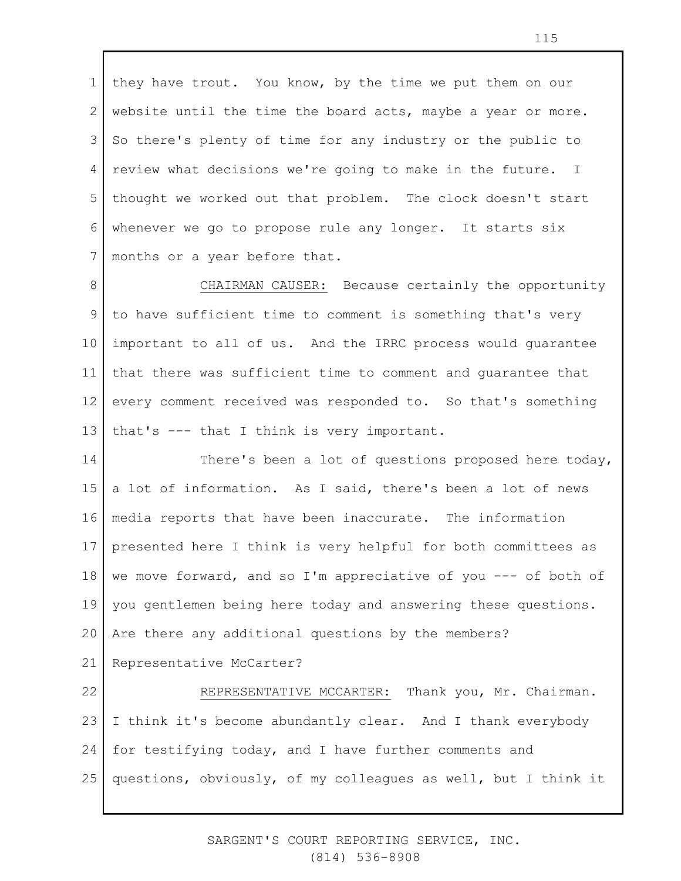1 2 3 4 5 6 7 they have trout. You know, by the time we put them on our website until the time the board acts, maybe a year or more. So there's plenty of time for any industry or the public to review what decisions we're going to make in the future. I thought we worked out that problem. The clock doesn't start whenever we go to propose rule any longer. It starts six months or a year before that.

8 9 10 11 12 13 CHAIRMAN CAUSER: Because certainly the opportunity to have sufficient time to comment is something that's very important to all of us. And the IRRC process would guarantee that there was sufficient time to comment and guarantee that every comment received was responded to. So that's something that's --- that I think is very important.

14 15 16 17 18 19 20 21 There's been a lot of questions proposed here today, a lot of information. As I said, there's been a lot of news media reports that have been inaccurate. The information presented here I think is very helpful for both committees as we move forward, and so I'm appreciative of you --- of both of you gentlemen being here today and answering these questions. Are there any additional questions by the members? Representative McCarter?

22 23 24 25 REPRESENTATIVE MCCARTER: Thank you, Mr. Chairman. I think it's become abundantly clear. And I thank everybody for testifying today, and I have further comments and questions, obviously, of my colleagues as well, but I think it

> SARGENT'S COURT REPORTING SERVICE, INC. (814) 536-8908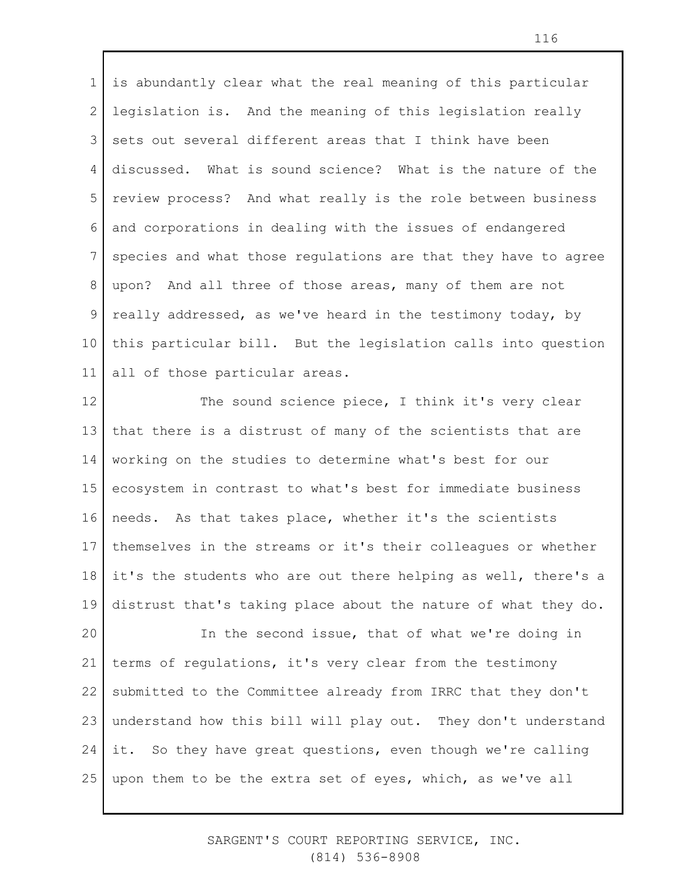1 2 3 4 5 6 7 8 9 10 11 is abundantly clear what the real meaning of this particular legislation is. And the meaning of this legislation really sets out several different areas that I think have been discussed. What is sound science? What is the nature of the review process? And what really is the role between business and corporations in dealing with the issues of endangered species and what those regulations are that they have to agree upon? And all three of those areas, many of them are not really addressed, as we've heard in the testimony today, by this particular bill. But the legislation calls into question all of those particular areas.

12 13 14 15 16 17 18 19 The sound science piece, I think it's very clear that there is a distrust of many of the scientists that are working on the studies to determine what's best for our ecosystem in contrast to what's best for immediate business needs. As that takes place, whether it's the scientists themselves in the streams or it's their colleagues or whether it's the students who are out there helping as well, there's a distrust that's taking place about the nature of what they do.

20 21 22 23 24 25 In the second issue, that of what we're doing in terms of regulations, it's very clear from the testimony submitted to the Committee already from IRRC that they don't understand how this bill will play out. They don't understand it. So they have great questions, even though we're calling upon them to be the extra set of eyes, which, as we've all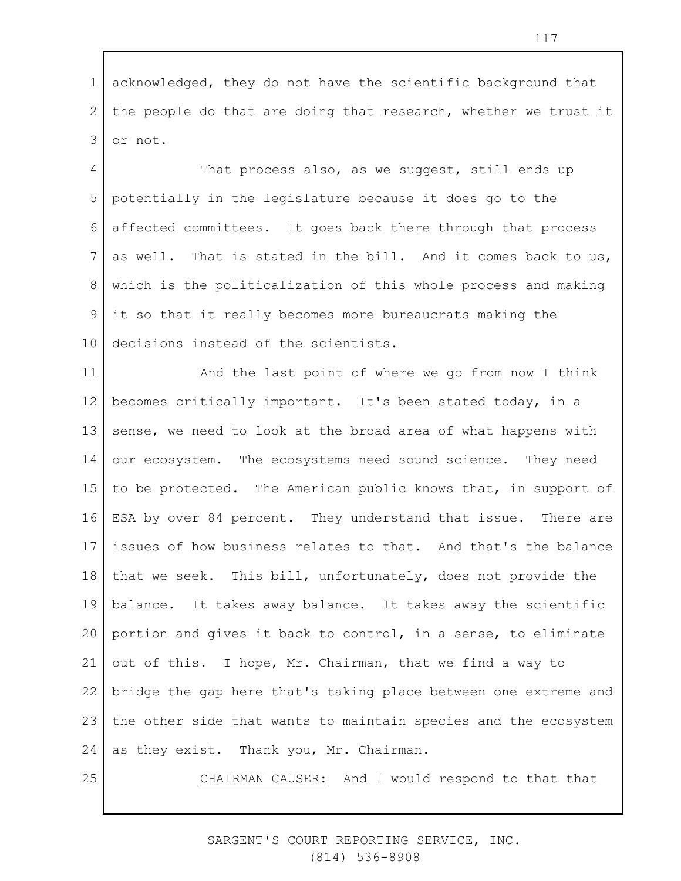1 2 3 acknowledged, they do not have the scientific background that the people do that are doing that research, whether we trust it or not.

4 5 6 7 8 9 10 That process also, as we suggest, still ends up potentially in the legislature because it does go to the affected committees. It goes back there through that process as well. That is stated in the bill. And it comes back to us, which is the politicalization of this whole process and making it so that it really becomes more bureaucrats making the decisions instead of the scientists.

11 12 13 14 15 16 17 18 19 20 21 22 23 24 And the last point of where we go from now I think becomes critically important. It's been stated today, in a sense, we need to look at the broad area of what happens with our ecosystem. The ecosystems need sound science. They need to be protected. The American public knows that, in support of ESA by over 84 percent. They understand that issue. There are issues of how business relates to that. And that's the balance that we seek. This bill, unfortunately, does not provide the balance. It takes away balance. It takes away the scientific portion and gives it back to control, in a sense, to eliminate out of this. I hope, Mr. Chairman, that we find a way to bridge the gap here that's taking place between one extreme and the other side that wants to maintain species and the ecosystem as they exist. Thank you, Mr. Chairman.

25

CHAIRMAN CAUSER: And I would respond to that that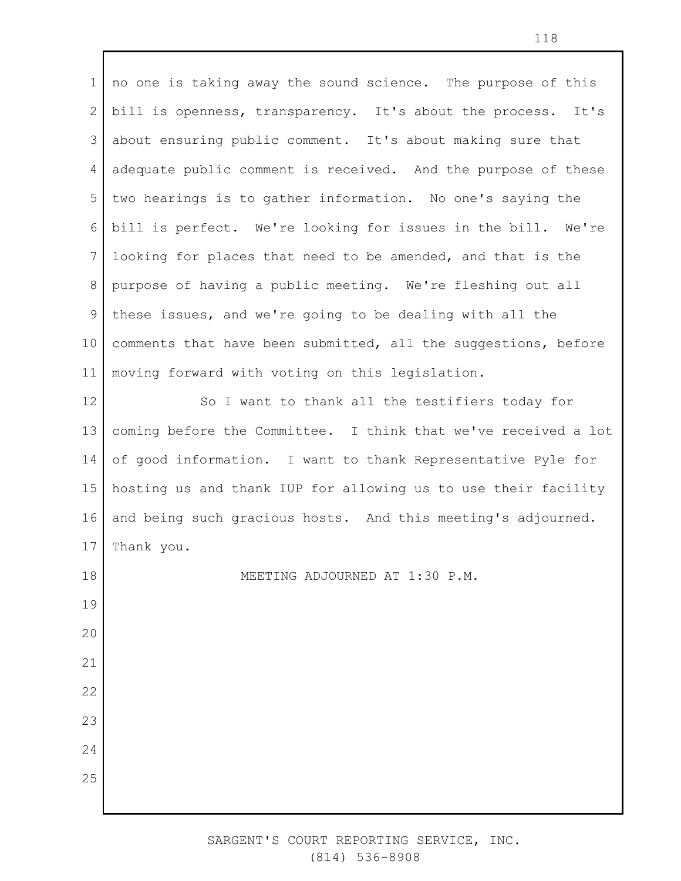1 2 3 4 5 6 7 8 9 10 11 12 13 14 15 16 17 18 19 20 21 22 23 24 no one is taking away the sound science. The purpose of this bill is openness, transparency. It's about the process. It's about ensuring public comment. It's about making sure that adequate public comment is received. And the purpose of these two hearings is to gather information. No one's saying the bill is perfect. We're looking for issues in the bill. We're looking for places that need to be amended, and that is the purpose of having a public meeting. We're fleshing out all these issues, and we're going to be dealing with all the comments that have been submitted, all the suggestions, before moving forward with voting on this legislation. So I want to thank all the testifiers today for coming before the Committee. I think that we've received a lot of good information. I want to thank Representative Pyle for hosting us and thank IUP for allowing us to use their facility and being such gracious hosts. And this meeting's adjourned. Thank you. MEETING ADJOURNED AT 1:30 P.M.

25